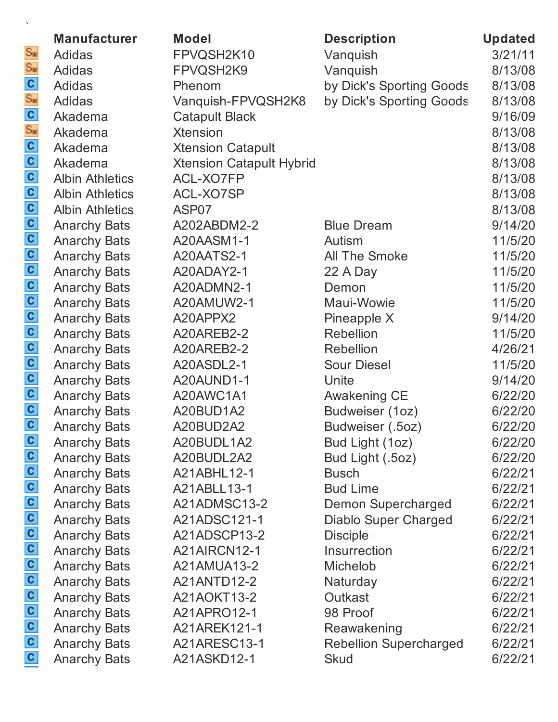|                                | <b>Manufacturer</b>    | <b>Model</b>                    | <b>Description</b>            | <b>Updated</b> |
|--------------------------------|------------------------|---------------------------------|-------------------------------|----------------|
| $S_{\text{W}}$                 | <b>Adidas</b>          | FPVQSH2K10                      | Vanquish                      | 3/21/11        |
| $S_{\text{W}}$                 | <b>Adidas</b>          | FPVQSH2K9                       | Vanquish                      | 8/13/08        |
| $\mathbf{c}$                   | <b>Adidas</b>          | Phenom                          | by Dick's Sporting Goods      | 8/13/08        |
| $S_{\text{W}}$                 | Adidas                 | Vanquish-FPVQSH2K8              | by Dick's Sporting Goods      | 8/13/08        |
|                                | Akadema                | <b>Catapult Black</b>           |                               | 9/16/09        |
| $\frac{c}{s_w}$                | Akadema                | <b>Xtension</b>                 |                               | 8/13/08        |
|                                | Akadema                | <b>Xtension Catapult</b>        |                               | 8/13/08        |
| $\frac{c}{c}$                  | Akadema                | <b>Xtension Catapult Hybrid</b> |                               | 8/13/08        |
| $\mathbf{c}$                   | <b>Albin Athletics</b> | ACL-XO7FP                       |                               | 8/13/08        |
|                                | <b>Albin Athletics</b> | ACL-XO7SP                       |                               | 8/13/08        |
|                                | <b>Albin Athletics</b> | ASP07                           |                               | 8/13/08        |
| $\frac{c}{c}$                  | <b>Anarchy Bats</b>    | A202ABDM2-2                     | <b>Blue Dream</b>             | 9/14/20        |
|                                | <b>Anarchy Bats</b>    | A20AASM1-1                      | Autism                        | 11/5/20        |
|                                | <b>Anarchy Bats</b>    | A20AATS2-1                      | <b>All The Smoke</b>          | 11/5/20        |
|                                | <b>Anarchy Bats</b>    | A20ADAY2-1                      | 22 A Day                      | 11/5/20        |
|                                | <b>Anarchy Bats</b>    | A20ADMN2-1                      | Demon                         | 11/5/20        |
|                                | <b>Anarchy Bats</b>    | A20AMUW2-1                      | Maui-Wowie                    | 11/5/20        |
| $\frac{1}{2}$<br>$\frac{1}{2}$ | <b>Anarchy Bats</b>    | A20APPX2                        | Pineapple X                   | 9/14/20        |
|                                | <b>Anarchy Bats</b>    | A20AREB2-2                      | <b>Rebellion</b>              | 11/5/20        |
| $\frac{1}{2}$                  | <b>Anarchy Bats</b>    | A20AREB2-2                      | <b>Rebellion</b>              | 4/26/21        |
|                                | <b>Anarchy Bats</b>    | A20ASDL2-1                      | <b>Sour Diesel</b>            | 11/5/20        |
|                                | <b>Anarchy Bats</b>    | A20AUND1-1                      | Unite                         | 9/14/20        |
| $\frac{c}{c}$                  | <b>Anarchy Bats</b>    | A20AWC1A1                       | Awakening CE                  | 6/22/20        |
|                                | <b>Anarchy Bats</b>    | A20BUD1A2                       | Budweiser (1oz)               | 6/22/20        |
| $\mathbf{c}$                   | <b>Anarchy Bats</b>    | A20BUD2A2                       | Budweiser (.5oz)              | 6/22/20        |
| $\mathbf{c}$                   | <b>Anarchy Bats</b>    | A20BUDL1A2                      | Bud Light (1oz)               | 6/22/20        |
| $\mathbf{c}$                   | <b>Anarchy Bats</b>    | A20BUDL2A2                      | Bud Light (.5oz)              | 6/22/20        |
| $\frac{c}{c}$                  | <b>Anarchy Bats</b>    | A21ABHL12-1                     | <b>Busch</b>                  | 6/22/21        |
|                                | <b>Anarchy Bats</b>    | A21ABLL13-1                     | <b>Bud Lime</b>               | 6/22/21        |
| $\mathbf{C}$                   | <b>Anarchy Bats</b>    | A21ADMSC13-2                    | <b>Demon Supercharged</b>     | 6/22/21        |
| $\mathbf{c}$                   | <b>Anarchy Bats</b>    | A21ADSC121-1                    | <b>Diablo Super Charged</b>   | 6/22/21        |
| $\mathbf{c}$                   | <b>Anarchy Bats</b>    | A21ADSCP13-2                    | <b>Disciple</b>               | 6/22/21        |
| $\mathbf{c}$                   | <b>Anarchy Bats</b>    | A21AIRCN12-1                    | Insurrection                  | 6/22/21        |
| $\frac{c}{c}$                  | <b>Anarchy Bats</b>    | A21AMUA13-2                     | Michelob                      | 6/22/21        |
|                                | <b>Anarchy Bats</b>    | A21ANTD12-2                     | Naturday                      | 6/22/21        |
| $\mathbf{c}$                   | <b>Anarchy Bats</b>    | A21AOKT13-2                     | Outkast                       | 6/22/21        |
| $\mathbf{c}$                   | <b>Anarchy Bats</b>    | A21APRO12-1                     | 98 Proof                      | 6/22/21        |
| $\mathbf{c}$                   | <b>Anarchy Bats</b>    | A21AREK121-1                    | Reawakening                   | 6/22/21        |
| $\mathbf{c}$                   | <b>Anarchy Bats</b>    | A21ARESC13-1                    | <b>Rebellion Supercharged</b> | 6/22/21        |
| $\mathbf{c}$                   | <b>Anarchy Bats</b>    | A21ASKD12-1                     | <b>Skud</b>                   | 6/22/21        |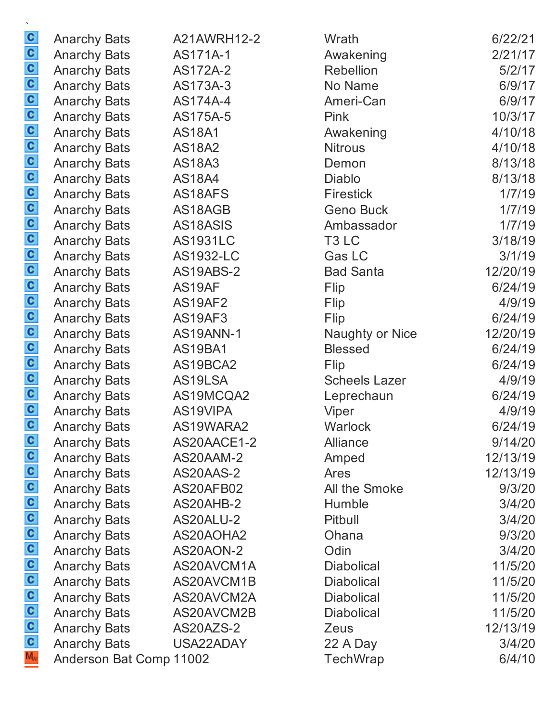|                  | <b>Anarchy Bats</b>     | A21AWRH12-2     | Wrath                  | 6/22/21  |
|------------------|-------------------------|-----------------|------------------------|----------|
|                  | <b>Anarchy Bats</b>     | AS171A-1        | Awakening              | 2/21/17  |
|                  | <b>Anarchy Bats</b>     | AS172A-2        | <b>Rebellion</b>       | 5/2/17   |
|                  | <b>Anarchy Bats</b>     | AS173A-3        | No Name                | 6/9/17   |
|                  | <b>Anarchy Bats</b>     | AS174A-4        | Ameri-Can              | 6/9/17   |
|                  | <b>Anarchy Bats</b>     | AS175A-5        | Pink                   | 10/3/17  |
|                  | <b>Anarchy Bats</b>     | <b>AS18A1</b>   | Awakening              | 4/10/18  |
|                  | <b>Anarchy Bats</b>     | <b>AS18A2</b>   | <b>Nitrous</b>         | 4/10/18  |
|                  | <b>Anarchy Bats</b>     | <b>AS18A3</b>   | Demon                  | 8/13/18  |
|                  | <b>Anarchy Bats</b>     | <b>AS18A4</b>   | <b>Diablo</b>          | 8/13/18  |
|                  | <b>Anarchy Bats</b>     | AS18AFS         | <b>Firestick</b>       | 1/7/19   |
|                  | <b>Anarchy Bats</b>     | AS18AGB         | <b>Geno Buck</b>       | 1/7/19   |
|                  | <b>Anarchy Bats</b>     | AS18ASIS        | Ambassador             | 1/7/19   |
|                  | <b>Anarchy Bats</b>     | <b>AS1931LC</b> | T <sub>3</sub> LC      | 3/18/19  |
|                  | <b>Anarchy Bats</b>     | AS1932-LC       | Gas LC                 | 3/1/19   |
|                  | <b>Anarchy Bats</b>     | AS19ABS-2       | <b>Bad Santa</b>       | 12/20/19 |
|                  | <b>Anarchy Bats</b>     | AS19AF          | Flip                   | 6/24/19  |
|                  | <b>Anarchy Bats</b>     | AS19AF2         | Flip                   | 4/9/19   |
|                  | <b>Anarchy Bats</b>     | AS19AF3         | Flip                   | 6/24/19  |
|                  | <b>Anarchy Bats</b>     | AS19ANN-1       | <b>Naughty or Nice</b> | 12/20/19 |
|                  | <b>Anarchy Bats</b>     | AS19BA1         | <b>Blessed</b>         | 6/24/19  |
|                  | <b>Anarchy Bats</b>     | AS19BCA2        | Flip                   | 6/24/19  |
|                  | <b>Anarchy Bats</b>     | AS19LSA         | <b>Scheels Lazer</b>   | 4/9/19   |
|                  | <b>Anarchy Bats</b>     | AS19MCQA2       | Leprechaun             | 6/24/19  |
|                  | <b>Anarchy Bats</b>     | AS19VIPA        | Viper                  | 4/9/19   |
|                  | <b>Anarchy Bats</b>     | AS19WARA2       | Warlock                | 6/24/19  |
|                  | <b>Anarchy Bats</b>     | AS20AACE1-2     | Alliance               | 9/14/20  |
|                  | <b>Anarchy Bats</b>     | AS20AAM-2       | Amped                  | 12/13/19 |
|                  | <b>Anarchy Bats</b>     | AS20AAS-2       | Ares                   | 12/13/19 |
|                  | <b>Anarchy Bats</b>     | AS20AFB02       | All the Smoke          | 9/3/20   |
|                  | <b>Anarchy Bats</b>     | AS20AHB-2       | Humble                 | 3/4/20   |
|                  | <b>Anarchy Bats</b>     | AS20ALU-2       | Pitbull                | 3/4/20   |
|                  | <b>Anarchy Bats</b>     | AS20AOHA2       | Ohana                  | 9/3/20   |
|                  | <b>Anarchy Bats</b>     | AS20AON-2       | Odin                   | 3/4/20   |
|                  | <b>Anarchy Bats</b>     | AS20AVCM1A      | <b>Diabolical</b>      | 11/5/20  |
|                  | <b>Anarchy Bats</b>     | AS20AVCM1B      | <b>Diabolical</b>      | 11/5/20  |
|                  | <b>Anarchy Bats</b>     | AS20AVCM2A      | <b>Diabolical</b>      | 11/5/20  |
| Fooooooooooooooo | <b>Anarchy Bats</b>     | AS20AVCM2B      | <b>Diabolical</b>      | 11/5/20  |
|                  | <b>Anarchy Bats</b>     | AS20AZS-2       | Zeus                   | 12/13/19 |
|                  | <b>Anarchy Bats</b>     | USA22ADAY       | 22 A Day               | 3/4/20   |
|                  | Anderson Bat Comp 11002 |                 | TechWrap               | 6/4/10   |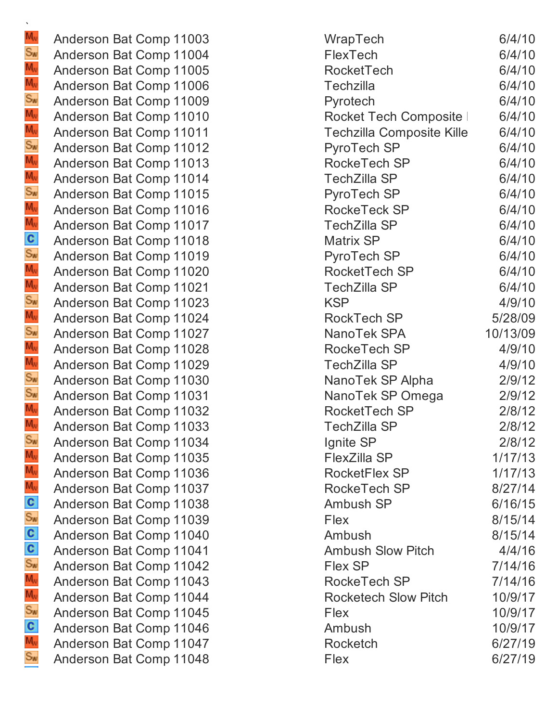Anderson Bat Comp 11003 Anderson Bat Comp 11004 Anderson Bat Comp 11005 Anderson Bat Comp 11006 Anderson Bat Comp 11009 Anderson Bat Comp 11010 Anderson Bat Comp 11011 Anderson Bat Comp 11012 Anderson Bat Comp 11013 Anderson Bat Comp 11014 Anderson Bat Comp 11015 Anderson Bat Comp 11016 Anderson Bat Comp 11017 Anderson Bat Comp 11018 Anderson Bat Comp 11019 Anderson Bat Comp 11020 Anderson Bat Comp 11021 Anderson Bat Comp 11023 Anderson Bat Comp 11024 Anderson Bat Comp 11027 Anderson Bat Comp 11028 Anderson Bat Comp 11029 Anderson Bat Comp 11030 Anderson Bat Comp 11031 Anderson Bat Comp 11032 Anderson Bat Comp 11033 Anderson Bat Comp 11034 Anderson Bat Comp 11035 Anderson Bat Comp 11036 Anderson Bat Comp 11037 Anderson Bat Comp 11038 Anderson Bat Comp 11039 Anderson Bat Comp 11040 Anderson Bat Comp 11041 Anderson Bat Comp 11042 Anderson Bat Comp 11043 Anderson Bat Comp 11044 Anderson Bat Comp 11045 Anderson Bat Comp 11046 Anderson Bat Comp 11047 Anderson Bat Comp 11048

| WrapTech                    | 6/4/10   |
|-----------------------------|----------|
| <b>FlexTech</b>             | 6/4/10   |
| <b>RocketTech</b>           | 6/4/10   |
| Techzilla                   | 6/4/10   |
| Pyrotech                    | 6/4/10   |
| Rocket Tech Composite       | 6/4/10   |
| Techzilla Composite Kille   | 6/4/10   |
| PyroTech SP                 | 6/4/10   |
| <b>RockeTech SP</b>         | 6/4/10   |
| TechZilla SP                | 6/4/10   |
| PyroTech SP                 | 6/4/10   |
| <b>RockeTeck SP</b>         | 6/4/10   |
| TechZilla SP                | 6/4/10   |
| <b>Matrix SP</b>            | 6/4/10   |
| PyroTech SP                 | 6/4/10   |
| <b>RocketTech SP</b>        | 6/4/10   |
| TechZilla SP                | 6/4/10   |
| KSP                         | 4/9/10   |
| <b>RockTech SP</b>          | 5/28/09  |
| NanoTek SPA                 | 10/13/09 |
| <b>RockeTech SP</b>         | 4/9/10   |
| TechZilla SP                | 4/9/10   |
| NanoTek SP Alpha            | 2/9/12   |
| NanoTek SP Omega            | 2/9/12   |
| <b>RocketTech SP</b>        | 2/8/12   |
| TechZilla SP                | 2/8/12   |
| Ignite SP                   | 2/8/12   |
| <b>FlexZilla SP</b>         | 1/17/13  |
| <b>RocketFlex SP</b>        | 1/17/13  |
| <b>RockeTech SP</b>         | 8/27/14  |
| Ambush SP                   | 6/16/15  |
| Flex                        | 8/15/14  |
| Ambush                      | 8/15/14  |
| Ambush Slow Pitch           | 4/4/16   |
| <b>Flex SP</b>              | 7/14/16  |
| RockeTech SP                | 7/14/16  |
| <b>Rocketech Slow Pitch</b> | 10/9/17  |
| Flex                        | 10/9/17  |
| Ambush                      | 10/9/17  |
| <b>Rocketch</b>             | 6/27/19  |
| Flex                        | 6/27/19  |
|                             |          |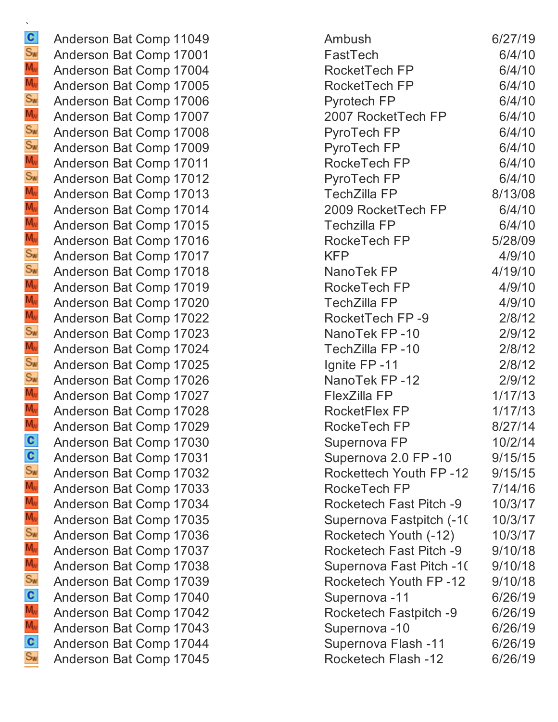Anderson Bat Comp 11049 Anderson Bat Comp 17001 Anderson Bat Comp 17004 Anderson Bat Comp 17005 Anderson Bat Comp 17006 Anderson Bat Comp 17007 Anderson Bat Comp 17008 Anderson Bat Comp 17009 Anderson Bat Comp 17011 Anderson Bat Comp 17012 Anderson Bat Comp 17013 Anderson Bat Comp 17014 Anderson Bat Comp 17015 Anderson Bat Comp 17016 Anderson Bat Comp 17017 Anderson Bat Comp 17018 Anderson Bat Comp 17019 Anderson Bat Comp 17020 Anderson Bat Comp 17022 Anderson Bat Comp 17023 Anderson Bat Comp 17024 Anderson Bat Comp 17025 Anderson Bat Comp 17026 Anderson Bat Comp 17027 Anderson Bat Comp 17028 Anderson Bat Comp 17029 Anderson Bat Comp 17030 Anderson Bat Comp 17031 Anderson Bat Comp 17032 Anderson Bat Comp 17033 Anderson Bat Comp 17034 Anderson Bat Comp 17035 Anderson Bat Comp 17036 Anderson Bat Comp 17037 Anderson Bat Comp 17038 Anderson Bat Comp 17039 Anderson Bat Comp 17040 Anderson Bat Comp 17042 Anderson Bat Comp 17043 Anderson Bat Comp 17044 Anderson Bat Comp 17045

| Ambush                         | 6/27/19 |
|--------------------------------|---------|
| FastTech                       | 6/4/10  |
| RocketTech FP                  | 6/4/10  |
| RocketTech FP                  | 6/4/10  |
| Pyrotech FP                    | 6/4/10  |
| 2007 RocketTech FP             | 6/4/10  |
| PyroTech FP                    | 6/4/10  |
| PyroTech FP                    | 6/4/10  |
| RockeTech FP                   | 6/4/10  |
| PyroTech FP                    | 6/4/10  |
| TechZilla FP                   | 8/13/08 |
| 2009 RocketTech FP             | 6/4/10  |
| Techzilla FP                   | 6/4/10  |
| RockeTech FP                   | 5/28/09 |
| KFP                            | 4/9/10  |
| NanoTek FP                     | 4/19/10 |
| RockeTech FP                   | 4/9/10  |
| TechZilla FP                   | 4/9/10  |
| RocketTech FP -9               | 2/8/12  |
| NanoTek FP-10                  | 2/9/12  |
| TechZilla FP -10               | 2/8/12  |
| Ignite FP-11                   | 2/8/12  |
| NanoTek FP-12                  | 2/9/12  |
| FlexZilla FP                   | 1/17/13 |
| RocketFlex FP                  | 1/17/13 |
| RockeTech FP                   | 8/27/14 |
| Supernova FP                   | 10/2/14 |
| Supernova 2.0 FP-10            | 9/15/15 |
| Rockettech Youth FP-12         | 9/15/15 |
| RockeTech FP                   | 7/14/16 |
| Rocketech Fast Pitch -9        | 10/3/17 |
| Supernova Fastpitch (-10       | 10/3/17 |
| Rocketech Youth (-12)          | 10/3/17 |
| <b>Rocketech Fast Pitch -9</b> | 9/10/18 |
| Supernova Fast Pitch -10       | 9/10/18 |
| Rocketech Youth FP -12         | 9/10/18 |
| Supernova -11                  | 6/26/19 |
| Rocketech Fastpitch -9         | 6/26/19 |
| Supernova -10                  | 6/26/19 |
| Supernova Flash -11            | 6/26/19 |
| <b>Rocketech Flash -12</b>     | 6/26/19 |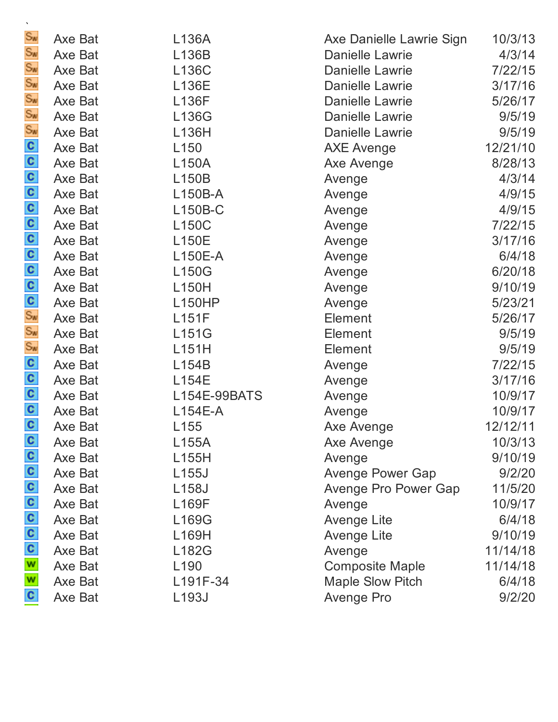| $S_{\text{W}}$            | Axe Bat | L136A              | Axe Danielle Lawrie Sign | 10/3/13  |
|---------------------------|---------|--------------------|--------------------------|----------|
| $S_{\text{W}}$            | Axe Bat | L136B              | <b>Danielle Lawrie</b>   | 4/3/14   |
| $S_{\text{W}}$            | Axe Bat | L136C              | Danielle Lawrie          | 7/22/15  |
| $S_{\mathbf{w}}$          | Axe Bat | L136E              | <b>Danielle Lawrie</b>   | 3/17/16  |
| Sw<br>Sw<br>Sw            | Axe Bat | <b>L136F</b>       | Danielle Lawrie          | 5/26/17  |
|                           | Axe Bat | L136G              | Danielle Lawrie          | 9/5/19   |
|                           | Axe Bat | L136H              | <b>Danielle Lawrie</b>   | 9/5/19   |
|                           | Axe Bat | L <sub>150</sub>   | <b>AXE Avenge</b>        | 12/21/10 |
|                           | Axe Bat | L150A              | Axe Avenge               | 8/28/13  |
|                           | Axe Bat | L150B              | Avenge                   | 4/3/14   |
|                           | Axe Bat | L150B-A            | Avenge                   | 4/9/15   |
|                           | Axe Bat | L150B-C            | Avenge                   | 4/9/15   |
|                           | Axe Bat | <b>L150C</b>       | Avenge                   | 7/22/15  |
|                           | Axe Bat | <b>L150E</b>       | Avenge                   | 3/17/16  |
|                           | Axe Bat | L150E-A            | Avenge                   | 6/4/18   |
|                           | Axe Bat | <b>L150G</b>       | Avenge                   | 6/20/18  |
|                           | Axe Bat | L150H              | Avenge                   | 9/10/19  |
|                           | Axe Bat | <b>L150HP</b>      | Avenge                   | 5/23/21  |
|                           | Axe Bat | L151F              | Element                  | 5/26/17  |
|                           | Axe Bat | L151G              | <b>Element</b>           | 9/5/19   |
| ၀၀၀၀၀၀ % & & cooooooooooo | Axe Bat | L151H              | Element                  | 9/5/19   |
|                           | Axe Bat | L154B              | Avenge                   | 7/22/15  |
|                           | Axe Bat | L154E              | Avenge                   | 3/17/16  |
|                           | Axe Bat | L154E-99BATS       | Avenge                   | 10/9/17  |
|                           | Axe Bat | $L154E-A$          | Avenge                   | 10/9/17  |
|                           | Axe Bat | L155               | Axe Avenge               | 12/12/11 |
|                           | Axe Bat | L155A              | Axe Avenge               | 10/3/13  |
|                           | Axe Bat | L155H              | Avenge                   | 9/10/19  |
|                           | Axe Bat | L <sub>155</sub> J | <b>Avenge Power Gap</b>  | 9/2/20   |
|                           | Axe Bat | L <sub>158</sub> J | Avenge Pro Power Gap     | 11/5/20  |
|                           | Axe Bat | L169F              | Avenge                   | 10/9/17  |
|                           | Axe Bat | L169G              | <b>Avenge Lite</b>       | 6/4/18   |
|                           | Axe Bat | L169H              | <b>Avenge Lite</b>       | 9/10/19  |
| 000000550                 | Axe Bat | L182G              | Avenge                   | 11/14/18 |
|                           | Axe Bat | L <sub>190</sub>   | <b>Composite Maple</b>   | 11/14/18 |
|                           | Axe Bat | L191F-34           | <b>Maple Slow Pitch</b>  | 6/4/18   |
|                           | Axe Bat | L193J              | <b>Avenge Pro</b>        | 9/2/20   |

`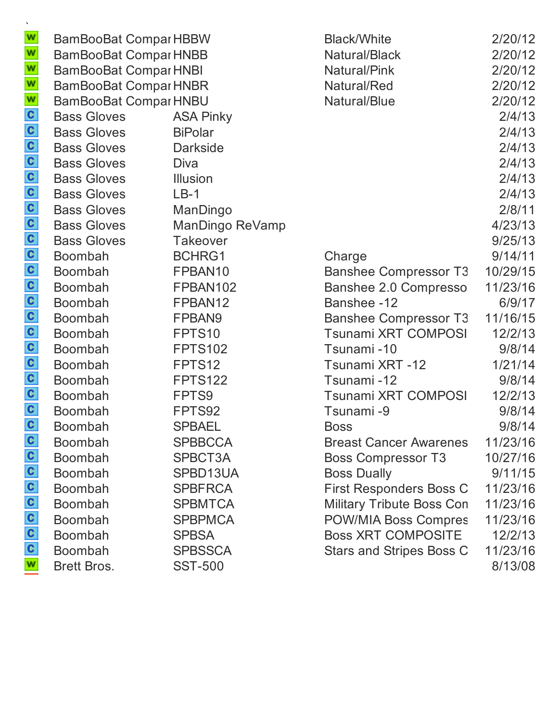|                    |                                                            | <b>Black/White</b>                                                                                                                                                                                                                           | 2/20/12                                                                                                                         |
|--------------------|------------------------------------------------------------|----------------------------------------------------------------------------------------------------------------------------------------------------------------------------------------------------------------------------------------------|---------------------------------------------------------------------------------------------------------------------------------|
|                    |                                                            | Natural/Black                                                                                                                                                                                                                                | 2/20/12                                                                                                                         |
|                    |                                                            | Natural/Pink                                                                                                                                                                                                                                 | 2/20/12                                                                                                                         |
|                    |                                                            | Natural/Red                                                                                                                                                                                                                                  | 2/20/12                                                                                                                         |
|                    |                                                            | Natural/Blue                                                                                                                                                                                                                                 | 2/20/12                                                                                                                         |
| <b>Bass Gloves</b> | <b>ASA Pinky</b>                                           |                                                                                                                                                                                                                                              | 2/4/13                                                                                                                          |
| <b>Bass Gloves</b> | <b>BiPolar</b>                                             |                                                                                                                                                                                                                                              | 2/4/13                                                                                                                          |
| <b>Bass Gloves</b> | <b>Darkside</b>                                            |                                                                                                                                                                                                                                              | 2/4/13                                                                                                                          |
| <b>Bass Gloves</b> | Diva                                                       |                                                                                                                                                                                                                                              | 2/4/13                                                                                                                          |
| <b>Bass Gloves</b> | <b>Illusion</b>                                            |                                                                                                                                                                                                                                              | 2/4/13                                                                                                                          |
| <b>Bass Gloves</b> | $LB-1$                                                     |                                                                                                                                                                                                                                              | 2/4/13                                                                                                                          |
| <b>Bass Gloves</b> | ManDingo                                                   |                                                                                                                                                                                                                                              | 2/8/11                                                                                                                          |
| <b>Bass Gloves</b> | ManDingo ReVamp                                            |                                                                                                                                                                                                                                              | 4/23/13                                                                                                                         |
| <b>Bass Gloves</b> | <b>Takeover</b>                                            |                                                                                                                                                                                                                                              | 9/25/13                                                                                                                         |
| Boombah            | BCHRG1                                                     | Charge                                                                                                                                                                                                                                       | 9/14/11                                                                                                                         |
| Boombah            | FPBAN10                                                    | <b>Banshee Compressor T3</b>                                                                                                                                                                                                                 | 10/29/15                                                                                                                        |
| <b>Boombah</b>     | FPBAN102                                                   | Banshee 2.0 Compresso                                                                                                                                                                                                                        | 11/23/16                                                                                                                        |
| Boombah            | FPBAN12                                                    | Banshee -12                                                                                                                                                                                                                                  | 6/9/17                                                                                                                          |
| Boombah            | FPBAN9                                                     | <b>Banshee Compressor T3</b>                                                                                                                                                                                                                 | 11/16/15                                                                                                                        |
| Boombah            | FPTS10                                                     | Tsunami XRT COMPOSI                                                                                                                                                                                                                          | 12/2/13                                                                                                                         |
| Boombah            | <b>FPTS102</b>                                             | Tsunami-10                                                                                                                                                                                                                                   | 9/8/14                                                                                                                          |
| <b>Boombah</b>     | FPTS12                                                     | Tsunami XRT -12                                                                                                                                                                                                                              | 1/21/14                                                                                                                         |
| <b>Boombah</b>     | <b>FPTS122</b>                                             | Tsunami-12                                                                                                                                                                                                                                   | 9/8/14                                                                                                                          |
| Boombah            | FPTS9                                                      | Tsunami XRT COMPOSI                                                                                                                                                                                                                          | 12/2/13                                                                                                                         |
| Boombah            | FPTS92                                                     | Tsunami-9                                                                                                                                                                                                                                    | 9/8/14                                                                                                                          |
| <b>Boombah</b>     |                                                            | <b>Boss</b>                                                                                                                                                                                                                                  | 9/8/14                                                                                                                          |
| <b>Boombah</b>     | <b>SPBBCCA</b>                                             | <b>Breast Cancer Awarenes</b>                                                                                                                                                                                                                | 11/23/16                                                                                                                        |
| <b>Boombah</b>     | SPBCT3A                                                    | <b>Boss Compressor T3</b>                                                                                                                                                                                                                    | 10/27/16                                                                                                                        |
| <b>Boombah</b>     |                                                            | <b>Boss Dually</b>                                                                                                                                                                                                                           | 9/11/15                                                                                                                         |
| <b>Boombah</b>     | <b>SPBFRCA</b>                                             | <b>First Responders Boss C</b>                                                                                                                                                                                                               | 11/23/16                                                                                                                        |
|                    | <b>SPBMTCA</b>                                             |                                                                                                                                                                                                                                              | 11/23/16                                                                                                                        |
| <b>Boombah</b>     | <b>SPBPMCA</b>                                             |                                                                                                                                                                                                                                              | 11/23/16                                                                                                                        |
|                    |                                                            |                                                                                                                                                                                                                                              | 12/2/13                                                                                                                         |
|                    |                                                            |                                                                                                                                                                                                                                              | 11/23/16                                                                                                                        |
|                    |                                                            |                                                                                                                                                                                                                                              | 8/13/08                                                                                                                         |
|                    | Boombah<br><b>Boombah</b><br>Boombah<br><b>Brett Bros.</b> | <b>BamBooBat ComparHBBW</b><br><b>BamBooBat Compar HNBB</b><br><b>BamBooBat Compar HNBI</b><br><b>BamBooBat Compar HNBR</b><br><b>BamBooBat Compar HNBU</b><br><b>SPBAEL</b><br>SPBD13UA<br><b>SPBSA</b><br><b>SPBSSCA</b><br><b>SST-500</b> | <b>Military Tribute Boss Con</b><br><b>POW/MIA Boss Compres</b><br><b>Boss XRT COMPOSITE</b><br><b>Stars and Stripes Boss C</b> |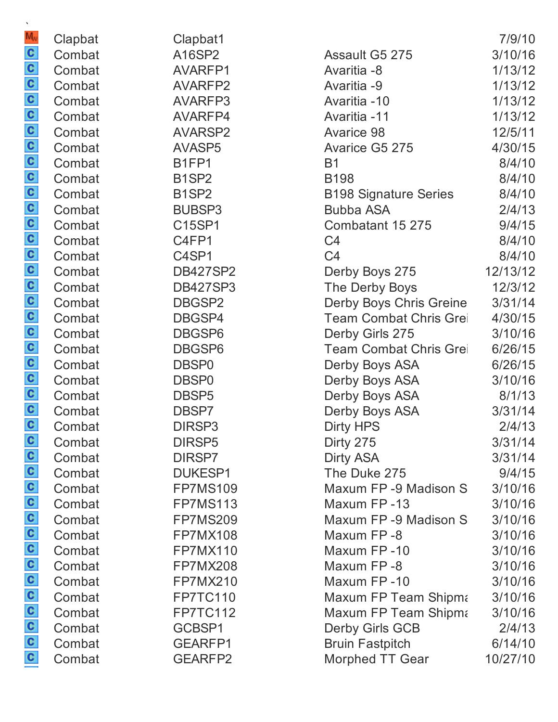| $M_{\rm W}$             | Clapbat | Clapbat1                       |                              | 7/9/10   |
|-------------------------|---------|--------------------------------|------------------------------|----------|
|                         | Combat  | A16SP2                         | Assault G5 275               | 3/10/16  |
|                         | Combat  | AVARFP1                        | Avaritia -8                  | 1/13/12  |
|                         | Combat  | AVARFP2                        | Avaritia -9                  | 1/13/12  |
|                         | Combat  | AVARFP3                        | Avaritia -10                 | 1/13/12  |
|                         | Combat  | AVARFP4                        | Avaritia -11                 | 1/13/12  |
|                         | Combat  | <b>AVARSP2</b>                 | <b>Avarice 98</b>            | 12/5/11  |
|                         | Combat  | AVASP5                         | Avarice G5 275               | 4/30/15  |
|                         | Combat  | B <sub>1</sub> FP <sub>1</sub> | <b>B1</b>                    | 8/4/10   |
|                         | Combat  | B <sub>1</sub> SP <sub>2</sub> | <b>B198</b>                  | 8/4/10   |
|                         | Combat  | B <sub>1</sub> SP <sub>2</sub> | <b>B198 Signature Series</b> | 8/4/10   |
|                         | Combat  | <b>BUBSP3</b>                  | <b>Bubba ASA</b>             | 2/4/13   |
|                         | Combat  | C15SP1                         | Combatant 15 275             | 9/4/15   |
|                         | Combat  | C4FP1                          | C <sub>4</sub>               | 8/4/10   |
|                         | Combat  | C4SP1                          | C <sub>4</sub>               | 8/4/10   |
|                         | Combat  | <b>DB427SP2</b>                | Derby Boys 275               | 12/13/12 |
|                         | Combat  | <b>DB427SP3</b>                | The Derby Boys               | 12/3/12  |
|                         | Combat  | DBGSP2                         | Derby Boys Chris Greine      | 3/31/14  |
|                         | Combat  | DBGSP4                         | Team Combat Chris Grei       | 4/30/15  |
|                         | Combat  | DBGSP6                         | Derby Girls 275              | 3/10/16  |
|                         | Combat  | DBGSP6                         | Team Combat Chris Grei       | 6/26/15  |
|                         | Combat  | DBSP <sub>0</sub>              | Derby Boys ASA               | 6/26/15  |
|                         | Combat  | DBSP <sub>0</sub>              | Derby Boys ASA               | 3/10/16  |
|                         | Combat  | DBSP <sub>5</sub>              | Derby Boys ASA               | 8/1/13   |
|                         | Combat  | DBSP7                          | Derby Boys ASA               | 3/31/14  |
|                         | Combat  | DIRSP3                         | <b>Dirty HPS</b>             | 2/4/13   |
|                         | Combat  | DIRSP5                         | Dirty 275                    | 3/31/14  |
|                         | Combat  | DIRSP7                         | <b>Dirty ASA</b>             | 3/31/14  |
|                         | Combat  | <b>DUKESP1</b>                 | The Duke 275                 | 9/4/15   |
|                         | Combat  | <b>FP7MS109</b>                | Maxum FP-9 Madison S         | 3/10/16  |
|                         | Combat  | <b>FP7MS113</b>                | Maxum FP-13                  | 3/10/16  |
|                         | Combat  | <b>FP7MS209</b>                | Maxum FP-9 Madison S         | 3/10/16  |
|                         | Combat  | <b>FP7MX108</b>                | Maxum FP-8                   | 3/10/16  |
|                         | Combat  | <b>FP7MX110</b>                | Maxum FP-10                  | 3/10/16  |
|                         | Combat  | <b>FP7MX208</b>                | Maxum FP-8                   | 3/10/16  |
|                         | Combat  | <b>FP7MX210</b>                | Maxum FP-10                  | 3/10/16  |
| a a a a a a a a a a a a | Combat  | <b>FP7TC110</b>                | Maxum FP Team Shipma         | 3/10/16  |
|                         | Combat  | <b>FP7TC112</b>                | Maxum FP Team Shipma         | 3/10/16  |
|                         | Combat  | GCBSP1                         | <b>Derby Girls GCB</b>       | 2/4/13   |
|                         | Combat  | GEARFP1                        | <b>Bruin Fastpitch</b>       | 6/14/10  |
|                         | Combat  | <b>GEARFP2</b>                 | <b>Morphed TT Gear</b>       | 10/27/10 |

 $\ddot{\phantom{0}}$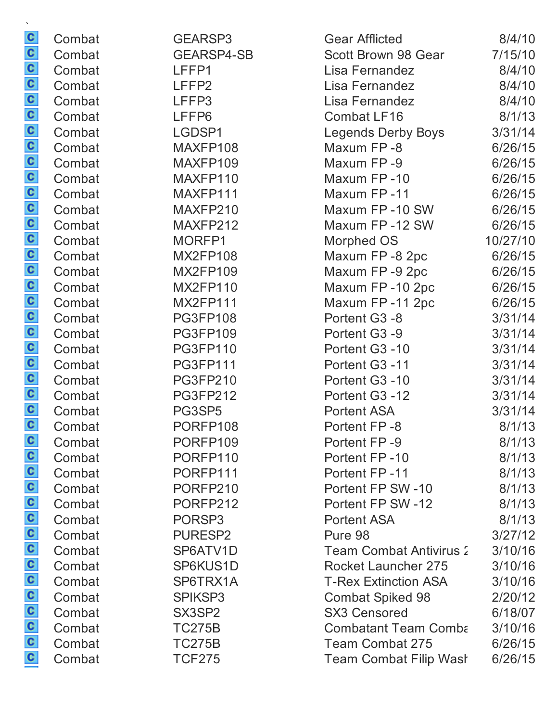| $\mathcal{N}$       |        |                   |                                |          |
|---------------------|--------|-------------------|--------------------------------|----------|
| $\mathbf{c}$        | Combat | GEARSP3           | <b>Gear Afflicted</b>          | 8/4/10   |
| $\mathbf{c}$        | Combat | <b>GEARSP4-SB</b> | Scott Brown 98 Gear            | 7/15/10  |
| $\mathbf{c}$        | Combat | LFFP1             | Lisa Fernandez                 | 8/4/10   |
| C                   | Combat | LFFP <sub>2</sub> | Lisa Fernandez                 | 8/4/10   |
| $\frac{1}{2}$ o o o | Combat | LFFP3             | Lisa Fernandez                 | 8/4/10   |
|                     | Combat | LFFP6             | <b>Combat LF16</b>             | 8/1/13   |
|                     | Combat | LGDSP1            | <b>Legends Derby Boys</b>      | 3/31/14  |
|                     | Combat | MAXFP108          | Maxum FP-8                     | 6/26/15  |
|                     | Combat | MAXFP109          | Maxum FP-9                     | 6/26/15  |
| a a a a a a a a a a | Combat | MAXFP110          | Maxum FP-10                    | 6/26/15  |
|                     | Combat | MAXFP111          | Maxum FP-11                    | 6/26/15  |
|                     | Combat | MAXFP210          | Maxum FP-10 SW                 | 6/26/15  |
|                     | Combat | MAXFP212          | Maxum FP-12 SW                 | 6/26/15  |
|                     | Combat | MORFP1            | Morphed OS                     | 10/27/10 |
|                     | Combat | <b>MX2FP108</b>   | Maxum FP-8 2pc                 | 6/26/15  |
|                     | Combat | <b>MX2FP109</b>   | Maxum FP-9 2pc                 | 6/26/15  |
|                     | Combat | <b>MX2FP110</b>   | Maxum FP-10 2pc                | 6/26/15  |
|                     | Combat | <b>MX2FP111</b>   | Maxum FP-11 2pc                | 6/26/15  |
|                     | Combat | <b>PG3FP108</b>   | Portent G3 -8                  | 3/31/14  |
|                     | Combat | <b>PG3FP109</b>   | Portent G3 -9                  | 3/31/14  |
|                     | Combat | <b>PG3FP110</b>   | Portent G3 -10                 | 3/31/14  |
| $\frac{c}{c}$       | Combat | <b>PG3FP111</b>   | Portent G3 -11                 | 3/31/14  |
|                     | Combat | <b>PG3FP210</b>   | Portent G3 -10                 | 3/31/14  |
| C                   | Combat | <b>PG3FP212</b>   | Portent G3 -12                 | 3/31/14  |
| $\frac{c}{c}$       | Combat | PG3SP5            | <b>Portent ASA</b>             | 3/31/14  |
|                     | Combat | PORFP108          | Portent FP-8                   | 8/1/13   |
| $\mathbf{c}$        | Combat | PORFP109          | Portent FP-9                   | 8/1/13   |
|                     | Combat | PORFP110          | Portent FP-10                  | 8/1/13   |
|                     | Combat | PORFP111          | Portent FP-11                  | 8/1/13   |
|                     | Combat | PORFP210          | Portent FP SW-10               | 8/1/13   |
|                     | Combat | PORFP212          | Portent FP SW-12               | 8/1/13   |
|                     | Combat | PORSP3            | <b>Portent ASA</b>             | 8/1/13   |
|                     | Combat | <b>PURESP2</b>    | Pure 98                        | 3/27/12  |
|                     | Combat | SP6ATV1D          | <b>Team Combat Antivirus 2</b> | 3/10/16  |
|                     | Combat | SP6KUS1D          | <b>Rocket Launcher 275</b>     | 3/10/16  |
| a a a a a a a a a a | Combat | SP6TRX1A          | <b>T-Rex Extinction ASA</b>    | 3/10/16  |
|                     | Combat | SPIKSP3           | <b>Combat Spiked 98</b>        | 2/20/12  |
|                     | Combat | SX3SP2            | <b>SX3 Censored</b>            | 6/18/07  |
|                     | Combat | <b>TC275B</b>     | <b>Combatant Team Comba</b>    | 3/10/16  |
| $\frac{c}{c}$       | Combat | <b>TC275B</b>     | <b>Team Combat 275</b>         | 6/26/15  |
|                     | Combat | <b>TCF275</b>     | <b>Team Combat Filip Wash</b>  | 6/26/15  |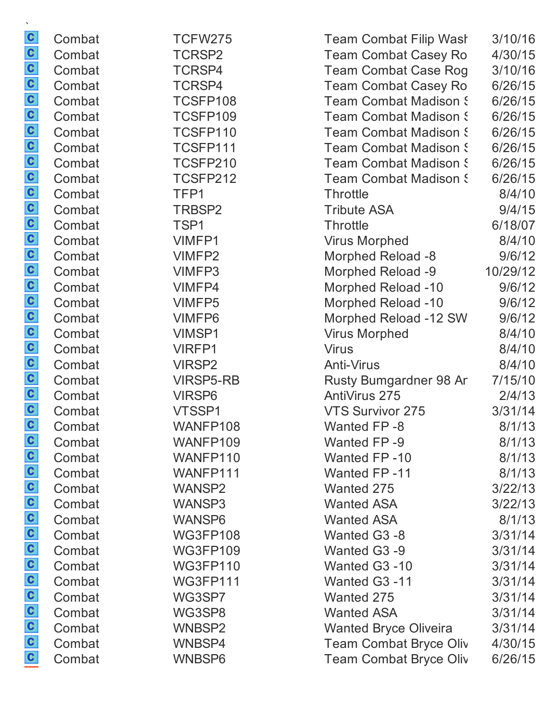| v                       |        |                         |
|-------------------------|--------|-------------------------|
| $\overline{\mathbf{c}}$ | Combat | <b>TCFW275</b>          |
| C                       | Combat | TCRSP2                  |
| $\mathbf{c}$            | Combat | TCRSP4                  |
| C                       | Combat | <b>TCRSP4</b>           |
| C                       | Combat | TCSFP108                |
| C                       | Combat | TCSFP109                |
| C                       | Combat | TCSFP110                |
| c                       | Combat | TCSFP111                |
| $\mathbf{c}$            | Combat | TCSFP210                |
| C                       | Combat | TCSFP212                |
| $\mathbf{c}$            | Combat | TFP1                    |
| $\overline{\mathbf{c}}$ | Combat | TRBSP2                  |
| C                       | Combat | TSP1                    |
| C                       | Combat | <b>VIMFP1</b>           |
| $\mathbf{c}$            | Combat | VIMFP2                  |
| C                       | Combat | <b>VIMFP3</b>           |
| C                       | Combat | <b>VIMFP4</b>           |
| C                       | Combat | <b>VIMFP5</b>           |
| C                       | Combat | <b>VIMFP6</b>           |
| c                       | Combat | <b>VIMSP1</b>           |
| $\mathbf{c}$            | Combat | <b>VIRFP1</b>           |
| C                       | Combat | <b>VIRSP2</b>           |
| C                       | Combat | <b>VIRSP5-RB</b>        |
| $\overline{\mathbf{c}}$ | Combat | <b>VIRSP6</b>           |
| c                       | Combat | VTSSP1                  |
| c                       | Combat | WANFP108                |
| $\mathbf{c}$            | Combat | WANFP109                |
| c                       | Combat | WANFP110                |
| c<br>C                  | Combat | WANFP111                |
| c                       | Combat | <b>WANSP2</b>           |
| c                       | Combat | <b>WANSP3</b>           |
| C                       | Combat | <b>WANSP6</b>           |
| C                       | Combat | <b>WG3FP108</b>         |
| C                       | Combat | <b>WG3FP109</b>         |
| C                       | Combat | <b>WG3FP110</b>         |
| c                       | Combat | <b>WG3FP111</b>         |
| c                       | Combat | WG3SP7                  |
| c                       | Combat | WG3SP8                  |
| c                       | Combat | <b>WNBSP2</b><br>WNBSP4 |
| c                       | Combat |                         |
|                         | Combat | <b>WNBSP6</b>           |

| Combat<br>TCRSP2<br><b>Team Combat Casey Ro</b><br>4/30/15<br>TCRSP4<br><b>Team Combat Case Rog</b><br>3/10/16 |  |
|----------------------------------------------------------------------------------------------------------------|--|
| Combat                                                                                                         |  |
|                                                                                                                |  |
| <b>Team Combat Casey Ro</b><br>Combat<br>TCRSP4<br>6/26/15                                                     |  |
| Combat<br>TCSFP108<br><b>Team Combat Madison S</b><br>6/26/15                                                  |  |
| TCSFP109<br><b>Team Combat Madison S</b><br>Combat<br>6/26/15                                                  |  |
| TCSFP110<br>6/26/15<br>Combat<br><b>Team Combat Madison S</b>                                                  |  |
| TCSFP111<br>6/26/15<br>Combat<br><b>Team Combat Madison S</b>                                                  |  |
| TCSFP210<br>Combat<br><b>Team Combat Madison S</b><br>6/26/15                                                  |  |
| TCSFP212<br>6/26/15<br>Combat<br><b>Team Combat Madison S</b>                                                  |  |
| Combat<br>TFP1<br><b>Throttle</b><br>8/4/10                                                                    |  |
| 9/4/15<br>Combat<br>TRBSP2<br><b>Tribute ASA</b>                                                               |  |
| 6/18/07<br>Combat<br>TSP <sub>1</sub><br><b>Throttle</b>                                                       |  |
| Combat<br><b>VIMFP1</b><br><b>Virus Morphed</b><br>8/4/10                                                      |  |
| 9/6/12<br>Combat<br>VIMFP2<br>Morphed Reload -8                                                                |  |
| Morphed Reload -9<br>Combat<br>VIMFP3<br>10/29/12                                                              |  |
| 9/6/12<br>Combat<br>VIMFP4<br><b>Morphed Reload -10</b>                                                        |  |
| <b>Morphed Reload -10</b><br>Combat<br><b>VIMFP5</b><br>9/6/12                                                 |  |
| Morphed Reload -12 SW<br>9/6/12<br>Combat<br><b>VIMFP6</b>                                                     |  |
| <b>VIMSP1</b><br><b>Virus Morphed</b><br>8/4/10<br>Combat                                                      |  |
| Combat<br><b>VIRFP1</b><br><b>Virus</b><br>8/4/10                                                              |  |
| 8/4/10<br>Combat<br><b>VIRSP2</b><br><b>Anti-Virus</b>                                                         |  |
| Combat<br><b>VIRSP5-RB</b><br>Rusty Bumgardner 98 Ar<br>7/15/10                                                |  |
| AntiVirus 275<br>2/4/13<br>Combat<br><b>VIRSP6</b>                                                             |  |
| 3/31/14<br>Combat<br>VTSSP1<br>VTS Survivor 275                                                                |  |
| Combat<br>WANFP108<br>8/1/13<br>Wanted FP-8                                                                    |  |
| WANFP109<br>8/1/13<br>Combat<br>Wanted FP-9                                                                    |  |
| Combat<br>WANFP110<br>Wanted FP-10<br>8/1/13                                                                   |  |
| <b>Wanted FP-11</b><br>Combat<br>WANFP111<br>8/1/13                                                            |  |
| Combat<br><b>WANSP2</b><br>Wanted 275<br>3/22/13                                                               |  |
| <b>Wanted ASA</b><br>3/22/13<br>Combat<br>WANSP3                                                               |  |
| <b>Wanted ASA</b><br>8/1/13<br>Combat<br>WANSP6                                                                |  |
| Combat<br><b>WG3FP108</b><br>Wanted G3 -8<br>3/31/14                                                           |  |
| Combat<br><b>WG3FP109</b><br>Wanted G3 -9<br>3/31/14                                                           |  |
| Wanted G3 -10<br>Combat<br><b>WG3FP110</b><br>3/31/14                                                          |  |
| Combat<br><b>WG3FP111</b><br>Wanted G3 -11<br>3/31/14                                                          |  |
| Combat<br>Wanted 275<br>3/31/14<br>WG3SP7                                                                      |  |
| Combat<br>WG3SP8<br><b>Wanted ASA</b><br>3/31/14                                                               |  |
| Combat<br><b>Wanted Bryce Oliveira</b><br>WNBSP2<br>3/31/14                                                    |  |
| WNBSP4<br><b>Team Combat Bryce Oliv</b><br>Combat<br>4/30/15                                                   |  |
| Combat<br>WNBSP6<br><b>Team Combat Bryce Oliv</b><br>6/26/15                                                   |  |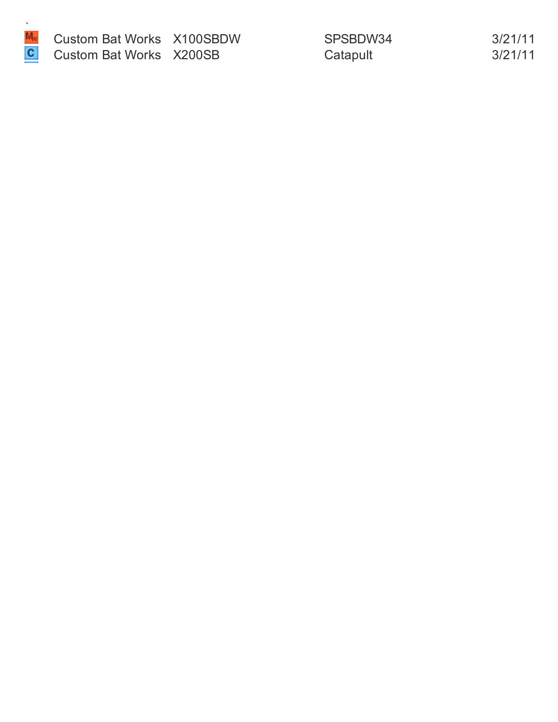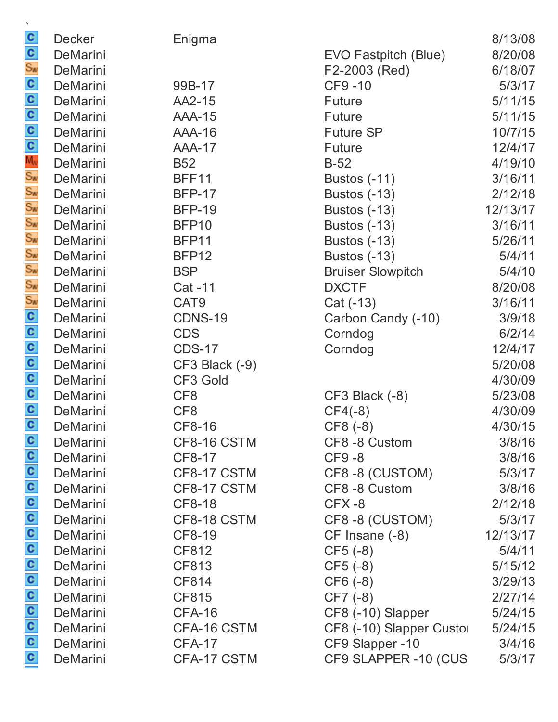| $\mathcal{N}$<br>$rac{c}{s_w}$                               | <b>Decker</b> | Enigma            |                          | 8/13/08  |
|--------------------------------------------------------------|---------------|-------------------|--------------------------|----------|
|                                                              | DeMarini      |                   | EVO Fastpitch (Blue)     | 8/20/08  |
|                                                              | DeMarini      |                   | F2-2003 (Red)            | 6/18/07  |
|                                                              | DeMarini      | 99B-17            | CF9-10                   | 5/3/17   |
|                                                              | DeMarini      | AA2-15            | <b>Future</b>            | 5/11/15  |
|                                                              | DeMarini      | <b>AAA-15</b>     | <b>Future</b>            | 5/11/15  |
|                                                              | DeMarini      | <b>AAA-16</b>     | <b>Future SP</b>         | 10/7/15  |
|                                                              | DeMarini      | <b>AAA-17</b>     | <b>Future</b>            | 12/4/17  |
| ပတ္ပြဲ ပတ္တြက္တြက္တြက္တြက္တြက္ၿပီး ေတြက ပတ္ပြဲ ပတ္ပြဲ ပတ္ပြဲ | DeMarini      | <b>B52</b>        | $B-52$                   | 4/19/10  |
|                                                              | DeMarini      | <b>BFF11</b>      | <b>Bustos (-11)</b>      | 3/16/11  |
|                                                              | DeMarini      | <b>BFP-17</b>     | <b>Bustos (-13)</b>      | 2/12/18  |
|                                                              | DeMarini      | <b>BFP-19</b>     | <b>Bustos (-13)</b>      | 12/13/17 |
|                                                              | DeMarini      | BFP <sub>10</sub> | <b>Bustos (-13)</b>      | 3/16/11  |
|                                                              | DeMarini      | BFP11             | <b>Bustos (-13)</b>      | 5/26/11  |
|                                                              | DeMarini      | BFP12             | <b>Bustos (-13)</b>      | 5/4/11   |
|                                                              | DeMarini      | <b>BSP</b>        | <b>Bruiser Slowpitch</b> | 5/4/10   |
|                                                              | DeMarini      | Cat -11           | <b>DXCTF</b>             | 8/20/08  |
|                                                              | DeMarini      | CAT <sub>9</sub>  | Cat (-13)                | 3/16/11  |
|                                                              | DeMarini      | <b>CDNS-19</b>    | Carbon Candy (-10)       | 3/9/18   |
|                                                              | DeMarini      | <b>CDS</b>        | Corndog                  | 6/2/14   |
|                                                              | DeMarini      | <b>CDS-17</b>     | Corndog                  | 12/4/17  |
|                                                              | DeMarini      | CF3 Black (-9)    |                          | 5/20/08  |
|                                                              | DeMarini      | CF3 Gold          |                          | 4/30/09  |
|                                                              | DeMarini      | CF <sub>8</sub>   | CF3 Black (-8)           | 5/23/08  |
|                                                              | DeMarini      | CF <sub>8</sub>   | $CF4(-8)$                | 4/30/09  |
|                                                              | DeMarini      | CF8-16            | CF8 (-8)                 | 4/30/15  |
|                                                              | DeMarini      | CF8-16 CSTM       | CF8-8 Custom             | 3/8/16   |
|                                                              | DeMarini      | CF8-17            | CF9-8                    | 3/8/16   |
|                                                              | DeMarini      | CF8-17 CSTM       | CF8-8 (CUSTOM)           | 5/3/17   |
|                                                              | DeMarini      | CF8-17 CSTM       | CF8 -8 Custom            | 3/8/16   |
|                                                              | DeMarini      | CF8-18            | $CFX - 8$                | 2/12/18  |
|                                                              | DeMarini      | CF8-18 CSTM       | CF8-8 (CUSTOM)           | 5/3/17   |
|                                                              | DeMarini      | CF8-19            | CF Insane (-8)           | 12/13/17 |
|                                                              | DeMarini      | CF812             | $CF5(-8)$                | 5/4/11   |
|                                                              | DeMarini      | CF813             | $CF5(-8)$                | 5/15/12  |
|                                                              | DeMarini      | CF814             | $CF6(-8)$                | 3/29/13  |
|                                                              | DeMarini      | CF815             | $CF7(-8)$                | 2/27/14  |
|                                                              | DeMarini      | <b>CFA-16</b>     | CF8 (-10) Slapper        | 5/24/15  |
|                                                              | DeMarini      | CFA-16 CSTM       | CF8 (-10) Slapper Custo  | 5/24/15  |
| a a a a a a a a a a a a a                                    | DeMarini      | CFA-17            | CF9 Slapper -10          | 3/4/16   |
|                                                              | DeMarini      | CFA-17 CSTM       | CF9 SLAPPER -10 (CUS     | 5/3/17   |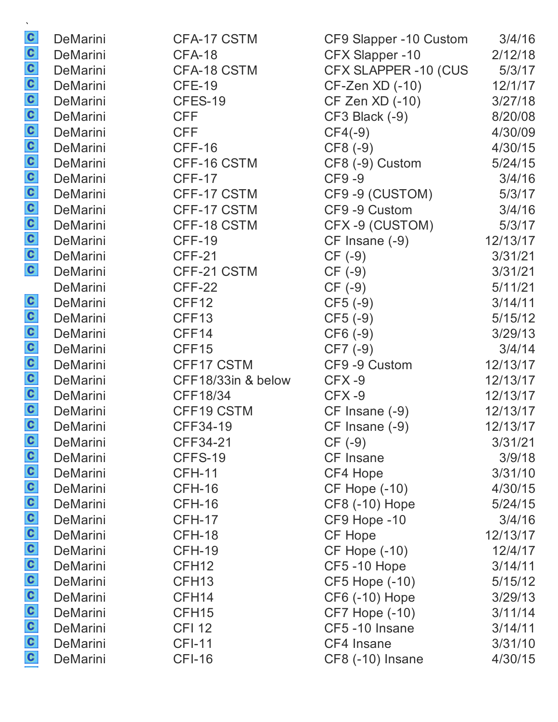|                             | DeMarini | CFA-17 CSTM        | CF9 Slapper -10 Custom | 3/4/16   |
|-----------------------------|----------|--------------------|------------------------|----------|
| a a a a a a a a a a a a a a | DeMarini | <b>CFA-18</b>      | CFX Slapper -10        | 2/12/18  |
|                             | DeMarini | CFA-18 CSTM        | CFX SLAPPER -10 (CUS   | 5/3/17   |
|                             | DeMarini | <b>CFE-19</b>      | CF-Zen XD (-10)        | 12/1/17  |
|                             | DeMarini | CFES-19            | CF Zen XD (-10)        | 3/27/18  |
|                             | DeMarini | <b>CFF</b>         | CF3 Black (-9)         | 8/20/08  |
|                             | DeMarini | <b>CFF</b>         | $CF4(-9)$              | 4/30/09  |
|                             | DeMarini | CFF-16             | CF8 (-9)               | 4/30/15  |
|                             | DeMarini | CFF-16 CSTM        | CF8 (-9) Custom        | 5/24/15  |
|                             | DeMarini | <b>CFF-17</b>      | CF9-9                  | 3/4/16   |
|                             | DeMarini | CFF-17 CSTM        | CF9-9 (CUSTOM)         | 5/3/17   |
|                             | DeMarini | CFF-17 CSTM        | CF9 -9 Custom          | 3/4/16   |
|                             | DeMarini | CFF-18 CSTM        | CFX-9 (CUSTOM)         | 5/3/17   |
|                             | DeMarini | CFF-19             | CF Insane (-9)         | 12/13/17 |
|                             | DeMarini | <b>CFF-21</b>      | $CF(-9)$               | 3/31/21  |
|                             | DeMarini | CFF-21 CSTM        | $CF(-9)$               | 3/31/21  |
|                             | DeMarini | CFF-22             | $CF(-9)$               | 5/11/21  |
|                             | DeMarini | CFF12              | $CF5(-9)$              | 3/14/11  |
|                             | DeMarini | CFF13              | $CF5(-9)$              | 5/15/12  |
|                             | DeMarini | CFF14              | $CF6(-9)$              | 3/29/13  |
|                             | DeMarini | CFF15              | $CF7(-9)$              | 3/4/14   |
|                             | DeMarini | CFF17 CSTM         | CF9 -9 Custom          | 12/13/17 |
| a a a a a a a               | DeMarini | CFF18/33in & below | CFX-9                  | 12/13/17 |
|                             | DeMarini | CFF18/34           | CFX-9                  | 12/13/17 |
|                             | DeMarini | CFF19 CSTM         | CF Insane (-9)         | 12/13/17 |
|                             | DeMarini | CFF34-19           | CF Insane (-9)         | 12/13/17 |
|                             | DeMarini | CFF34-21           | $CF(-9)$               | 3/31/21  |
|                             | DeMarini | CFFS-19            | CF Insane              | 3/9/18   |
|                             | DeMarini | <b>CFH-11</b>      | CF4 Hope               | 3/31/10  |
|                             | DeMarini | <b>CFH-16</b>      | <b>CF Hope (-10)</b>   | 4/30/15  |
|                             | DeMarini | <b>CFH-16</b>      | CF8 (-10) Hope         | 5/24/15  |
|                             | DeMarini | <b>CFH-17</b>      | CF9 Hope -10           | 3/4/16   |
|                             | DeMarini | <b>CFH-18</b>      | CF Hope                | 12/13/17 |
|                             | DeMarini | <b>CFH-19</b>      | <b>CF Hope (-10)</b>   | 12/4/17  |
|                             | DeMarini | CFH <sub>12</sub>  | CF5-10 Hope            | 3/14/11  |
| a a a a a a a a a a a a a a | DeMarini | CFH <sub>13</sub>  | <b>CF5 Hope (-10)</b>  | 5/15/12  |
|                             | DeMarini | CFH <sub>14</sub>  | CF6 (-10) Hope         | 3/29/13  |
|                             | DeMarini | CFH <sub>15</sub>  | <b>CF7 Hope (-10)</b>  | 3/11/14  |
|                             | DeMarini | <b>CFI 12</b>      | CF5-10 Insane          | 3/14/11  |
|                             | DeMarini | <b>CFI-11</b>      | CF4 Insane             | 3/31/10  |
|                             | DeMarini | <b>CFI-16</b>      | CF8 (-10) Insane       | 4/30/15  |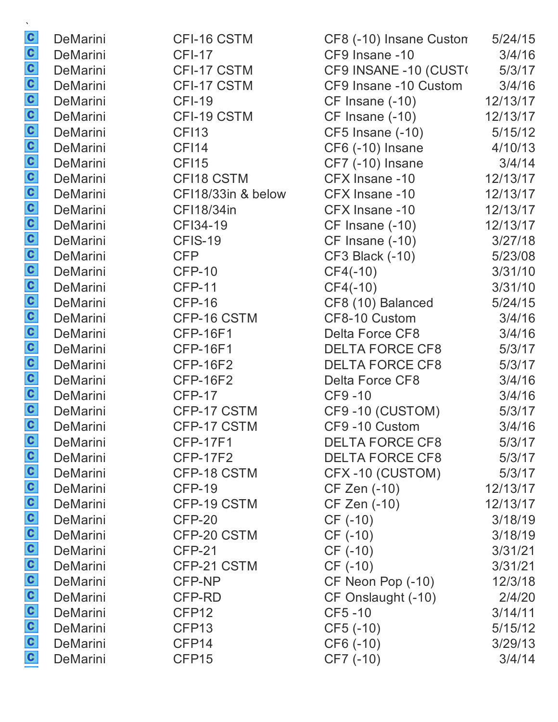|                         | DeMarini        | CFI-16 CSTM        | CF8 (-10) Insane Custon | 5/24/15  |
|-------------------------|-----------------|--------------------|-------------------------|----------|
|                         | <b>DeMarini</b> | <b>CFI-17</b>      | CF9 Insane -10          | 3/4/16   |
|                         | <b>DeMarini</b> | CFI-17 CSTM        | CF9 INSANE -10 (CUST)   | 5/3/17   |
|                         | DeMarini        | CFI-17 CSTM        | CF9 Insane -10 Custom   | 3/4/16   |
|                         | DeMarini        | <b>CFI-19</b>      | CF Insane (-10)         | 12/13/17 |
|                         | DeMarini        | CFI-19 CSTM        | CF Insane (-10)         | 12/13/17 |
|                         | DeMarini        | <b>CFI13</b>       | CF5 Insane (-10)        | 5/15/12  |
|                         | DeMarini        | <b>CFI14</b>       | CF6 (-10) Insane        | 4/10/13  |
|                         | DeMarini        | <b>CFI15</b>       | CF7 (-10) Insane        | 3/4/14   |
|                         | <b>DeMarini</b> | CFI18 CSTM         | CFX Insane -10          | 12/13/17 |
|                         | DeMarini        | CFI18/33in & below | CFX Insane -10          | 12/13/17 |
|                         | DeMarini        | CF118/34in         | CFX Insane -10          | 12/13/17 |
|                         | DeMarini        | CFI34-19           | $CF$ Insane $(-10)$     | 12/13/17 |
|                         | DeMarini        | CFIS-19            | CF Insane (-10)         | 3/27/18  |
|                         | DeMarini        | <b>CFP</b>         | <b>CF3 Black (-10)</b>  | 5/23/08  |
|                         | DeMarini        | <b>CFP-10</b>      | $CF4(-10)$              | 3/31/10  |
|                         | DeMarini        | <b>CFP-11</b>      | $CF4(-10)$              | 3/31/10  |
|                         | DeMarini        | <b>CFP-16</b>      | CF8 (10) Balanced       | 5/24/15  |
|                         | DeMarini        | CFP-16 CSTM        | CF8-10 Custom           | 3/4/16   |
|                         | <b>DeMarini</b> | <b>CFP-16F1</b>    | Delta Force CF8         | 3/4/16   |
|                         | DeMarini        | <b>CFP-16F1</b>    | <b>DELTA FORCE CF8</b>  | 5/3/17   |
|                         | <b>DeMarini</b> | <b>CFP-16F2</b>    | <b>DELTA FORCE CF8</b>  | 5/3/17   |
|                         | DeMarini        | <b>CFP-16F2</b>    | Delta Force CF8         | 3/4/16   |
|                         | DeMarini        | <b>CFP-17</b>      | CF9-10                  | 3/4/16   |
|                         | DeMarini        | CFP-17 CSTM        | CF9-10 (CUSTOM)         | 5/3/17   |
|                         | DeMarini        | CFP-17 CSTM        | CF9-10 Custom           | 3/4/16   |
| C                       | <b>DeMarini</b> | <b>CFP-17F1</b>    | <b>DELTA FORCE CF8</b>  | 5/3/17   |
|                         | <b>DeMarini</b> | <b>CFP-17F2</b>    | <b>DELTA FORCE CF8</b>  | 5/3/17   |
|                         | DeMarini        | CFP-18 CSTM        | CFX-10 (CUSTOM)         | 5/3/17   |
|                         | <b>DeMarini</b> | <b>CFP-19</b>      | CF Zen (-10)            | 12/13/17 |
|                         | <b>DeMarini</b> | CFP-19 CSTM        | CF Zen (-10)            | 12/13/17 |
|                         | DeMarini        | CFP-20             | CF (-10)                | 3/18/19  |
|                         | <b>DeMarini</b> | CFP-20 CSTM        | $CF (-10)$              | 3/18/19  |
|                         | DeMarini        | <b>CFP-21</b>      | $CF (-10)$              | 3/31/21  |
|                         | <b>DeMarini</b> | CFP-21 CSTM        | $CF(-10)$               | 3/31/21  |
|                         | <b>DeMarini</b> | CFP-NP             | CF Neon Pop (-10)       | 12/3/18  |
| a a a a a a a a a a a a | DeMarini        | CFP-RD             | CF Onslaught (-10)      | 2/4/20   |
|                         | <b>DeMarini</b> | CFP <sub>12</sub>  | CF5-10                  | 3/14/11  |
|                         | DeMarini        | CFP <sub>13</sub>  | $CF5(-10)$              | 5/15/12  |
|                         | <b>DeMarini</b> | CFP <sub>14</sub>  | CF6 (-10)               | 3/29/13  |
|                         | DeMarini        | CFP <sub>15</sub>  | CF7 (-10)               | 3/4/14   |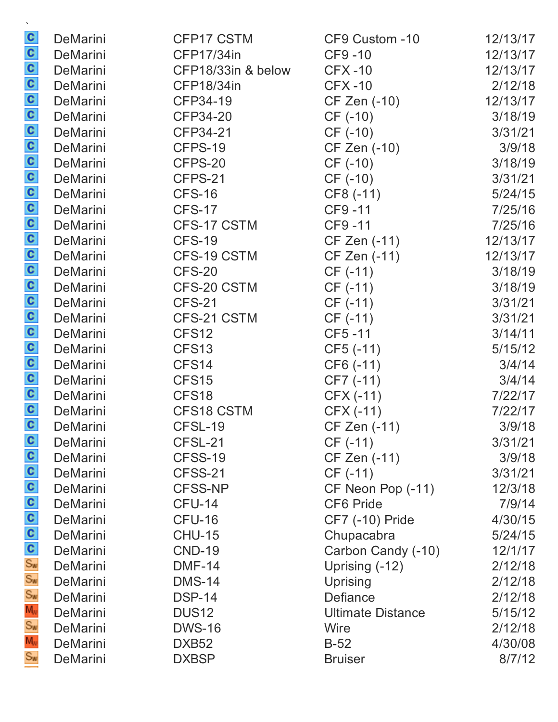|                        | DeMarini | CFP17 CSTM         | CF9 Custom -10           | 12/13/17 |
|------------------------|----------|--------------------|--------------------------|----------|
|                        | DeMarini | <b>CFP17/34in</b>  | CF9-10                   | 12/13/17 |
|                        | DeMarini | CFP18/33in & below | $CFX-10$                 | 12/13/17 |
|                        | DeMarini | <b>CFP18/34in</b>  | <b>CFX-10</b>            | 2/12/18  |
|                        | DeMarini | CFP34-19           | CF Zen (-10)             | 12/13/17 |
|                        | DeMarini | CFP34-20           | $CF (-10)$               | 3/18/19  |
|                        | DeMarini | CFP34-21           | $CF (-10)$               | 3/31/21  |
|                        | DeMarini | CFPS-19            | CF Zen (-10)             | 3/9/18   |
|                        | DeMarini | CFPS-20            | $CF (-10)$               | 3/18/19  |
|                        | DeMarini | CFPS-21            | CF (-10)                 | 3/31/21  |
|                        | DeMarini | <b>CFS-16</b>      | CF8 (-11)                | 5/24/15  |
|                        | DeMarini | <b>CFS-17</b>      | CF9-11                   | 7/25/16  |
|                        | DeMarini | CFS-17 CSTM        | CF9-11                   | 7/25/16  |
|                        | DeMarini | <b>CFS-19</b>      | CF Zen (-11)             | 12/13/17 |
|                        | DeMarini | CFS-19 CSTM        | CF Zen (-11)             | 12/13/17 |
|                        | DeMarini | <b>CFS-20</b>      | $CF (-11)$               | 3/18/19  |
|                        | DeMarini | CFS-20 CSTM        | $CF (-11)$               | 3/18/19  |
|                        | DeMarini | <b>CFS-21</b>      | $CF (-11)$               | 3/31/21  |
|                        | DeMarini | CFS-21 CSTM        | $CF (-11)$               | 3/31/21  |
|                        | DeMarini | CFS <sub>12</sub>  | CF5-11                   | 3/14/11  |
|                        | DeMarini | CFS <sub>13</sub>  | $CF5(-11)$               | 5/15/12  |
|                        | DeMarini | CFS14              | $CF6(-11)$               | 3/4/14   |
|                        | DeMarini | CFS15              | $CF7(-11)$               | 3/4/14   |
|                        | DeMarini | CFS <sub>18</sub>  | $CFX (-11)$              | 7/22/17  |
|                        | DeMarini | CFS18 CSTM         | CFX (-11)                | 7/22/17  |
|                        | DeMarini | CFSL-19            | <b>CF Zen (-11)</b>      | 3/9/18   |
|                        | DeMarini | CFSL-21            | $CF (-11)$               | 3/31/21  |
|                        | DeMarini | CFSS-19            | CF Zen (-11)             | 3/9/18   |
|                        | DeMarini | CFSS-21            | $CF (-11)$               | 3/31/21  |
| စ်ပါပါပါပါ။ အောက်ဆီ အီ | DeMarini | <b>CFSS-NP</b>     | CF Neon Pop (-11)        | 12/3/18  |
|                        | DeMarini | <b>CFU-14</b>      | <b>CF6 Pride</b>         | 7/9/14   |
|                        | DeMarini | CFU-16             | CF7 (-10) Pride          | 4/30/15  |
|                        | DeMarini | <b>CHU-15</b>      | Chupacabra               | 5/24/15  |
|                        | DeMarini | <b>CND-19</b>      | Carbon Candy (-10)       | 12/1/17  |
|                        | DeMarini | <b>DMF-14</b>      | Uprising (-12)           | 2/12/18  |
|                        | DeMarini | <b>DMS-14</b>      | Uprising                 | 2/12/18  |
|                        | DeMarini | <b>DSP-14</b>      | Defiance                 | 2/12/18  |
| Mw<br>Sw               | DeMarini | DUS <sub>12</sub>  | <b>Ultimate Distance</b> | 5/15/12  |
|                        | DeMarini | <b>DWS-16</b>      | Wire                     | 2/12/18  |
| Mw<br>Sw               | DeMarini | DXB <sub>52</sub>  | $B-52$                   | 4/30/08  |
|                        | DeMarini | <b>DXBSP</b>       | <b>Bruiser</b>           | 8/7/12   |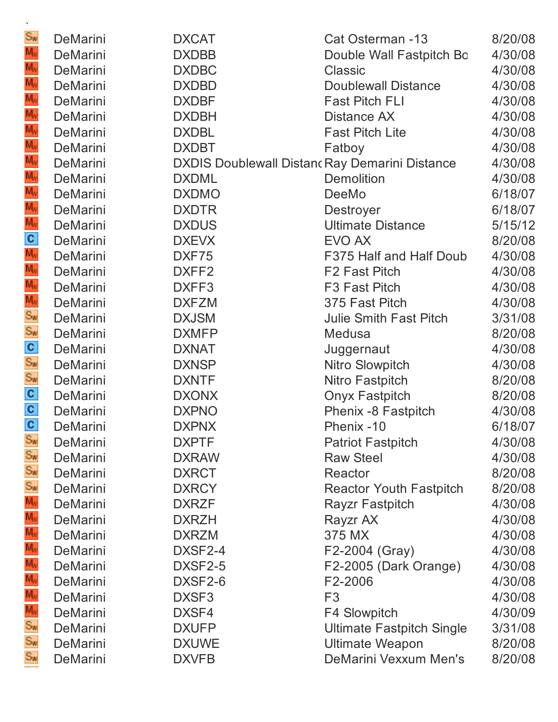| $S_{\text{w}}$                                          | DeMarini             | <b>DXCAT</b>                                          | Cat Osterman -13                                | 8/20/08            |
|---------------------------------------------------------|----------------------|-------------------------------------------------------|-------------------------------------------------|--------------------|
| $M_{\rm W}$                                             | DeMarini             | <b>DXDBB</b>                                          | Double Wall Fastpitch Bo                        | 4/30/08            |
| м,                                                      | DeMarini             | <b>DXDBC</b>                                          | <b>Classic</b>                                  | 4/30/08            |
| M,                                                      | DeMarini             | <b>DXDBD</b>                                          | <b>Doublewall Distance</b>                      | 4/30/08            |
| м,                                                      | DeMarini             | <b>DXDBF</b>                                          | <b>Fast Pitch FLI</b>                           | 4/30/08            |
| м,<br>M <sub>v</sub>                                    | DeMarini             | <b>DXDBH</b>                                          | Distance AX                                     | 4/30/08            |
| M,                                                      | DeMarini             | <b>DXDBL</b>                                          | <b>Fast Pitch Lite</b>                          | 4/30/08            |
|                                                         | DeMarini             | <b>DXDBT</b>                                          | Fatboy                                          | 4/30/08            |
| M,<br>M,                                                | DeMarini             | <b>DXDIS Doublewall Distanc Ray Demarini Distance</b> |                                                 | 4/30/08            |
| м,                                                      | <b>DeMarini</b>      | <b>DXDML</b>                                          | <b>Demolition</b>                               | 4/30/08            |
| M,                                                      | DeMarini             | <b>DXDMO</b>                                          | DeeMo                                           | 6/18/07            |
| M,                                                      | DeMarini             | <b>DXDTR</b>                                          | <b>Destroyer</b>                                | 6/18/07            |
|                                                         | DeMarini             | <b>DXDUS</b>                                          | <b>Ultimate Distance</b>                        | 5/15/12            |
| $\frac{C}{M_v}$                                         | DeMarini             | <b>DXEVX</b>                                          | EVO AX                                          | 8/20/08            |
|                                                         | DeMarini             | DXF75                                                 | F375 Half and Half Doub                         | 4/30/08            |
| $M_{\rm W}$                                             | DeMarini             | DXFF <sub>2</sub>                                     | F <sub>2</sub> Fast Pitch                       | 4/30/08            |
|                                                         | DeMarini             | DXFF3<br><b>DXFZM</b>                                 | F <sub>3</sub> Fast Pitch                       | 4/30/08            |
|                                                         | DeMarini<br>DeMarini | <b>DXJSM</b>                                          | 375 Fast Pitch<br><b>Julie Smith Fast Pitch</b> | 4/30/08<br>3/31/08 |
|                                                         | DeMarini             | <b>DXMFP</b>                                          | Medusa                                          | 8/20/08            |
| M <sub>w</sub><br>S <sub>m</sub><br>C<br>S <sub>m</sub> | DeMarini             | <b>DXNAT</b>                                          | Juggernaut                                      | 4/30/08            |
|                                                         | DeMarini             | <b>DXNSP</b>                                          | Nitro Slowpitch                                 | 4/30/08            |
| Sw                                                      | DeMarini             | <b>DXNTF</b>                                          | Nitro Fastpitch                                 | 8/20/08            |
|                                                         | DeMarini             | <b>DXONX</b>                                          | <b>Onyx Fastpitch</b>                           | 8/20/08            |
| $\frac{c}{c}$                                           | DeMarini             | <b>DXPNO</b>                                          | Phenix -8 Fastpitch                             | 4/30/08            |
|                                                         | DeMarini             | <b>DXPNX</b>                                          | Phenix -10                                      | 6/18/07            |
| $S_{\text{w}}$                                          | DeMarini             | <b>DXPTF</b>                                          | <b>Patriot Fastpitch</b>                        | 4/30/08            |
| Sw                                                      | DeMarini             | <b>DXRAW</b>                                          | <b>Raw Steel</b>                                | 4/30/08            |
|                                                         | DeMarini             | <b>DXRCT</b>                                          | Reactor                                         | 8/20/08            |
| Sw<br>Sw                                                | DeMarini             | <b>DXRCY</b>                                          | <b>Reactor Youth Fastpitch</b>                  | 8/20/08            |
| M <sub>v</sub>                                          | DeMarini             | <b>DXRZF</b>                                          | <b>Rayzr Fastpitch</b>                          | 4/30/08            |
| $M_{\rm W}$                                             | <b>DeMarini</b>      | <b>DXRZH</b>                                          | Rayzr AX                                        | 4/30/08            |
| M <sub>v</sub>                                          | DeMarini             | <b>DXRZM</b>                                          | 375 MX                                          | 4/30/08            |
| M <sub>v</sub>                                          | DeMarini             | DXSF2-4                                               | F2-2004 (Gray)                                  | 4/30/08            |
| м,                                                      | DeMarini             | DXSF2-5                                               | F2-2005 (Dark Orange)                           | 4/30/08            |
| м,                                                      | <b>DeMarini</b>      | DXSF2-6                                               | F2-2006                                         | 4/30/08            |
| M <sub>w</sub>                                          | <b>DeMarini</b>      | DXSF <sub>3</sub>                                     | F <sub>3</sub>                                  | 4/30/08            |
| $\frac{1}{M_v}$                                         | DeMarini             | DXSF4                                                 | F4 Slowpitch                                    | 4/30/09            |
| $S_w$                                                   | DeMarini             | <b>DXUFP</b>                                          | <b>Ultimate Fastpitch Single</b>                | 3/31/08            |
| Sw                                                      | DeMarini             | <b>DXUWE</b>                                          | <b>Ultimate Weapon</b>                          | 8/20/08            |
| Sw                                                      | DeMarini             | <b>DXVFB</b>                                          | <b>DeMarini Vexxum Men's</b>                    | 8/20/08            |
|                                                         |                      |                                                       |                                                 |                    |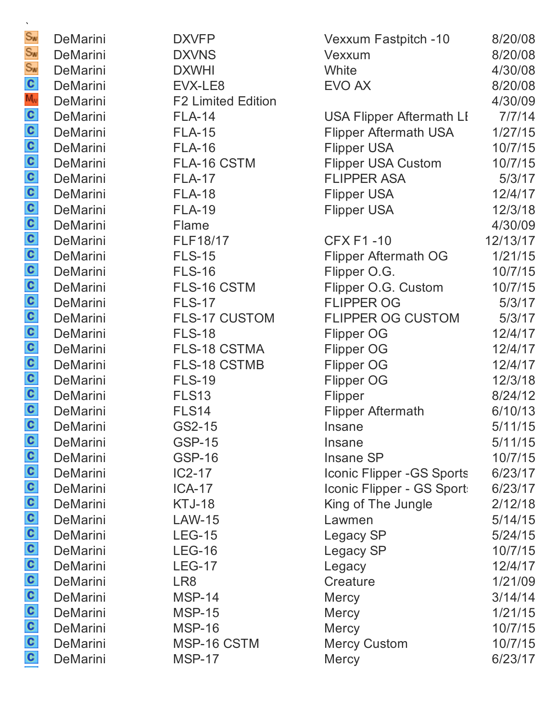| ×.                          |                 |                           |                                 |          |
|-----------------------------|-----------------|---------------------------|---------------------------------|----------|
| Sw                          | DeMarini        | <b>DXVFP</b>              | Vexxum Fastpitch -10            | 8/20/08  |
| Sw                          | DeMarini        | <b>DXVNS</b>              | Vexxum                          | 8/20/08  |
| Sw                          | DeMarini        | <b>DXWHI</b>              | White                           | 4/30/08  |
|                             | DeMarini        | EVX-LE8                   | EVO AX                          | 8/20/08  |
|                             | DeMarini        | <b>F2 Limited Edition</b> |                                 | 4/30/09  |
|                             | DeMarini        | <b>FLA-14</b>             | <b>USA Flipper Aftermath LI</b> | 7/7/14   |
|                             | DeMarini        | <b>FLA-15</b>             | <b>Flipper Aftermath USA</b>    | 1/27/15  |
|                             | DeMarini        | <b>FLA-16</b>             | <b>Flipper USA</b>              | 10/7/15  |
|                             | DeMarini        | FLA-16 CSTM               | <b>Flipper USA Custom</b>       | 10/7/15  |
|                             | DeMarini        | <b>FLA-17</b>             | <b>FLIPPER ASA</b>              | 5/3/17   |
|                             | DeMarini        | <b>FLA-18</b>             | <b>Flipper USA</b>              | 12/4/17  |
|                             | DeMarini        | <b>FLA-19</b>             | Flipper USA                     | 12/3/18  |
|                             | DeMarini        | Flame                     |                                 | 4/30/09  |
|                             | DeMarini        | <b>FLF18/17</b>           | <b>CFX F1-10</b>                | 12/13/17 |
|                             | DeMarini        | <b>FLS-15</b>             | <b>Flipper Aftermath OG</b>     | 1/21/15  |
|                             | DeMarini        | <b>FLS-16</b>             | Flipper O.G.                    | 10/7/15  |
|                             | DeMarini        | FLS-16 CSTM               | Flipper O.G. Custom             | 10/7/15  |
|                             | DeMarini        | <b>FLS-17</b>             | <b>FLIPPER OG</b>               | 5/3/17   |
|                             | DeMarini        | <b>FLS-17 CUSTOM</b>      | <b>FLIPPER OG CUSTOM</b>        | 5/3/17   |
|                             | DeMarini        | <b>FLS-18</b>             | <b>Flipper OG</b>               | 12/4/17  |
|                             | DeMarini        | <b>FLS-18 CSTMA</b>       | <b>Flipper OG</b>               | 12/4/17  |
|                             | DeMarini        | <b>FLS-18 CSTMB</b>       | <b>Flipper OG</b>               | 12/4/17  |
|                             | DeMarini        | <b>FLS-19</b>             | <b>Flipper OG</b>               | 12/3/18  |
|                             | DeMarini        | <b>FLS13</b>              | Flipper                         | 8/24/12  |
|                             | DeMarini        | FLS <sub>14</sub>         | <b>Flipper Aftermath</b>        | 6/10/13  |
|                             | DeMarini        | GS2-15                    | Insane                          | 5/11/15  |
|                             | <b>DeMarini</b> | <b>GSP-15</b>             | Insane                          | 5/11/15  |
|                             | DeMarini        | <b>GSP-16</b>             | Insane SP                       | 10/7/15  |
|                             | DeMarini        | $IC2-17$                  | Iconic Flipper - GS Sports      | 6/23/17  |
|                             | <b>DeMarini</b> | <b>ICA-17</b>             | Iconic Flipper - GS Sport       | 6/23/17  |
|                             | DeMarini        | <b>KTJ-18</b>             | King of The Jungle              | 2/12/18  |
|                             | DeMarini        | <b>LAW-15</b>             | Lawmen                          | 5/14/15  |
|                             | <b>DeMarini</b> | <b>LEG-15</b>             | Legacy SP                       | 5/24/15  |
|                             | DeMarini        | <b>LEG-16</b>             | Legacy SP                       | 10/7/15  |
|                             | DeMarini        | <b>LEG-17</b>             | Legacy                          | 12/4/17  |
| a a a a a a a a a a a a a a | DeMarini        | LR8                       | Creature                        | 1/21/09  |
|                             | DeMarini        | <b>MSP-14</b>             | <b>Mercy</b>                    | 3/14/14  |
|                             | DeMarini        | <b>MSP-15</b>             | <b>Mercy</b>                    | 1/21/15  |
|                             | DeMarini        | <b>MSP-16</b>             | Mercy                           | 10/7/15  |
|                             | DeMarini        | MSP-16 CSTM               | <b>Mercy Custom</b>             | 10/7/15  |
|                             | DeMarini        | <b>MSP-17</b>             | <b>Mercy</b>                    | 6/23/17  |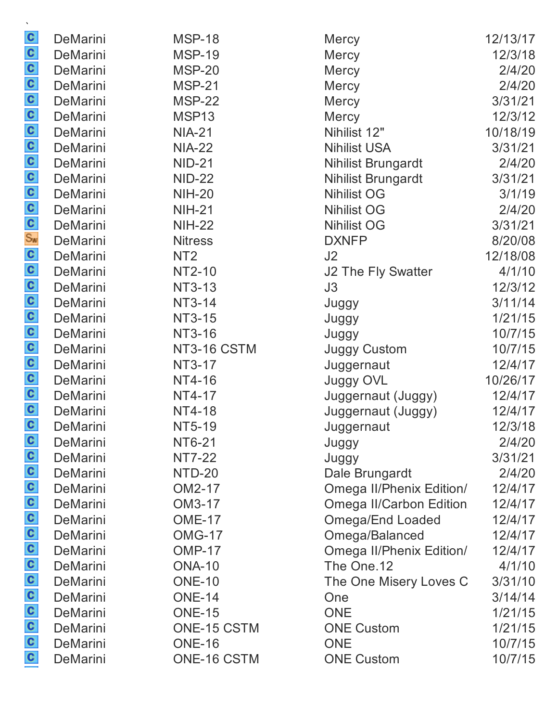| C                       | <b>DeMarini</b> | <b>MSP-18</b>   | <b>Mercy</b>                   | 12/13/17 |
|-------------------------|-----------------|-----------------|--------------------------------|----------|
|                         | DeMarini        | <b>MSP-19</b>   | <b>Mercy</b>                   | 12/3/18  |
|                         | DeMarini        | <b>MSP-20</b>   | <b>Mercy</b>                   | 2/4/20   |
|                         | <b>DeMarini</b> | <b>MSP-21</b>   | Mercy                          | 2/4/20   |
|                         | DeMarini        | <b>MSP-22</b>   | <b>Mercy</b>                   | 3/31/21  |
|                         | <b>DeMarini</b> | MSP13           | <b>Mercy</b>                   | 12/3/12  |
|                         | <b>DeMarini</b> | <b>NIA-21</b>   | Nihilist 12"                   | 10/18/19 |
|                         | <b>DeMarini</b> | <b>NIA-22</b>   | <b>Nihilist USA</b>            | 3/31/21  |
|                         | <b>DeMarini</b> | <b>NID-21</b>   | <b>Nihilist Brungardt</b>      | 2/4/20   |
|                         | DeMarini        | <b>NID-22</b>   | <b>Nihilist Brungardt</b>      | 3/31/21  |
|                         | <b>DeMarini</b> | <b>NIH-20</b>   | <b>Nihilist OG</b>             | 3/1/19   |
|                         | <b>DeMarini</b> | <b>NIH-21</b>   | <b>Nihilist OG</b>             | 2/4/20   |
|                         | <b>DeMarini</b> | <b>NIH-22</b>   | <b>Nihilist OG</b>             | 3/31/21  |
|                         | <b>DeMarini</b> | <b>Nitress</b>  | <b>DXNFP</b>                   | 8/20/08  |
|                         | <b>DeMarini</b> | NT <sub>2</sub> | J2                             | 12/18/08 |
|                         | <b>DeMarini</b> | NT2-10          | J2 The Fly Swatter             | 4/1/10   |
|                         | <b>DeMarini</b> | NT3-13          | J3                             | 12/3/12  |
|                         | <b>DeMarini</b> | NT3-14          | Juggy                          | 3/11/14  |
|                         | <b>DeMarini</b> | NT3-15          | Juggy                          | 1/21/15  |
|                         | <b>DeMarini</b> | NT3-16          | Juggy                          | 10/7/15  |
|                         | <b>DeMarini</b> | NT3-16 CSTM     | <b>Juggy Custom</b>            | 10/7/15  |
|                         | <b>DeMarini</b> | NT3-17          | Juggernaut                     | 12/4/17  |
|                         | <b>DeMarini</b> | NT4-16          | <b>Juggy OVL</b>               | 10/26/17 |
|                         | <b>DeMarini</b> | NT4-17          | Juggernaut (Juggy)             | 12/4/17  |
|                         | <b>DeMarini</b> | <b>NT4-18</b>   | Juggernaut (Juggy)             | 12/4/17  |
|                         | DeMarini        | NT5-19          | Juggernaut                     | 12/3/18  |
| C                       | <b>DeMarini</b> | NT6-21          | Juggy                          | 2/4/20   |
|                         | DeMarini        | <b>NT7-22</b>   | Juggy                          | 3/31/21  |
|                         | <b>DeMarini</b> | NTD-20          | Dale Brungardt                 | 2/4/20   |
|                         | <b>DeMarini</b> | OM2-17          | Omega II/Phenix Edition/       | 12/4/17  |
|                         | <b>DeMarini</b> | OM3-17          | <b>Omega II/Carbon Edition</b> | 12/4/17  |
|                         | <b>DeMarini</b> | <b>OME-17</b>   | Omega/End Loaded               | 12/4/17  |
|                         | <b>DeMarini</b> | <b>OMG-17</b>   | Omega/Balanced                 | 12/4/17  |
|                         | <b>DeMarini</b> | <b>OMP-17</b>   | Omega II/Phenix Edition/       | 12/4/17  |
|                         | <b>DeMarini</b> | <b>ONA-10</b>   | The One.12                     | 4/1/10   |
| a a a a a a a a a a a a | <b>DeMarini</b> | <b>ONE-10</b>   | The One Misery Loves C         | 3/31/10  |
|                         | <b>DeMarini</b> | <b>ONE-14</b>   | One                            | 3/14/14  |
|                         | DeMarini        | <b>ONE-15</b>   | <b>ONE</b>                     | 1/21/15  |
|                         | <b>DeMarini</b> | ONE-15 CSTM     | <b>ONE Custom</b>              | 1/21/15  |
|                         | <b>DeMarini</b> | <b>ONE-16</b>   | <b>ONE</b>                     | 10/7/15  |
|                         | <b>DeMarini</b> | ONE-16 CSTM     | <b>ONE Custom</b>              | 10/7/15  |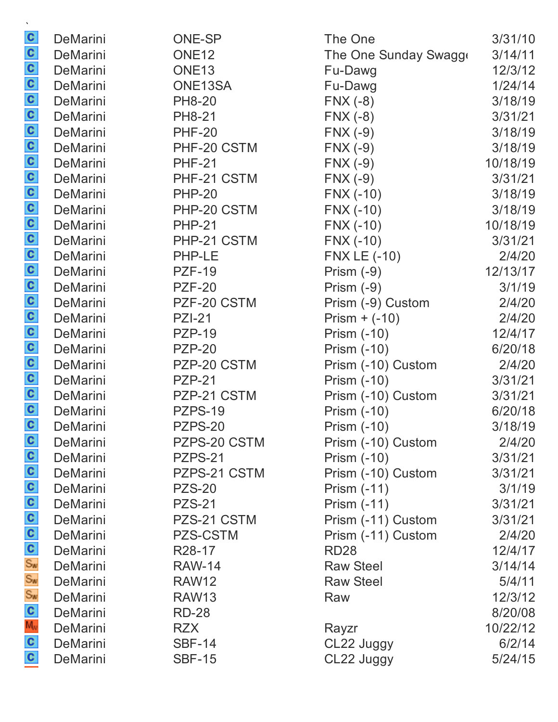| C                 | DeMarini        | <b>ONE-SP</b>       | The One               | 3/31/10  |
|-------------------|-----------------|---------------------|-----------------------|----------|
|                   | <b>DeMarini</b> | ONE <sub>12</sub>   | The One Sunday Swagge | 3/14/11  |
|                   | <b>DeMarini</b> | ONE <sub>13</sub>   | Fu-Dawg               | 12/3/12  |
|                   | <b>DeMarini</b> | ONE13SA             | Fu-Dawg               | 1/24/14  |
|                   | <b>DeMarini</b> | <b>PH8-20</b>       | $FNX(-8)$             | 3/18/19  |
|                   | DeMarini        | <b>PH8-21</b>       | $FNX(-8)$             | 3/31/21  |
|                   | <b>DeMarini</b> | <b>PHF-20</b>       | $FNX(-9)$             | 3/18/19  |
|                   | <b>DeMarini</b> | PHF-20 CSTM         | $FNX(-9)$             | 3/18/19  |
|                   | DeMarini        | <b>PHF-21</b>       | $FNX(-9)$             | 10/18/19 |
|                   | <b>DeMarini</b> | PHF-21 CSTM         | $FNX(-9)$             | 3/31/21  |
|                   | DeMarini        | <b>PHP-20</b>       | $FNX(-10)$            | 3/18/19  |
|                   | DeMarini        | PHP-20 CSTM         | FNX (-10)             | 3/18/19  |
|                   | DeMarini        | <b>PHP-21</b>       | $FNX(-10)$            | 10/18/19 |
|                   | DeMarini        | PHP-21 CSTM         | $FNX (-10)$           | 3/31/21  |
|                   | <b>DeMarini</b> | PHP-LE              | <b>FNX LE (-10)</b>   | 2/4/20   |
|                   | DeMarini        | <b>PZF-19</b>       | Prism $(-9)$          | 12/13/17 |
|                   | <b>DeMarini</b> | <b>PZF-20</b>       | Prism $(-9)$          | 3/1/19   |
|                   | DeMarini        | PZF-20 CSTM         | Prism (-9) Custom     | 2/4/20   |
|                   | <b>DeMarini</b> | <b>PZI-21</b>       | Prism $+$ (-10)       | 2/4/20   |
|                   | <b>DeMarini</b> | <b>PZP-19</b>       | <b>Prism (-10)</b>    | 12/4/17  |
|                   | <b>DeMarini</b> | <b>PZP-20</b>       | Prism (-10)           | 6/20/18  |
|                   | <b>DeMarini</b> | PZP-20 CSTM         | Prism (-10) Custom    | 2/4/20   |
|                   | DeMarini        | <b>PZP-21</b>       | Prism (-10)           | 3/31/21  |
|                   | DeMarini        | PZP-21 CSTM         | Prism (-10) Custom    | 3/31/21  |
|                   | DeMarini        | <b>PZPS-19</b>      | <b>Prism (-10)</b>    | 6/20/18  |
|                   | DeMarini        | PZPS-20             | <b>Prism (-10)</b>    | 3/18/19  |
| C                 | <b>DeMarini</b> | PZPS-20 CSTM        | Prism (-10) Custom    | 2/4/20   |
| စ်ပစ်ပစ်ပီး အီးအီ | DeMarini        | PZPS-21             | Prism (-10)           | 3/31/21  |
|                   | <b>DeMarini</b> | PZPS-21 CSTM        | Prism (-10) Custom    | 3/31/21  |
|                   | <b>DeMarini</b> | <b>PZS-20</b>       | <b>Prism (-11)</b>    | 3/1/19   |
|                   | <b>DeMarini</b> | <b>PZS-21</b>       | <b>Prism (-11)</b>    | 3/31/21  |
|                   | DeMarini        | PZS-21 CSTM         | Prism (-11) Custom    | 3/31/21  |
|                   | <b>DeMarini</b> | PZS-CSTM            | Prism (-11) Custom    | 2/4/20   |
|                   | <b>DeMarini</b> | R <sub>28</sub> -17 | <b>RD28</b>           | 12/4/17  |
|                   | DeMarini        | <b>RAW-14</b>       | <b>Raw Steel</b>      | 3/14/14  |
|                   | <b>DeMarini</b> | <b>RAW12</b>        | <b>Raw Steel</b>      | 5/4/11   |
|                   | <b>DeMarini</b> | <b>RAW13</b>        | Raw                   | 12/3/12  |
| $\frac{1}{2}$ o   | <b>DeMarini</b> | <b>RD-28</b>        |                       | 8/20/08  |
|                   | DeMarini        | <b>RZX</b>          | Rayzr                 | 10/22/12 |
|                   | DeMarini        | <b>SBF-14</b>       | CL22 Juggy            | 6/2/14   |
|                   | <b>DeMarini</b> | <b>SBF-15</b>       | CL22 Juggy            | 5/24/15  |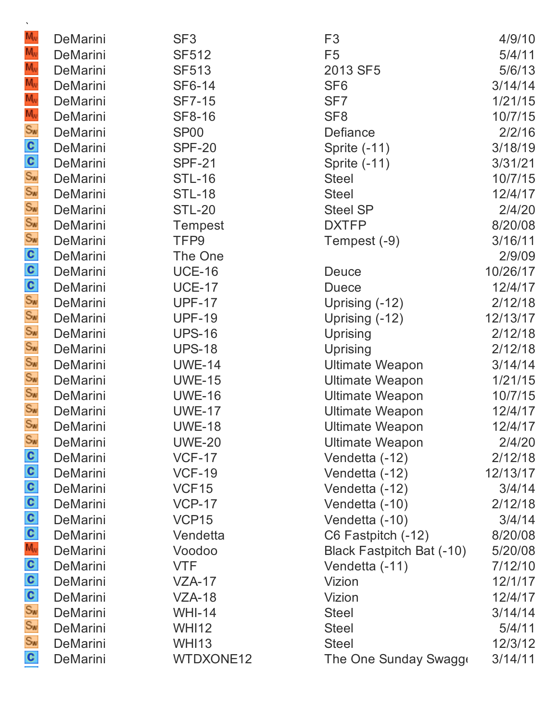| $M_{\rm v}$                 | DeMarini                    | SF <sub>3</sub>                    | F <sub>3</sub>                   | 4/9/10            |
|-----------------------------|-----------------------------|------------------------------------|----------------------------------|-------------------|
| $M_{\rm v}$                 | DeMarini                    | <b>SF512</b>                       | F <sub>5</sub>                   | 5/4/11            |
| $M_{\rm v}$                 | DeMarini                    | <b>SF513</b>                       | 2013 SF5                         | 5/6/13            |
| $M_{\rm v}$                 | <b>DeMarini</b>             | SF6-14                             | SF <sub>6</sub>                  | 3/14/14           |
| $M_{\rm W}$                 | DeMarini                    | <b>SF7-15</b>                      | SF <sub>7</sub>                  | 1/21/15           |
| M <sub>v</sub><br>Sw        | <b>DeMarini</b>             | <b>SF8-16</b>                      | SF <sub>8</sub>                  | 10/7/15           |
|                             | DeMarini                    | <b>SP00</b>                        | Defiance                         | 2/2/16            |
|                             | DeMarini                    | <b>SPF-20</b>                      | Sprite $(-11)$                   | 3/18/19           |
| တ္ ေလး ေပး                  | DeMarini                    | <b>SPF-21</b>                      | Sprite $(-11)$                   | 3/31/21           |
|                             | DeMarini                    | <b>STL-16</b>                      | <b>Steel</b>                     | 10/7/15           |
|                             | DeMarini                    | <b>STL-18</b>                      | <b>Steel</b>                     | 12/4/17           |
|                             | DeMarini                    | <b>STL-20</b>                      | <b>Steel SP</b>                  | 2/4/20            |
|                             | <b>DeMarini</b>             | <b>Tempest</b>                     | <b>DXTFP</b>                     | 8/20/08           |
|                             | DeMarini                    | TFP9                               | Tempest (-9)                     | 3/16/11           |
|                             | <b>DeMarini</b>             | The One                            |                                  | 2/9/09            |
|                             | DeMarini                    | <b>UCE-16</b>                      | <b>Deuce</b>                     | 10/26/17          |
|                             | DeMarini                    | <b>UCE-17</b>                      | <b>Duece</b>                     | 12/4/17           |
| စ်ပြင်း တို့ တို့ တို့ တို့ | DeMarini                    | <b>UPF-17</b>                      | Uprising (-12)                   | 2/12/18           |
|                             | DeMarini                    | <b>UPF-19</b>                      | Uprising (-12)                   | 12/13/17          |
|                             | <b>DeMarini</b>             | <b>UPS-16</b>                      | Uprising                         | 2/12/18           |
|                             | DeMarini                    | <b>UPS-18</b>                      | Uprising                         | 2/12/18           |
|                             | DeMarini                    | <b>UWE-14</b>                      | <b>Ultimate Weapon</b>           | 3/14/14           |
| Sw<br>Sw<br>Sw              | DeMarini                    | <b>UWE-15</b>                      | <b>Ultimate Weapon</b>           | 1/21/15           |
|                             | DeMarini                    | <b>UWE-16</b>                      | <b>Ultimate Weapon</b>           | 10/7/15           |
| $S_{W}$                     | <b>DeMarini</b>             | <b>UWE-17</b>                      | <b>Ultimate Weapon</b>           | 12/4/17           |
|                             | DeMarini                    | <b>UWE-18</b>                      | <b>Ultimate Weapon</b>           | 12/4/17           |
| Sw                          | <b>DeMarini</b>             | <b>UWE-20</b>                      | <b>Ultimate Weapon</b>           | 2/4/20            |
|                             | <b>DeMarini</b>             | <b>VCF-17</b>                      | Vendetta (-12)                   | 2/12/18           |
|                             | <b>DeMarini</b>             | <b>VCF-19</b>                      | Vendetta (-12)                   | 12/13/17          |
|                             | DeMarini<br><b>DeMarini</b> | VCF <sub>15</sub><br><b>VCP-17</b> | Vendetta (-12)<br>Vendetta (-10) | 3/4/14            |
|                             | DeMarini                    | VCP <sub>15</sub>                  | Vendetta (-10)                   | 2/12/18<br>3/4/14 |
|                             | <b>DeMarini</b>             | Vendetta                           | C6 Fastpitch (-12)               | 8/20/08           |
|                             | <b>DeMarini</b>             | Voodoo                             | Black Fastpitch Bat (-10)        | 5/20/08           |
|                             | DeMarini                    | <b>VTF</b>                         | Vendetta (-11)                   | 7/12/10           |
|                             | <b>DeMarini</b>             | $VZA-17$                           | Vizion                           | 12/1/17           |
| ် ပါပ ပ ပ နဲ့ ပ ပ ပ နဲ့ နဲ  | DeMarini                    | $VZA-18$                           | Vizion                           | 12/4/17           |
|                             | <b>DeMarini</b>             | <b>WHI-14</b>                      | <b>Steel</b>                     | 3/14/14           |
|                             | DeMarini                    | <b>WHI12</b>                       | <b>Steel</b>                     | 5/4/11            |
|                             | DeMarini                    | <b>WHI13</b>                       | <b>Steel</b>                     | 12/3/12           |
| $\mathbf{c}$                | DeMarini                    | WTDXONE12                          | The One Sunday Swagge            | 3/14/11           |
|                             |                             |                                    |                                  |                   |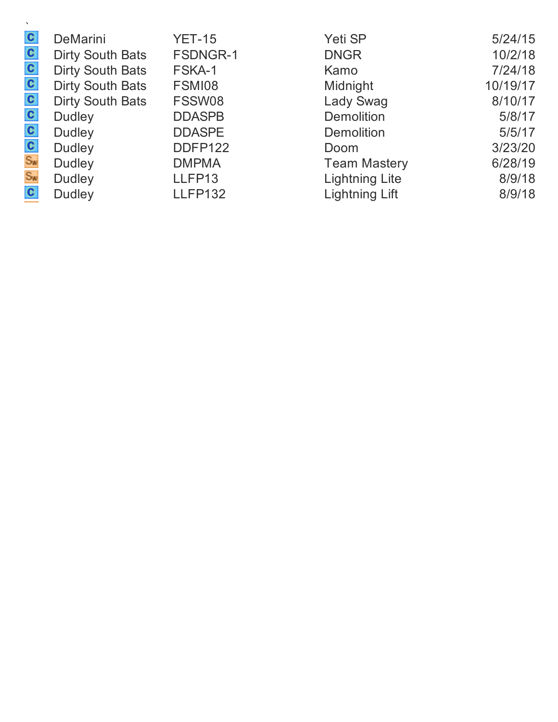| $\mathbf{c}$ | <b>DeMarini</b>         | <b>YET-15</b>   | Yeti SP               | 5/24/15  |
|--------------|-------------------------|-----------------|-----------------------|----------|
| $\mathbf{c}$ | <b>Dirty South Bats</b> | <b>FSDNGR-1</b> | <b>DNGR</b>           | 10/2/18  |
| $\mathbf{c}$ | <b>Dirty South Bats</b> | FSKA-1          | Kamo                  | 7/24/18  |
| $\mathbf{c}$ | <b>Dirty South Bats</b> | FSMI08          | Midnight              | 10/19/17 |
| $\mathbf{c}$ | <b>Dirty South Bats</b> | FSSW08          | <b>Lady Swag</b>      | 8/10/17  |
| $\mathbf{c}$ | <b>Dudley</b>           | <b>DDASPB</b>   | <b>Demolition</b>     | 5/8/17   |
| $\mathbf{c}$ | <b>Dudley</b>           | <b>DDASPE</b>   | <b>Demolition</b>     | 5/5/17   |
| $\mathbf{c}$ | <b>Dudley</b>           | DDFP122         | Doom                  | 3/23/20  |
| Sw<br>Sw     | <b>Dudley</b>           | <b>DMPMA</b>    | <b>Team Mastery</b>   | 6/28/19  |
|              | <b>Dudley</b>           | LLFP13          | <b>Lightning Lite</b> | 8/9/18   |
| $\mathbf{c}$ | <b>Dudley</b>           | <b>LLFP132</b>  | <b>Lightning Lift</b> | 8/9/18   |
|              |                         |                 |                       |          |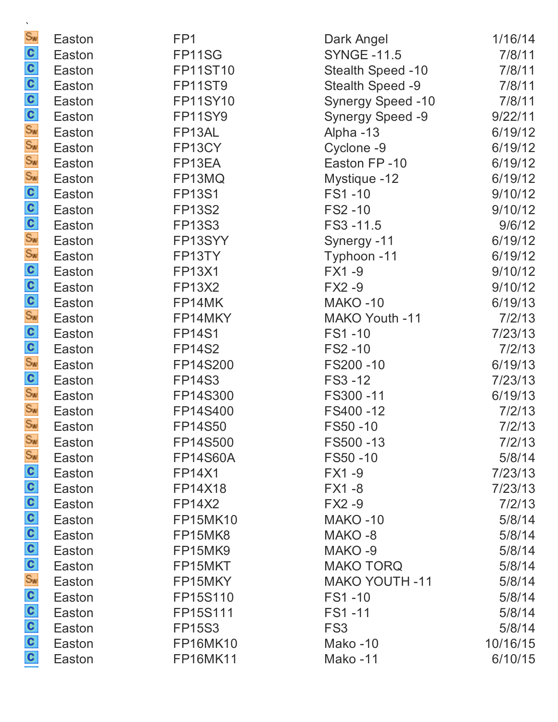| $\mathbf{v}$                    |        |                 |                          |          |
|---------------------------------|--------|-----------------|--------------------------|----------|
| $S_{\text{w}}$                  | Easton | FP <sub>1</sub> | Dark Angel               | 1/16/14  |
| C                               | Easton | FP11SG          | <b>SYNGE -11.5</b>       | 7/8/11   |
|                                 | Easton | <b>FP11ST10</b> | Stealth Speed -10        | 7/8/11   |
|                                 | Easton | <b>FP11ST9</b>  | Stealth Speed -9         | 7/8/11   |
|                                 | Easton | <b>FP11SY10</b> | <b>Synergy Speed -10</b> | 7/8/11   |
| <u>ဖွစ္စစ္စ</u> ာ ေတြ           | Easton | <b>FP11SY9</b>  | <b>Synergy Speed -9</b>  | 9/22/11  |
|                                 | Easton | FP13AL          | Alpha -13                | 6/19/12  |
|                                 | Easton | FP13CY          | Cyclone -9               | 6/19/12  |
|                                 | Easton | FP13EA          | Easton FP-10             | 6/19/12  |
|                                 | Easton | FP13MQ          | Mystique -12             | 6/19/12  |
|                                 | Easton | <b>FP13S1</b>   | FS1-10                   | 9/10/12  |
|                                 | Easton | <b>FP13S2</b>   | FS2 - 10                 | 9/10/12  |
|                                 | Easton | <b>FP13S3</b>   | FS3-11.5                 | 9/6/12   |
|                                 | Easton | FP13SYY         | Synergy -11              | 6/19/12  |
|                                 | Easton | FP13TY          | Typhoon -11              | 6/19/12  |
|                                 | Easton | <b>FP13X1</b>   | FX1-9                    | 9/10/12  |
|                                 | Easton | <b>FP13X2</b>   | <b>FX2-9</b>             | 9/10/12  |
|                                 | Easton | FP14MK          | <b>MAKO-10</b>           | 6/19/13  |
|                                 | Easton | FP14MKY         | MAKO Youth -11           | 7/2/13   |
|                                 | Easton | <b>FP14S1</b>   | FS1-10                   | 7/23/13  |
|                                 | Easton | <b>FP14S2</b>   | FS2-10                   | 7/2/13   |
|                                 | Easton | FP14S200        | FS200-10                 | 6/19/13  |
| ် အေနောက် အေနောက် အေနောက် ဆေးနာ | Easton | <b>FP14S3</b>   | FS3 - 12                 | 7/23/13  |
|                                 | Easton | FP14S300        | FS300-11                 | 6/19/13  |
|                                 | Easton | FP14S400        | FS400-12                 | 7/2/13   |
| $S_{W}$                         | Easton | FP14S50         | FS50-10                  | 7/2/13   |
| $S_{\text{W}}$                  | Easton | FP14S500        | FS500-13                 | 7/2/13   |
| Sw                              | Easton | <b>FP14S60A</b> | FS50-10                  | 5/8/14   |
|                                 | Easton | <b>FP14X1</b>   | <b>FX1-9</b>             | 7/23/13  |
|                                 | Easton | <b>FP14X18</b>  | <b>FX1-8</b>             | 7/23/13  |
|                                 | Easton | <b>FP14X2</b>   | $FX2 - 9$                | 7/2/13   |
|                                 | Easton | <b>FP15MK10</b> | MAKO-10                  | 5/8/14   |
|                                 | Easton | FP15MK8         | MAKO-8                   | 5/8/14   |
|                                 | Easton | FP15MK9         | MAKO-9                   | 5/8/14   |
|                                 | Easton | FP15MKT         | <b>MAKO TORQ</b>         | 5/8/14   |
| a a a a a a a a a a a a         | Easton | FP15MKY         | <b>MAKO YOUTH -11</b>    | 5/8/14   |
|                                 | Easton | FP15S110        | FS1-10                   | 5/8/14   |
|                                 | Easton | FP15S111        | FS1-11                   | 5/8/14   |
|                                 | Easton | <b>FP15S3</b>   | FS <sub>3</sub>          | 5/8/14   |
|                                 | Easton | <b>FP16MK10</b> | Mako-10                  | 10/16/15 |
|                                 | Easton | <b>FP16MK11</b> | Mako-11                  | 6/10/15  |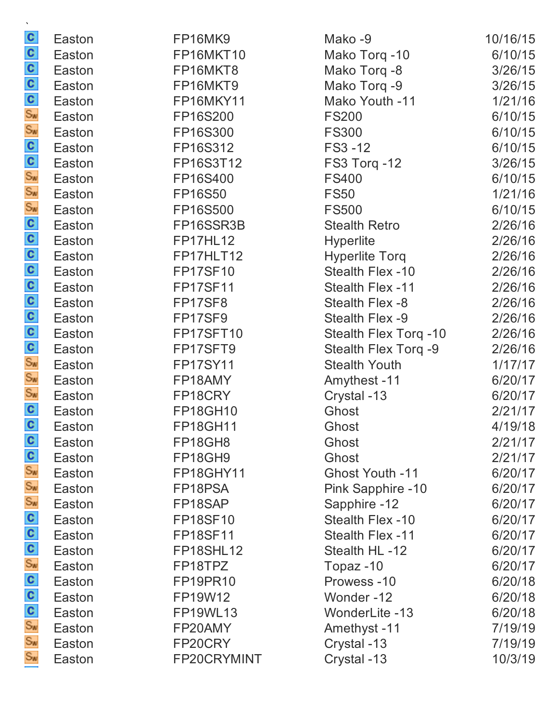| C                               | Easton | FP16MK9          | Mako -9                | 10/16/15 |
|---------------------------------|--------|------------------|------------------------|----------|
|                                 | Easton | <b>FP16MKT10</b> | Mako Torq -10          | 6/10/15  |
|                                 | Easton | FP16MKT8         | Mako Torq -8           | 3/26/15  |
|                                 | Easton | FP16MKT9         | Mako Torq -9           | 3/26/15  |
|                                 | Easton | FP16MKY11        | Mako Youth -11         | 1/21/16  |
|                                 | Easton | FP16S200         | <b>FS200</b>           | 6/10/15  |
|                                 | Easton | FP16S300         | <b>FS300</b>           | 6/10/15  |
|                                 | Easton | FP16S312         | FS3 - 12               | 6/10/15  |
|                                 | Easton | FP16S3T12        | FS3 Torq -12           | 3/26/15  |
|                                 | Easton | FP16S400         | <b>FS400</b>           | 6/10/15  |
|                                 | Easton | <b>FP16S50</b>   | <b>FS50</b>            | 1/21/16  |
|                                 | Easton | FP16S500         | <b>FS500</b>           | 6/10/15  |
|                                 | Easton | FP16SSR3B        | <b>Stealth Retro</b>   | 2/26/16  |
|                                 | Easton | <b>FP17HL12</b>  | <b>Hyperlite</b>       | 2/26/16  |
|                                 | Easton | FP17HLT12        | <b>Hyperlite Torg</b>  | 2/26/16  |
|                                 | Easton | <b>FP17SF10</b>  | Stealth Flex -10       | 2/26/16  |
|                                 | Easton | <b>FP17SF11</b>  | Stealth Flex -11       | 2/26/16  |
|                                 | Easton | FP17SF8          | Stealth Flex -8        | 2/26/16  |
|                                 | Easton | FP17SF9          | Stealth Flex -9        | 2/26/16  |
|                                 | Easton | FP17SFT10        | Stealth Flex Torq -10  | 2/26/16  |
|                                 | Easton | FP17SFT9         | Stealth Flex Torq -9   | 2/26/16  |
|                                 | Easton | <b>FP17SY11</b>  | <b>Stealth Youth</b>   | 1/17/17  |
|                                 | Easton | FP18AMY          | Amythest -11           | 6/20/17  |
|                                 | Easton | FP18CRY          | Crystal -13            | 6/20/17  |
| $\frac{c}{c}$                   | Easton | <b>FP18GH10</b>  | Ghost                  | 2/21/17  |
|                                 | Easton | <b>FP18GH11</b>  | Ghost                  | 4/19/18  |
|                                 | Easton | FP18GH8          | Ghost                  | 2/21/17  |
|                                 | Easton | FP18GH9          | Ghost                  | 2/21/17  |
|                                 | Easton | FP18GHY11        | <b>Ghost Youth -11</b> | 6/20/17  |
|                                 | Easton | FP18PSA          | Pink Sapphire -10      | 6/20/17  |
|                                 | Easton | FP18SAP          | Sapphire -12           | 6/20/17  |
|                                 | Easton | <b>FP18SF10</b>  | Stealth Flex -10       | 6/20/17  |
|                                 | Easton | <b>FP18SF11</b>  | Stealth Flex -11       | 6/20/17  |
|                                 | Easton | FP18SHL12        | Stealth HL-12          | 6/20/17  |
|                                 | Easton | FP18TPZ          | Topaz-10               | 6/20/17  |
|                                 | Easton | <b>FP19PR10</b>  | Prowess-10             | 6/20/18  |
| ် လီ တီ တီ ပါ ပါ တီ တီ ပါ ပါ တီ | Easton | FP19W12          | Wonder-12              | 6/20/18  |
|                                 | Easton | <b>FP19WL13</b>  | WonderLite -13         | 6/20/18  |
|                                 | Easton | FP20AMY          | Amethyst -11           | 7/19/19  |
|                                 | Easton | FP20CRY          | Crystal -13            | 7/19/19  |
| $S_{\mathbf{w}}$                | Easton | FP20CRYMINT      | Crystal -13            | 10/3/19  |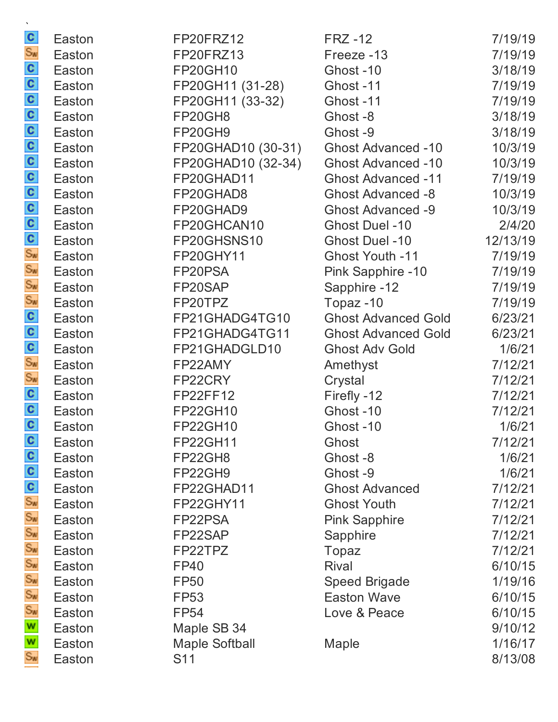| $\frac{c}{s_w}$             | Easton | FP20FRZ12             | <b>FRZ -12</b>             | 7/19/19  |
|-----------------------------|--------|-----------------------|----------------------------|----------|
|                             | Easton | FP20FRZ13             | Freeze -13                 | 7/19/19  |
|                             | Easton | <b>FP20GH10</b>       | Ghost-10                   | 3/18/19  |
|                             | Easton | FP20GH11 (31-28)      | Ghost-11                   | 7/19/19  |
|                             | Easton | FP20GH11 (33-32)      | Ghost-11                   | 7/19/19  |
|                             | Easton | FP20GH8               | Ghost-8                    | 3/18/19  |
|                             | Easton | FP20GH9               | Ghost-9                    | 3/18/19  |
|                             | Easton | FP20GHAD10 (30-31)    | <b>Ghost Advanced -10</b>  | 10/3/19  |
| န္း ေပးပါတယ္။ ေတြက ေန       | Easton | FP20GHAD10 (32-34)    | <b>Ghost Advanced -10</b>  | 10/3/19  |
|                             | Easton | FP20GHAD11            | <b>Ghost Advanced -11</b>  | 7/19/19  |
|                             | Easton | FP20GHAD8             | <b>Ghost Advanced -8</b>   | 10/3/19  |
|                             | Easton | FP20GHAD9             | <b>Ghost Advanced -9</b>   | 10/3/19  |
|                             | Easton | FP20GHCAN10           | <b>Ghost Duel -10</b>      | 2/4/20   |
|                             | Easton | FP20GHSNS10           | Ghost Duel -10             | 12/13/19 |
|                             | Easton | FP20GHY11             | <b>Ghost Youth -11</b>     | 7/19/19  |
|                             | Easton | FP20PSA               | Pink Sapphire -10          | 7/19/19  |
|                             | Easton | FP20SAP               | Sapphire -12               | 7/19/19  |
| <b>S</b><br>နိမ်္မာ မိမ်္မာ | Easton | FP20TPZ               | Topaz-10                   | 7/19/19  |
|                             | Easton | FP21GHADG4TG10        | <b>Ghost Advanced Gold</b> | 6/23/21  |
|                             | Easton | FP21GHADG4TG11        | <b>Ghost Advanced Gold</b> | 6/23/21  |
|                             | Easton | FP21GHADGLD10         | <b>Ghost Adv Gold</b>      | 1/6/21   |
|                             | Easton | FP22AMY               | Amethyst                   | 7/12/21  |
|                             | Easton | FP22CRY               | Crystal                    | 7/12/21  |
| $\frac{c}{c}$               | Easton | FP22FF12              | Firefly -12                | 7/12/21  |
|                             | Easton | <b>FP22GH10</b>       | Ghost-10                   | 7/12/21  |
|                             | Easton | FP22GH10              | Ghost-10                   | 1/6/21   |
|                             | Easton | <b>FP22GH11</b>       | Ghost                      | 7/12/21  |
|                             | Easton | FP22GH8               | Ghost-8                    | 1/6/21   |
| ဖွစ္ခစ္ခစ္ <mark>ေ</mark>   | Easton | FP22GH9               | Ghost-9                    | 1/6/21   |
|                             | Easton | FP22GHAD11            | <b>Ghost Advanced</b>      | 7/12/21  |
|                             | Easton | FP22GHY11             | <b>Ghost Youth</b>         | 7/12/21  |
|                             | Easton | FP22PSA               | <b>Pink Sapphire</b>       | 7/12/21  |
|                             | Easton | FP22SAP               | Sapphire                   | 7/12/21  |
|                             | Easton | FP22TPZ               | Topaz                      | 7/12/21  |
|                             | Easton | <b>FP40</b>           | Rival                      | 6/10/15  |
|                             | Easton | <b>FP50</b>           | <b>Speed Brigade</b>       | 1/19/16  |
|                             | Easton | <b>FP53</b>           | <b>Easton Wave</b>         | 6/10/15  |
|                             | Easton | <b>FP54</b>           | Love & Peace               | 6/10/15  |
|                             | Easton | Maple SB 34           |                            | 9/10/12  |
|                             | Easton | <b>Maple Softball</b> | Maple                      | 1/16/17  |
|                             | Easton | S11                   |                            | 8/13/08  |
|                             |        |                       |                            |          |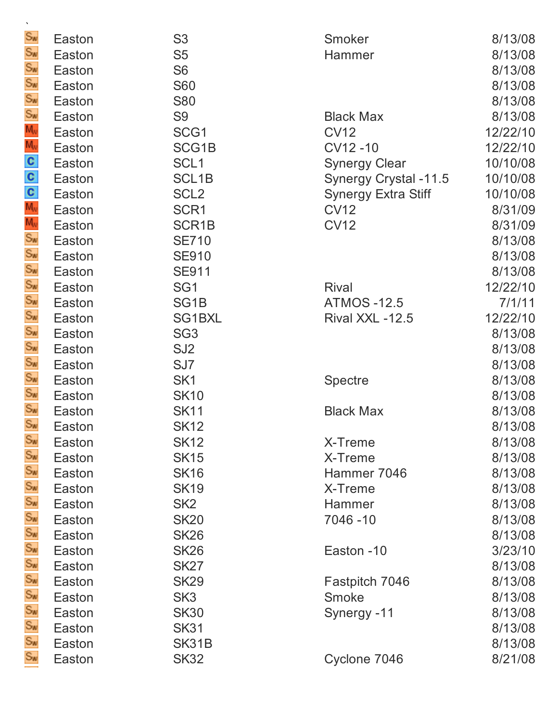| $\mathbf{v}$                               |                  |                            |                            |                    |
|--------------------------------------------|------------------|----------------------------|----------------------------|--------------------|
| Sw<br>Sw                                   | Easton           | S <sub>3</sub>             | Smoker                     | 8/13/08            |
|                                            | Easton           | S <sub>5</sub>             | Hammer                     | 8/13/08            |
|                                            | Easton           | S <sub>6</sub>             |                            | 8/13/08            |
|                                            | Easton           | <b>S60</b>                 |                            | 8/13/08            |
|                                            | Easton           | <b>S80</b>                 |                            | 8/13/08            |
|                                            | Easton           | S <sub>9</sub>             | <b>Black Max</b>           | 8/13/08            |
|                                            | Easton           | SCG1                       | <b>CV12</b>                | 12/22/10           |
|                                            | Easton           | SCG1B                      | CV12-10                    | 12/22/10           |
| လို လို လို ဧပြီ ပြောင်း မြောင်း တိုက်ကြီး | Easton           | SCL <sub>1</sub>           | <b>Synergy Clear</b>       | 10/10/08           |
|                                            | Easton           | SCL <sub>1B</sub>          | Synergy Crystal -11.5      | 10/10/08           |
|                                            | Easton           | SCL <sub>2</sub>           | <b>Synergy Extra Stiff</b> | 10/10/08           |
|                                            | Easton           | SCR1                       | <b>CV12</b>                | 8/31/09            |
|                                            | Easton           | SCR <sub>1</sub> B         | <b>CV12</b>                | 8/31/09            |
|                                            | Easton           | <b>SE710</b>               |                            | 8/13/08            |
|                                            | Easton           | <b>SE910</b>               |                            | 8/13/08            |
|                                            | Easton           | <b>SE911</b>               |                            | 8/13/08            |
| Se Se Se Se Se Se Se<br>Se Se Se Se Se Se  | Easton           | SG <sub>1</sub>            | <b>Rival</b>               | 12/22/10           |
|                                            | Easton           | SG <sub>1</sub> B          | <b>ATMOS -12.5</b>         | 7/1/11             |
|                                            | Easton           | SG1BXL                     | Rival XXL -12.5            | 12/22/10           |
|                                            | Easton           | SG <sub>3</sub>            |                            | 8/13/08            |
|                                            | Easton           | SJ <sub>2</sub>            |                            | 8/13/08            |
|                                            | Easton           | SJ7                        |                            | 8/13/08            |
|                                            | Easton           | SK <sub>1</sub>            | <b>Spectre</b>             | 8/13/08            |
|                                            | Easton           | <b>SK10</b>                |                            | 8/13/08            |
| $S_{W}$                                    | Easton           | <b>SK11</b>                | <b>Black Max</b>           | 8/13/08            |
|                                            | Easton           | <b>SK12</b>                |                            | 8/13/08            |
| Sw<br>Sw                                   | Easton<br>Easton | <b>SK12</b><br><b>SK15</b> | X-Treme<br>X-Treme         | 8/13/08<br>8/13/08 |
|                                            | Easton           | <b>SK16</b>                | Hammer 7046                | 8/13/08            |
|                                            | Easton           | <b>SK19</b>                | X-Treme                    | 8/13/08            |
|                                            | Easton           | SK <sub>2</sub>            | Hammer                     | 8/13/08            |
|                                            | Easton           | <b>SK20</b>                | 7046-10                    | 8/13/08            |
|                                            | Easton           | <b>SK26</b>                |                            | 8/13/08            |
|                                            | Easton           | <b>SK26</b>                | Easton -10                 | 3/23/10            |
|                                            | Easton           | <b>SK27</b>                |                            | 8/13/08            |
|                                            | Easton           | <b>SK29</b>                | Fastpitch 7046             | 8/13/08            |
| အိန်ကို အီအီအီအီအီအီအီအီအီ                 | Easton           | SK <sub>3</sub>            | Smoke                      | 8/13/08            |
|                                            | Easton           | <b>SK30</b>                | Synergy -11                | 8/13/08            |
|                                            | Easton           | <b>SK31</b>                |                            | 8/13/08            |
|                                            | Easton           | SK31B                      |                            | 8/13/08            |
| Sw                                         | Easton           | <b>SK32</b>                | Cyclone 7046               | 8/21/08            |
|                                            |                  |                            |                            |                    |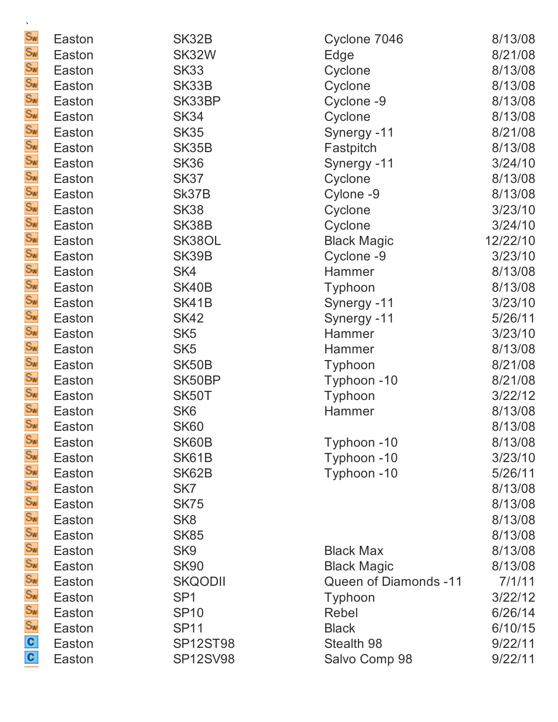| $\mathbf{v}$                               |        |                 |                       |          |
|--------------------------------------------|--------|-----------------|-----------------------|----------|
| $S_{\text{N}}$                             | Easton | SK32B           | Cyclone 7046          | 8/13/08  |
| Sw                                         | Easton | SK32W           | Edge                  | 8/21/08  |
|                                            | Easton | <b>SK33</b>     | Cyclone               | 8/13/08  |
|                                            | Easton | SK33B           | Cyclone               | 8/13/08  |
|                                            | Easton | SK33BP          | Cyclone -9            | 8/13/08  |
|                                            | Easton | <b>SK34</b>     | Cyclone               | 8/13/08  |
|                                            | Easton | <b>SK35</b>     | Synergy -11           | 8/21/08  |
|                                            | Easton | SK35B           | Fastpitch             | 8/13/08  |
|                                            | Easton | <b>SK36</b>     | Synergy -11           | 3/24/10  |
|                                            | Easton | <b>SK37</b>     | Cyclone               | 8/13/08  |
|                                            | Easton | Sk37B           | Cylone -9             | 8/13/08  |
|                                            | Easton | <b>SK38</b>     | Cyclone               | 3/23/10  |
|                                            | Easton | SK38B           | Cyclone               | 3/24/10  |
|                                            | Easton | SK38OL          | <b>Black Magic</b>    | 12/22/10 |
|                                            | Easton | SK39B           | Cyclone -9            | 3/23/10  |
|                                            | Easton | SK4             | Hammer                | 8/13/08  |
| ああああああああああああああああああああ                       | Easton | SK40B           | Typhoon               | 8/13/08  |
|                                            | Easton | SK41B           | Synergy -11           | 3/23/10  |
|                                            | Easton | <b>SK42</b>     | Synergy -11           | 5/26/11  |
|                                            | Easton | SK <sub>5</sub> | Hammer                | 3/23/10  |
|                                            | Easton | SK <sub>5</sub> | Hammer                | 8/13/08  |
|                                            | Easton | SK50B           | Typhoon               | 8/21/08  |
|                                            | Easton | SK50BP          | Typhoon -10           | 8/21/08  |
|                                            | Easton | SK50T           | Typhoon               | 3/22/12  |
|                                            | Easton | SK <sub>6</sub> | Hammer                | 8/13/08  |
| $S_{W}$                                    | Easton | <b>SK60</b>     |                       | 8/13/08  |
|                                            | Easton | SK60B           | Typhoon -10           | 8/13/08  |
|                                            | Easton | SK61B           | Typhoon -10           | 3/23/10  |
|                                            | Easton | SK62B           | Typhoon -10           | 5/26/11  |
|                                            | Easton | SK7             |                       | 8/13/08  |
|                                            | Easton | <b>SK75</b>     |                       | 8/13/08  |
|                                            | Easton | SK <sub>8</sub> |                       | 8/13/08  |
|                                            | Easton | <b>SK85</b>     |                       | 8/13/08  |
|                                            | Easton | SK <sub>9</sub> | <b>Black Max</b>      | 8/13/08  |
|                                            | Easton | <b>SK90</b>     | <b>Black Magic</b>    | 8/13/08  |
|                                            | Easton | <b>SKQODII</b>  | Queen of Diamonds -11 | 7/1/11   |
| ပေါင်းတိုင်းတိုင်းတိုင်းတိုင်းတိုင်းတိုင်း | Easton | SP <sub>1</sub> | Typhoon               | 3/22/12  |
|                                            | Easton | <b>SP10</b>     | Rebel                 | 6/26/14  |
|                                            | Easton | <b>SP11</b>     | <b>Black</b>          | 6/10/15  |
|                                            | Easton | <b>SP12ST98</b> | Stealth 98            | 9/22/11  |
|                                            | Easton | <b>SP12SV98</b> | Salvo Comp 98         | 9/22/11  |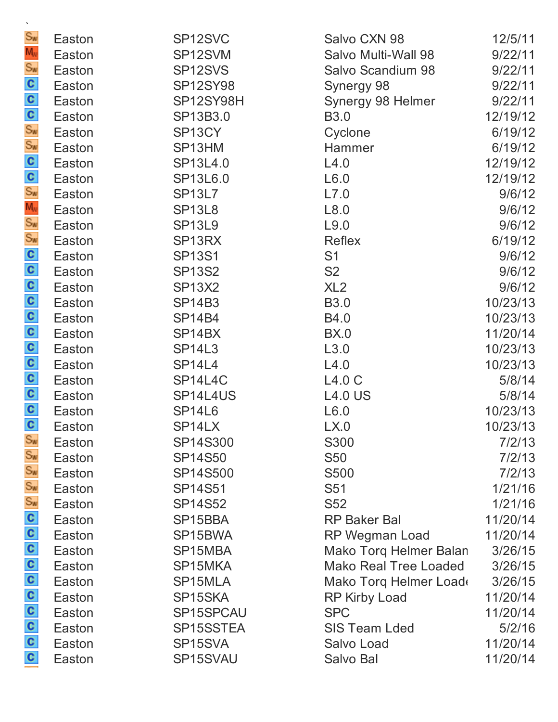| $\mathbf{v}$                          |        |                      |                        |          |
|---------------------------------------|--------|----------------------|------------------------|----------|
| $S_{\text{N}}$                        | Easton | SP12SVC              | Salvo CXN 98           | 12/5/11  |
| $M_V$                                 | Easton | SP12SVM              | Salvo Multi-Wall 98    | 9/22/11  |
| $S_{\nu}$                             | Easton | SP <sub>12</sub> SVS | Salvo Scandium 98      | 9/22/11  |
|                                       | Easton | <b>SP12SY98</b>      | Synergy 98             | 9/22/11  |
|                                       | Easton | SP12SY98H            | Synergy 98 Helmer      | 9/22/11  |
|                                       | Easton | SP13B3.0             | <b>B3.0</b>            | 12/19/12 |
|                                       | Easton | SP <sub>13</sub> CY  | Cyclone                | 6/19/12  |
|                                       | Easton | SP13HM               | Hammer                 | 6/19/12  |
| လိမ္းကို ေတြ ေတြ ေ                    | Easton | SP13L4.0             | L4.0                   | 12/19/12 |
|                                       | Easton | SP13L6.0             | L6.0                   | 12/19/12 |
|                                       | Easton | <b>SP13L7</b>        | L7.0                   | 9/6/12   |
|                                       | Easton | <b>SP13L8</b>        | L8.0                   | 9/6/12   |
|                                       | Easton | <b>SP13L9</b>        | L9.0                   | 9/6/12   |
|                                       | Easton | SP <sub>13RX</sub>   | Reflex                 | 6/19/12  |
|                                       | Easton | <b>SP13S1</b>        | S <sub>1</sub>         | 9/6/12   |
|                                       | Easton | <b>SP13S2</b>        | S <sub>2</sub>         | 9/6/12   |
| 0000000000                            | Easton | <b>SP13X2</b>        | XL2                    | 9/6/12   |
|                                       | Easton | <b>SP14B3</b>        | <b>B3.0</b>            | 10/23/13 |
|                                       | Easton | <b>SP14B4</b>        | <b>B4.0</b>            | 10/23/13 |
|                                       | Easton | SP <sub>14</sub> BX  | <b>BX.0</b>            | 11/20/14 |
|                                       | Easton | <b>SP14L3</b>        | L3.0                   | 10/23/13 |
|                                       | Easton | <b>SP14L4</b>        | L4.0                   | 10/23/13 |
|                                       | Easton | SP14L4C              | L4.0 C                 | 5/8/14   |
|                                       | Easton | SP14L4US             | <b>L4.0 US</b>         | 5/8/14   |
|                                       | Easton | <b>SP14L6</b>        | L6.0                   | 10/23/13 |
| C                                     | Easton | SP14LX               | LX.0                   | 10/23/13 |
| Sw                                    | Easton | SP14S300             | S300                   | 7/2/13   |
| Sw                                    | Easton | <b>SP14S50</b>       | <b>S50</b>             | 7/2/13   |
|                                       | Easton | SP14S500             | S500                   | 7/2/13   |
| S <sub>w</sub><br>S <sub>w</sub><br>C | Easton | <b>SP14S51</b>       | S <sub>51</sub>        | 1/21/16  |
|                                       | Easton | <b>SP14S52</b>       | <b>S52</b>             | 1/21/16  |
|                                       | Easton | SP15BBA              | <b>RP Baker Bal</b>    | 11/20/14 |
|                                       | Easton | SP15BWA              | RP Wegman Load         | 11/20/14 |
|                                       | Easton | SP15MBA              | Mako Torq Helmer Balan | 3/26/15  |
|                                       | Easton | SP15MKA              | Mako Real Tree Loaded  | 3/26/15  |
|                                       | Easton | SP15MLA              | Mako Torq Helmer Load  | 3/26/15  |
|                                       | Easton | SP15SKA              | RP Kirby Load          | 11/20/14 |
| a a a a a a a a                       | Easton | SP15SPCAU            | <b>SPC</b>             | 11/20/14 |
|                                       | Easton | SP15SSTEA            | <b>SIS Team Lded</b>   | 5/2/16   |
|                                       | Easton | SP15SVA              | Salvo Load             | 11/20/14 |
|                                       | Easton | SP15SVAU             | Salvo Bal              | 11/20/14 |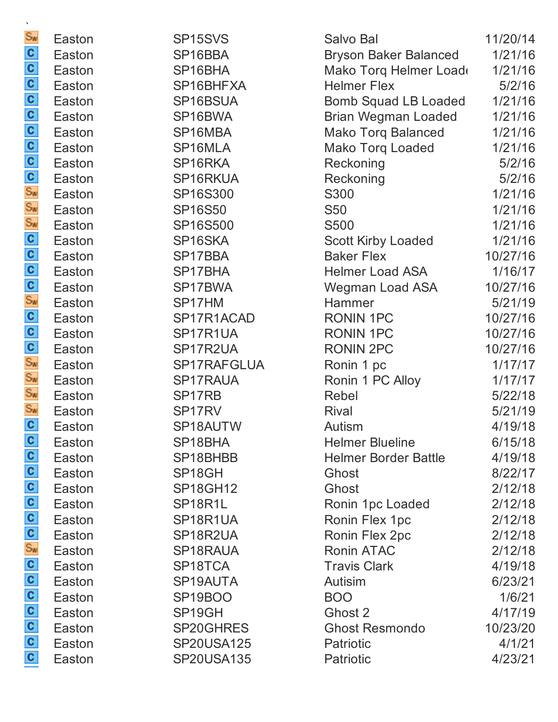| Sw                                                            | Easton | SP <sub>15</sub> SV <sub>S</sub> | Salvo Bal                    | 11/20/14 |
|---------------------------------------------------------------|--------|----------------------------------|------------------------------|----------|
|                                                               | Easton | SP16BBA                          | <b>Bryson Baker Balanced</b> | 1/21/16  |
|                                                               | Easton | SP16BHA                          | Mako Torq Helmer Load        | 1/21/16  |
|                                                               | Easton | SP16BHFXA                        | <b>Helmer Flex</b>           | 5/2/16   |
|                                                               | Easton | SP16BSUA                         | <b>Bomb Squad LB Loaded</b>  | 1/21/16  |
| စ္ ျဖစ္ ေျပာပါတယ္ ေနာင္း ေျပာပါတယ္။ ေျပာပါတယ္                 | Easton | SP16BWA                          | <b>Brian Wegman Loaded</b>   | 1/21/16  |
|                                                               | Easton | SP16MBA                          | <b>Mako Torq Balanced</b>    | 1/21/16  |
|                                                               | Easton | SP16MLA                          | <b>Mako Torq Loaded</b>      | 1/21/16  |
|                                                               | Easton | SP16RKA                          | Reckoning                    | 5/2/16   |
|                                                               | Easton | SP16RKUA                         | Reckoning                    | 5/2/16   |
|                                                               | Easton | SP16S300                         | S300                         | 1/21/16  |
|                                                               | Easton | <b>SP16S50</b>                   | <b>S50</b>                   | 1/21/16  |
|                                                               | Easton | SP16S500                         | <b>S500</b>                  | 1/21/16  |
|                                                               | Easton | SP16SKA                          | <b>Scott Kirby Loaded</b>    | 1/21/16  |
|                                                               | Easton | SP17BBA                          | <b>Baker Flex</b>            | 10/27/16 |
|                                                               | Easton | SP17BHA                          | <b>Helmer Load ASA</b>       | 1/16/17  |
|                                                               | Easton | SP17BWA                          | Wegman Load ASA              | 10/27/16 |
|                                                               | Easton | SP17HM                           | Hammer                       | 5/21/19  |
|                                                               | Easton | SP17R1ACAD                       | <b>RONIN 1PC</b>             | 10/27/16 |
|                                                               | Easton | SP17R1UA                         | <b>RONIN 1PC</b>             | 10/27/16 |
|                                                               | Easton | SP17R2UA                         | <b>RONIN 2PC</b>             | 10/27/16 |
|                                                               | Easton | SP17RAFGLUA                      | Ronin 1 pc                   | 1/17/17  |
|                                                               | Easton | SP17RAUA                         | Ronin 1 PC Alloy             | 1/17/17  |
|                                                               | Easton | SP17RB                           | Rebel                        | 5/22/18  |
|                                                               | Easton | SP17RV                           | <b>Rival</b>                 | 5/21/19  |
| C                                                             | Easton | SP18AUTW                         | Autism                       | 4/19/18  |
|                                                               | Easton | SP18BHA                          | <b>Helmer Blueline</b>       | 6/15/18  |
|                                                               | Easton | SP18BHBB                         | <b>Helmer Border Battle</b>  | 4/19/18  |
|                                                               | Easton | SP <sub>18</sub> GH              | Ghost                        | 8/22/17  |
| $\frac{5}{80}$ o o o o o                                      | Easton | <b>SP18GH12</b>                  | Ghost                        | 2/12/18  |
|                                                               | Easton | SP18R1L                          | Ronin 1pc Loaded             | 2/12/18  |
|                                                               | Easton | SP18R1UA                         | Ronin Flex 1pc               | 2/12/18  |
|                                                               | Easton | SP18R2UA                         | Ronin Flex 2pc               | 2/12/18  |
|                                                               | Easton | SP18RAUA                         | Ronin ATAC                   | 2/12/18  |
|                                                               | Easton | SP18TCA                          | <b>Travis Clark</b>          | 4/19/18  |
|                                                               | Easton | SP19AUTA                         | Autisim                      | 6/23/21  |
|                                                               | Easton | SP <sub>19</sub> BOO             | <b>BOO</b>                   | 1/6/21   |
| $\frac{1}{2}$ o $\frac{1}{2}$ o $\frac{1}{2}$ o $\frac{1}{2}$ | Easton | SP <sub>19</sub> GH              | Ghost 2                      | 4/17/19  |
|                                                               | Easton | SP20GHRES                        | <b>Ghost Resmondo</b>        | 10/23/20 |
|                                                               | Easton | <b>SP20USA125</b>                | Patriotic                    | 4/1/21   |
|                                                               | Easton | <b>SP20USA135</b>                | Patriotic                    | 4/23/21  |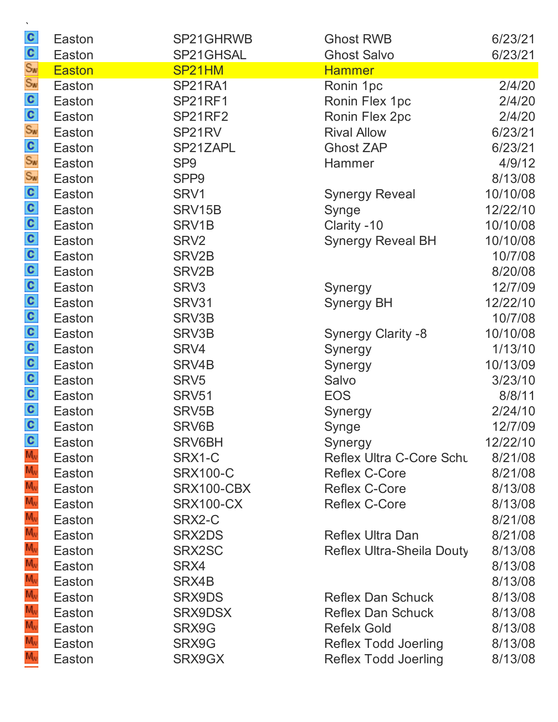| $\mathcal{N}$<br>$\mathbf{c}$         | Easton           | SP21GHRWB          | <b>Ghost RWB</b>                | 6/23/21  |
|---------------------------------------|------------------|--------------------|---------------------------------|----------|
| C                                     | Easton           | SP21GHSAL          | <b>Ghost Salvo</b>              | 6/23/21  |
| Sw<br>Sw                              | <b>Easton</b>    | SP21HM             | <b>Hammer</b>                   |          |
|                                       | Easton           | SP21RA1            | Ronin 1pc                       | 2/4/20   |
|                                       | Easton           | <b>SP21RF1</b>     | Ronin Flex 1pc                  | 2/4/20   |
|                                       | Easton           | <b>SP21RF2</b>     | Ronin Flex 2pc                  | 2/4/20   |
|                                       | Easton           | SP21RV             | <b>Rival Allow</b>              | 6/23/21  |
|                                       | Easton           | SP21ZAPL           | <b>Ghost ZAP</b>                | 6/23/21  |
|                                       | Easton           | SP <sub>9</sub>    | Hammer                          | 4/9/12   |
|                                       | Easton           | SPP <sub>9</sub>   |                                 | 8/13/08  |
|                                       | Easton           | SRV1               | <b>Synergy Reveal</b>           | 10/10/08 |
|                                       | Easton           | SRV15B             | Synge                           | 12/22/10 |
|                                       | Easton           | SRV1B              | Clarity -10                     | 10/10/08 |
|                                       | Easton           | SRV <sub>2</sub>   | <b>Synergy Reveal BH</b>        | 10/10/08 |
|                                       | Easton           | SRV2B              |                                 | 10/7/08  |
|                                       | Easton           | SRV <sub>2</sub> B |                                 | 8/20/08  |
|                                       | Easton           | SRV <sub>3</sub>   | Synergy                         | 12/7/09  |
|                                       | Easton           | SRV31              | <b>Synergy BH</b>               | 12/22/10 |
|                                       | Easton           | SRV3B              |                                 | 10/7/08  |
| ၀ ၀ ၀ ၀ ၀ ၀ ၀ ၀ ၀ ၀ ၀ ၀ ၀ ၀ ૪ ၀ ၀ ၀ ၀ | Easton           | SRV3B              | <b>Synergy Clarity -8</b>       | 10/10/08 |
|                                       | Easton           | SRV4               | Synergy                         | 1/13/10  |
|                                       | Easton           | SRV4B              | Synergy                         | 10/13/09 |
|                                       | Easton           | SRV <sub>5</sub>   | Salvo                           | 3/23/10  |
|                                       | Easton           | <b>SRV51</b>       | <b>EOS</b>                      | 8/8/11   |
|                                       | Easton           | SRV <sub>5</sub> B | Synergy                         | 2/24/10  |
|                                       | Easton           | SRV6B              | Synge                           | 12/7/09  |
| $\frac{c}{M_v}$                       | Easton           | SRV6BH             | Synergy                         | 12/22/10 |
|                                       | Easton           | SRX1-C             | <b>Reflex Ultra C-Core Schu</b> | 8/21/08  |
| $M_{\rm W}$                           | Easton           | <b>SRX100-C</b>    | <b>Reflex C-Core</b>            | 8/21/08  |
| $M_{\rm W}$<br>$M_{N}$                | Easton           | SRX100-CBX         | <b>Reflex C-Core</b>            | 8/13/08  |
| $M_{\rm W}$                           | Easton           | <b>SRX100-CX</b>   | <b>Reflex C-Core</b>            | 8/13/08  |
| $M_{N}$                               | Easton           | SRX2-C             |                                 | 8/21/08  |
| $M_{\rm W}$                           | Easton           | SRX2DS             | <b>Reflex Ultra Dan</b>         | 8/21/08  |
| $M_{\rm W}$                           | Easton           | SRX2SC<br>SRX4     | Reflex Ultra-Sheila Douty       | 8/13/08  |
| $M_{\nu}$                             | Easton           |                    |                                 | 8/13/08  |
| $M_{\rm W}$                           | Easton<br>Easton | SRX4B              | <b>Reflex Dan Schuck</b>        | 8/13/08  |
| $M_{\rm W}$                           |                  | SRX9DS             | <b>Reflex Dan Schuck</b>        | 8/13/08  |
| $M_{N}$                               | Easton<br>Easton | SRX9DSX            | <b>Refelx Gold</b>              | 8/13/08  |
| $M_{\rm W}$                           |                  | SRX9G              |                                 | 8/13/08  |
| $M_{\rm w}$                           | Easton           | SRX9G              | <b>Reflex Todd Joerling</b>     | 8/13/08  |
|                                       | Easton           | SRX9GX             | <b>Reflex Todd Joerling</b>     | 8/13/08  |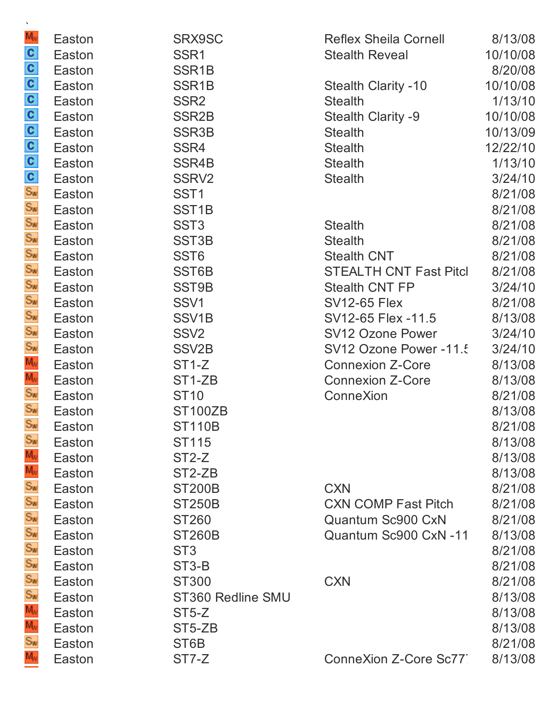| $\mathbf{v}$                            |        |                     |                               |          |
|-----------------------------------------|--------|---------------------|-------------------------------|----------|
| $M_{\rm W}$                             | Easton | SRX9SC              | <b>Reflex Sheila Cornell</b>  | 8/13/08  |
| ် လီ ပေးပြပြပြပြင်း တို့ တို့ တို့ တို့ | Easton | SSR <sub>1</sub>    | <b>Stealth Reveal</b>         | 10/10/08 |
|                                         | Easton | SSR <sub>1</sub> B  |                               | 8/20/08  |
|                                         | Easton | SSR <sub>1</sub> B  | <b>Stealth Clarity -10</b>    | 10/10/08 |
|                                         | Easton | SSR <sub>2</sub>    | <b>Stealth</b>                | 1/13/10  |
|                                         | Easton | SSR <sub>2</sub> B  | <b>Stealth Clarity -9</b>     | 10/10/08 |
|                                         | Easton | SSR <sub>3</sub> B  | <b>Stealth</b>                | 10/13/09 |
|                                         | Easton | SSR4                | <b>Stealth</b>                | 12/22/10 |
|                                         | Easton | SSR4B               | <b>Stealth</b>                | 1/13/10  |
|                                         | Easton | SSRV <sub>2</sub>   | <b>Stealth</b>                | 3/24/10  |
|                                         | Easton | SST <sub>1</sub>    |                               | 8/21/08  |
|                                         | Easton | SST <sub>1</sub> B  |                               | 8/21/08  |
|                                         | Easton | SST <sub>3</sub>    | <b>Stealth</b>                | 8/21/08  |
|                                         | Easton | SST <sub>3</sub> B  | <b>Stealth</b>                | 8/21/08  |
|                                         | Easton | SST <sub>6</sub>    | <b>Stealth CNT</b>            | 8/21/08  |
|                                         | Easton | SST6B               | <b>STEALTH CNT Fast Pitcl</b> | 8/21/08  |
|                                         | Easton | SST9B               | <b>Stealth CNT FP</b>         | 3/24/10  |
| Sw<br>Sw<br>Sw<br>Sw                    | Easton | SSV1                | <b>SV12-65 Flex</b>           | 8/21/08  |
|                                         | Easton | SSV <sub>1</sub> B  | SV12-65 Flex -11.5            | 8/13/08  |
|                                         | Easton | SSV <sub>2</sub>    | <b>SV12 Ozone Power</b>       | 3/24/10  |
|                                         | Easton | SSV <sub>2</sub> B  | SV12 Ozone Power -11.5        | 3/24/10  |
| $M_{\rm W}$                             | Easton | ST <sub>1</sub> -Z  | <b>Connexion Z-Core</b>       | 8/13/08  |
| Mw<br>Sw<br>Sw                          | Easton | ST1-ZB              | <b>Connexion Z-Core</b>       | 8/13/08  |
|                                         | Easton | <b>ST10</b>         | ConneXion                     | 8/21/08  |
|                                         | Easton | <b>ST100ZB</b>      |                               | 8/13/08  |
| $S_{W}$                                 | Easton | <b>ST110B</b>       |                               | 8/21/08  |
| $S_{\text{W}}$                          | Easton | <b>ST115</b>        |                               | 8/13/08  |
| $M_{N}$                                 | Easton | ST <sub>2</sub> -Z  |                               | 8/13/08  |
|                                         | Easton | ST <sub>2</sub> -ZB |                               | 8/13/08  |
| បិសិសិសិសិសិសិ                          | Easton | <b>ST200B</b>       | <b>CXN</b>                    | 8/21/08  |
|                                         | Easton | <b>ST250B</b>       | <b>CXN COMP Fast Pitch</b>    | 8/21/08  |
|                                         | Easton | <b>ST260</b>        | Quantum Sc900 CxN             | 8/21/08  |
|                                         | Easton | <b>ST260B</b>       | Quantum Sc900 CxN -11         | 8/13/08  |
|                                         | Easton | ST <sub>3</sub>     |                               | 8/21/08  |
|                                         | Easton | ST <sub>3</sub> -B  |                               | 8/21/08  |
|                                         | Easton | <b>ST300</b>        | <b>CXN</b>                    | 8/21/08  |
|                                         | Easton | ST360 Redline SMU   |                               | 8/13/08  |
| $M_{\rm W}$                             | Easton | ST5-Z               |                               | 8/13/08  |
| M <sub>v</sub><br>Sw                    | Easton | ST5-ZB              |                               | 8/13/08  |
|                                         | Easton | ST <sub>6</sub> B   |                               | 8/21/08  |
| $M_{\nu}$                               | Easton | ST7-Z               | ConneXion Z-Core Sc77         | 8/13/08  |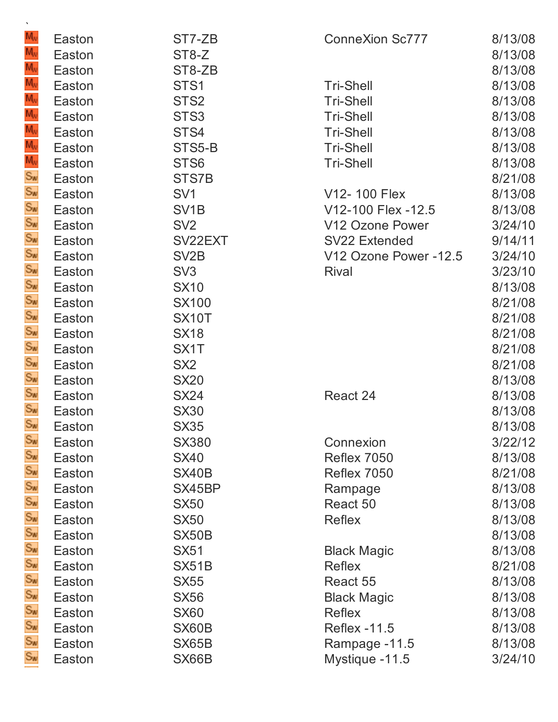| $\mathbf{v}$                 |                  |                   |                        |                    |
|------------------------------|------------------|-------------------|------------------------|--------------------|
| M <sub>w</sub><br>$M_V$      | Easton           | ST7-ZB            | <b>ConneXion Sc777</b> | 8/13/08            |
| M <sub>v</sub>               | Easton           | ST8-Z             |                        | 8/13/08<br>8/13/08 |
| $M_V$                        | Easton<br>Easton | ST8-ZB<br>STS1    | <b>Tri-Shell</b>       | 8/13/08            |
| $\overline{M_{\nu}}$         | Easton           | STS <sub>2</sub>  | <b>Tri-Shell</b>       | 8/13/08            |
|                              | Easton           | STS <sub>3</sub>  | <b>Tri-Shell</b>       | 8/13/08            |
| $M_v$<br>$M_v$<br>$M_v$      | Easton           | STS4              | <b>Tri-Shell</b>       | 8/13/08            |
|                              | Easton           | STS5-B            | <b>Tri-Shell</b>       | 8/13/08            |
|                              | Easton           | STS <sub>6</sub>  | <b>Tri-Shell</b>       | 8/13/08            |
|                              | Easton           | STS7B             |                        | 8/21/08            |
|                              | Easton           | SV <sub>1</sub>   | V12-100 Flex           | 8/13/08            |
|                              | Easton           | SV <sub>1</sub> B | V12-100 Flex -12.5     | 8/13/08            |
|                              | Easton           | SV <sub>2</sub>   | V12 Ozone Power        | 3/24/10            |
|                              | Easton           | SV22EXT           | <b>SV22 Extended</b>   | 9/14/11            |
|                              | Easton           | SV <sub>2</sub> B | V12 Ozone Power -12.5  | 3/24/10            |
|                              | Easton           | SV <sub>3</sub>   | <b>Rival</b>           | 3/23/10            |
|                              | Easton           | <b>SX10</b>       |                        | 8/13/08            |
|                              | Easton           | <b>SX100</b>      |                        | 8/21/08            |
|                              | Easton           | SX10T             |                        | 8/21/08            |
|                              | Easton           | <b>SX18</b>       |                        | 8/21/08            |
|                              | Easton           | SX <sub>1</sub> T |                        | 8/21/08            |
|                              | Easton           | SX <sub>2</sub>   |                        | 8/21/08            |
| ぎょうようようようよう                  | Easton           | <b>SX20</b>       |                        | 8/13/08            |
|                              | Easton           | <b>SX24</b>       | React 24               | 8/13/08            |
|                              | Easton           | <b>SX30</b>       |                        | 8/13/08            |
| $S_{W}$                      | Easton           | <b>SX35</b>       |                        | 8/13/08            |
|                              | Easton           | <b>SX380</b>      | Connexion              | 3/22/12            |
|                              | Easton           | <b>SX40</b>       | Reflex 7050            | 8/13/08            |
|                              | Easton           | SX40B             | <b>Reflex 7050</b>     | 8/21/08            |
|                              | Easton           | SX45BP            | Rampage                | 8/13/08            |
|                              | Easton           | <b>SX50</b>       | React 50               | 8/13/08            |
|                              | Easton           | <b>SX50</b>       | Reflex                 | 8/13/08            |
|                              | Easton           | SX50B             |                        | 8/13/08            |
|                              | Easton           | <b>SX51</b>       | <b>Black Magic</b>     | 8/13/08            |
|                              | Easton           | SX51B             | <b>Reflex</b>          | 8/21/08            |
| ាងស្រីលីសីសីសីសីសីសីសីសីសីសី | Easton           | <b>SX55</b>       | React 55               | 8/13/08            |
|                              | Easton           | <b>SX56</b>       | <b>Black Magic</b>     | 8/13/08            |
|                              | Easton           | <b>SX60</b>       | <b>Reflex</b>          | 8/13/08            |
|                              | Easton           | SX60B             | <b>Reflex -11.5</b>    | 8/13/08            |
|                              | Easton           | SX65B             | Rampage -11.5          | 8/13/08            |
| $S_{\text{W}}$               | Easton           | SX66B             | Mystique -11.5         | 3/24/10            |
|                              |                  |                   |                        |                    |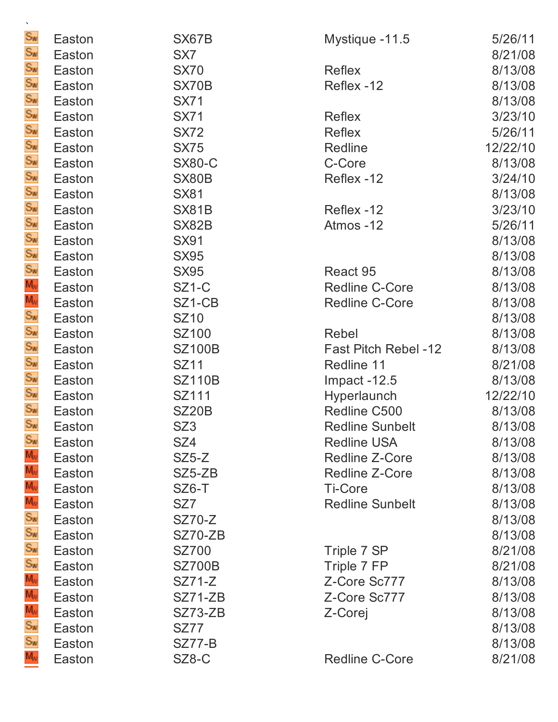| $\mathbf{v}$               |        |                    |                             |          |
|----------------------------|--------|--------------------|-----------------------------|----------|
| $S_{\text{W}}$             | Easton | SX67B              | Mystique -11.5              | 5/26/11  |
| Sw                         | Easton | SX7                |                             | 8/21/08  |
| Sw<br>Sw                   | Easton | <b>SX70</b>        | <b>Reflex</b>               | 8/13/08  |
|                            | Easton | SX70B              | Reflex -12                  | 8/13/08  |
|                            | Easton | <b>SX71</b>        |                             | 8/13/08  |
|                            | Easton | <b>SX71</b>        | <b>Reflex</b>               | 3/23/10  |
|                            | Easton | <b>SX72</b>        | <b>Reflex</b>               | 5/26/11  |
|                            | Easton | <b>SX75</b>        | Redline                     | 12/22/10 |
|                            | Easton | <b>SX80-C</b>      | C-Core                      | 8/13/08  |
|                            | Easton | SX80B              | Reflex -12                  | 3/24/10  |
|                            | Easton | <b>SX81</b>        |                             | 8/13/08  |
|                            | Easton | SX81B              | Reflex -12                  | 3/23/10  |
|                            | Easton | SX82B              | Atmos-12                    | 5/26/11  |
|                            | Easton | <b>SX91</b>        |                             | 8/13/08  |
|                            | Easton | <b>SX95</b>        |                             | 8/13/08  |
|                            | Easton | <b>SX95</b>        | React 95                    | 8/13/08  |
|                            | Easton | SZ <sub>1</sub> -C | <b>Redline C-Core</b>       | 8/13/08  |
|                            | Easton | SZ1-CB             | <b>Redline C-Core</b>       | 8/13/08  |
|                            | Easton | <b>SZ10</b>        |                             | 8/13/08  |
|                            | Easton | SZ100              | Rebel                       | 8/13/08  |
| ああああああああああるききあある           | Easton | <b>SZ100B</b>      | <b>Fast Pitch Rebel -12</b> | 8/13/08  |
|                            | Easton | <b>SZ11</b>        | Redline 11                  | 8/21/08  |
| Sw<br>Sw<br>Sw             | Easton | <b>SZ110B</b>      | Impact -12.5                | 8/13/08  |
|                            | Easton | SZ111              | Hyperlaunch                 | 12/22/10 |
|                            | Easton | <b>SZ20B</b>       | Redline C500                | 8/13/08  |
| $S_{W}$                    | Easton | SZ3                | <b>Redline Sunbelt</b>      | 8/13/08  |
| $S_{\text{W}}$             | Easton | SZ4                | <b>Redline USA</b>          | 8/13/08  |
| Mw<br>9 Mw<br>9 Mw<br>9 Mw | Easton | $SZ5-Z$            | <b>Redline Z-Core</b>       | 8/13/08  |
|                            | Easton | $SZ5-ZB$           | <b>Redline Z-Core</b>       | 8/13/08  |
|                            | Easton | SZ6-T              | <b>Ti-Core</b>              | 8/13/08  |
|                            | Easton | SZ <sub>7</sub>    | <b>Redline Sunbelt</b>      | 8/13/08  |
|                            | Easton | <b>SZ70-Z</b>      |                             | 8/13/08  |
|                            | Easton | SZ70-ZB            |                             | 8/13/08  |
|                            | Easton | <b>SZ700</b>       | Triple 7 SP                 | 8/21/08  |
| Sw<br>Mw<br>Sw<br>Sw<br>Sw | Easton | <b>SZ700B</b>      | Triple 7 FP                 | 8/21/08  |
|                            | Easton | <b>SZ71-Z</b>      | Z-Core Sc777                | 8/13/08  |
|                            | Easton | SZ71-ZB            | Z-Core Sc777                | 8/13/08  |
|                            | Easton | SZ73-ZB            | Z-Corej                     | 8/13/08  |
|                            | Easton | <b>SZ77</b>        |                             | 8/13/08  |
|                            | Easton | <b>SZ77-B</b>      |                             | 8/13/08  |
| $M_{\rm W}$                | Easton | SZ8-C              | <b>Redline C-Core</b>       | 8/21/08  |
|                            |        |                    |                             |          |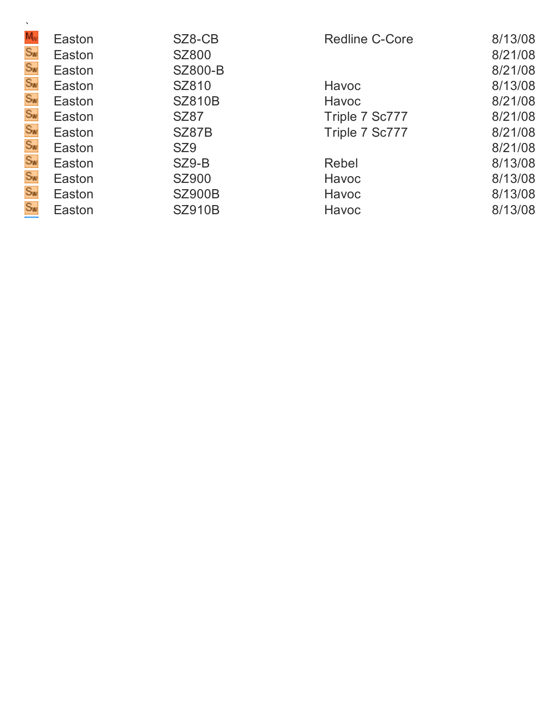| $M_{\nu}$            | Easton | SZ8-CB          | <b>Redline C-Core</b> | 8/13/08 |
|----------------------|--------|-----------------|-----------------------|---------|
| Sw<br>Sw<br>Sw       | Easton | <b>SZ800</b>    |                       | 8/21/08 |
|                      | Easton | <b>SZ800-B</b>  |                       | 8/21/08 |
|                      | Easton | SZ810           | Havoc                 | 8/13/08 |
| $S_{\mathbf{w}}$     | Easton | <b>SZ810B</b>   | Havoc                 | 8/21/08 |
| Sw<br>Sw             | Easton | <b>SZ87</b>     | Triple 7 Sc777        | 8/21/08 |
|                      | Easton | SZ87B           | Triple 7 Sc777        | 8/21/08 |
|                      | Easton | SZ <sub>9</sub> |                       | 8/21/08 |
| Sw<br>Sw<br>Sw<br>Sw | Easton | SZ9-B           | Rebel                 | 8/13/08 |
|                      | Easton | <b>SZ900</b>    | Havoc                 | 8/13/08 |
|                      | Easton | <b>SZ900B</b>   | Havoc                 | 8/13/08 |
|                      | Easton | <b>SZ910B</b>   | Havoc                 | 8/13/08 |
|                      |        |                 |                       |         |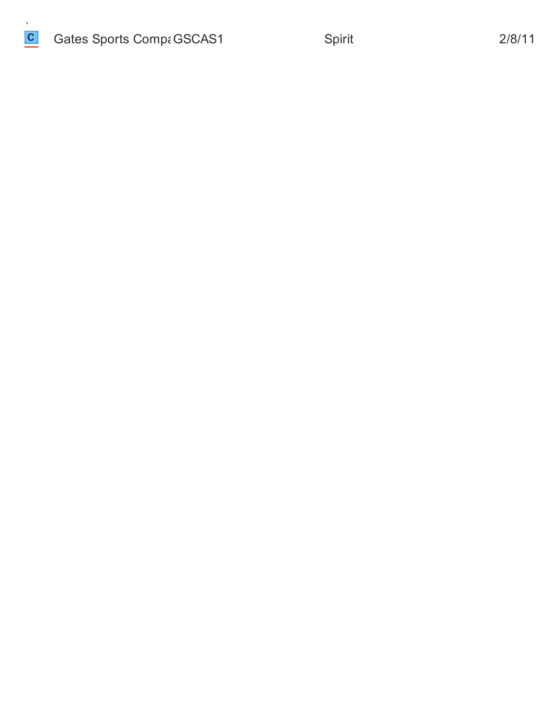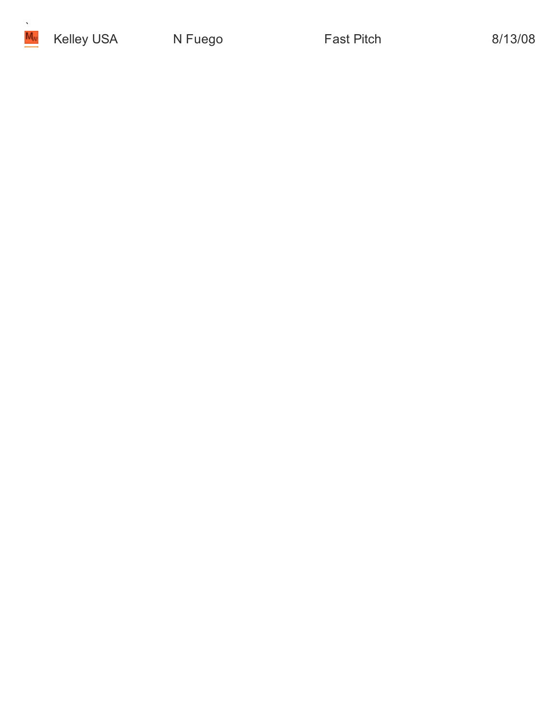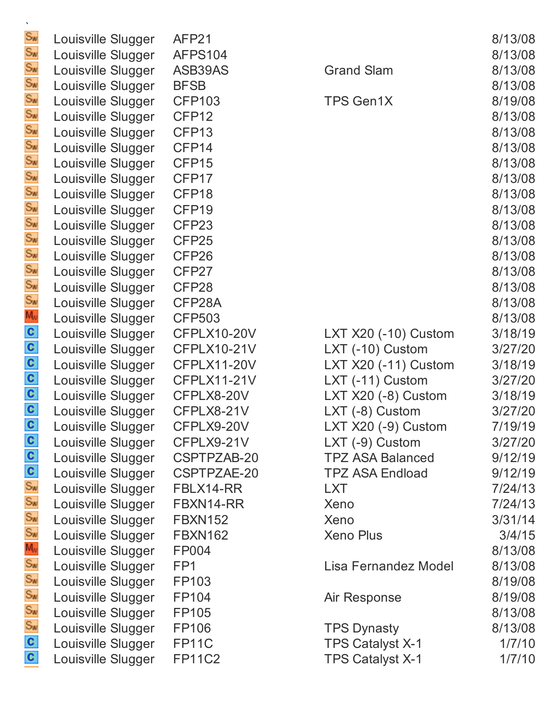| $S_{\text{W}}$                                | Louisville Slugger | AFP21              |                         | 8/13/08 |
|-----------------------------------------------|--------------------|--------------------|-------------------------|---------|
| $S_{\text{W}}$                                | Louisville Slugger | AFPS104            |                         | 8/13/08 |
| Sw<br>Sw                                      | Louisville Slugger | ASB39AS            | <b>Grand Slam</b>       | 8/13/08 |
|                                               | Louisville Slugger | <b>BFSB</b>        |                         | 8/13/08 |
|                                               | Louisville Slugger | <b>CFP103</b>      | <b>TPS Gen1X</b>        | 8/19/08 |
| Sw<br>Sw<br>Sw                                | Louisville Slugger | CFP <sub>12</sub>  |                         | 8/13/08 |
|                                               | Louisville Slugger | CFP <sub>13</sub>  |                         | 8/13/08 |
|                                               | Louisville Slugger | CFP14              |                         | 8/13/08 |
| Sw<br>Sw<br>Sw                                | Louisville Slugger | CFP15              |                         | 8/13/08 |
|                                               | Louisville Slugger | CFP17              |                         | 8/13/08 |
| Sw<br>Sw<br>Sw                                | Louisville Slugger | CFP18              |                         | 8/13/08 |
|                                               | Louisville Slugger | CFP <sub>19</sub>  |                         | 8/13/08 |
|                                               | Louisville Slugger | CFP <sub>23</sub>  |                         | 8/13/08 |
|                                               | Louisville Slugger | CFP <sub>25</sub>  |                         | 8/13/08 |
| Sw<br>Sw<br>Sw                                | Louisville Slugger | CFP <sub>26</sub>  |                         | 8/13/08 |
|                                               | Louisville Slugger | CFP27              |                         | 8/13/08 |
| Sw<br>Sw                                      | Louisville Slugger | CFP28              |                         | 8/13/08 |
|                                               | Louisville Slugger | CFP28A             |                         | 8/13/08 |
| $M_{\rm W}$                                   | Louisville Slugger | <b>CFP503</b>      |                         | 8/13/08 |
|                                               | Louisville Slugger | CFPLX10-20V        | LXT X20 (-10) Custom    | 3/18/19 |
| $\frac{c}{c}$                                 | Louisville Slugger | <b>CFPLX10-21V</b> | LXT (-10) Custom        | 3/27/20 |
|                                               | Louisville Slugger | CFPLX11-20V        | LXT X20 (-11) Custom    | 3/18/19 |
|                                               | Louisville Slugger | <b>CFPLX11-21V</b> | LXT (-11) Custom        | 3/27/20 |
| $\frac{c}{c}$                                 | Louisville Slugger | CFPLX8-20V         | LXT X20 (-8) Custom     | 3/18/19 |
|                                               | Louisville Slugger | CFPLX8-21V         | LXT (-8) Custom         | 3/27/20 |
| C                                             | Louisville Slugger | CFPLX9-20V         | LXT X20 (-9) Custom     | 7/19/19 |
| $\frac{c}{c}$                                 | Louisville Slugger | CFPLX9-21V         | LXT (-9) Custom         | 3/27/20 |
|                                               | Louisville Slugger | CSPTPZAB-20        | <b>TPZ ASA Balanced</b> | 9/12/19 |
|                                               | Louisville Slugger | CSPTPZAE-20        | <b>TPZ ASA Endload</b>  | 9/12/19 |
| $rac{c}{s_w}$                                 | Louisville Slugger | FBLX14-RR          | <b>LXT</b>              | 7/24/13 |
|                                               | Louisville Slugger | FBXN14-RR          | Xeno                    | 7/24/13 |
| $S_{\mathbf{w}}$                              | Louisville Slugger | <b>FBXN152</b>     | Xeno                    | 3/31/14 |
| $S_{\text{W}}$                                | Louisville Slugger | <b>FBXN162</b>     | <b>Xeno Plus</b>        | 3/4/15  |
| $\mathsf{M}_{\scriptscriptstyle{\mathrm{W}}}$ | Louisville Slugger | <b>FP004</b>       |                         | 8/13/08 |
| $S_{\text{W}}$                                | Louisville Slugger | FP <sub>1</sub>    | Lisa Fernandez Model    | 8/13/08 |
| $S_{\mathbf{w}}$                              | Louisville Slugger | FP103              |                         | 8/19/08 |
| $S_{\text{W}}$                                | Louisville Slugger | FP104              | Air Response            | 8/19/08 |
| $S_{\text{W}}$                                | Louisville Slugger | FP105              |                         | 8/13/08 |
| Sw<br>C                                       | Louisville Slugger | <b>FP106</b>       | <b>TPS Dynasty</b>      | 8/13/08 |
|                                               | Louisville Slugger | FP11C              | TPS Catalyst X-1        | 1/7/10  |
| $\mathbf{c}$                                  | Louisville Slugger | <b>FP11C2</b>      | <b>TPS Catalyst X-1</b> | 1/7/10  |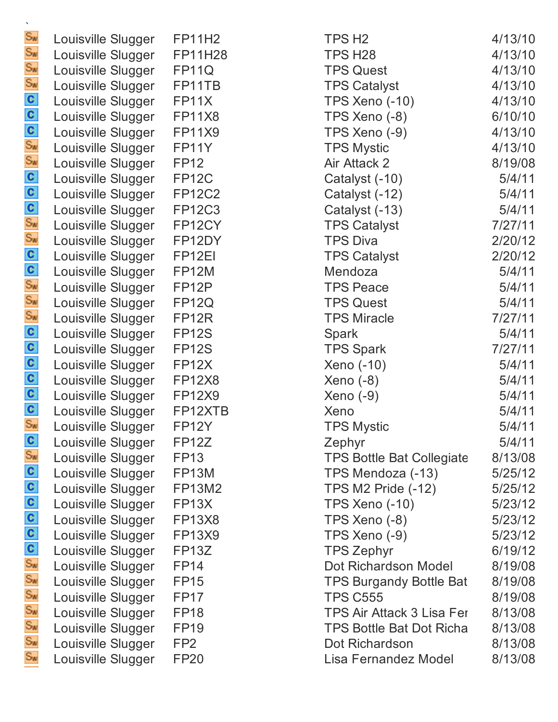| Sw                          | Louisville Slugger |
|-----------------------------|--------------------|
| Sw                          | Louisville Slugger |
| Sw                          | Louisville Slugger |
| $S_{\text{W}}$              | Louisville Slugger |
| c                           | Louisville Slugger |
| C                           | Louisville Slugger |
| c                           | Louisville Slugger |
| $\mathbb{S}_M$              | Louisville Slugger |
| Sw                          | Louisville Slugger |
| C                           | Louisville Slugger |
| c                           | Louisville Slugger |
| C                           | Louisville Slugger |
| $\mathsf{s}_{\mathsf{w}}$   | Louisville Slugger |
| $S_{\mathcal{W}}$           | Louisville Slugger |
| <b>C</b>                    | Louisville Slugger |
| C                           | Louisville Slugger |
| Sw                          | Louisville Slugger |
| Sw                          | Louisville Slugger |
| $\mathbb{S}_{\mathbb{N}}$   | Louisville Slugger |
| C                           | Louisville Slugger |
| C                           | Louisville Slugger |
| C                           | Louisville Slugger |
| c                           | Louisville Slugger |
| C                           | Louisville Slugger |
| c                           | Louisville Slugger |
| $S_{W}$                     | Louisville Slugger |
| C                           | Louisville Slugger |
| $\overline{\mathbb{S}}_{M}$ | Louisville Slugger |
| c                           | Louisville Slugger |
| C                           | Louisville Slugger |
| c                           | Louisville Slugger |
| c                           | Louisville Slugger |
| $\overline{\mathbf{c}}$     | Louisville Slugger |
| C                           | Louisville Slugger |
| $\mathsf{S}_{\mathsf{W}}$   | Louisville Slugger |
| $S_{\text{W}}$              | Louisville Slugger |
| $\mathbb{S}_{\mathbb{N}}$   | Louisville Slugger |
| $\mathbb{S}_M$              | Louisville Slugger |
| $\mathsf{s}_{\mathsf{w}}$   | Louisville Slugger |
| $\mathsf{s}_{\mathsf{w}}$   | Louisville Slugger |
| $\mathbb{S}_w$              | Louisville Slugger |

| Louisville Slugger | <b>FP11H2</b>      | TPS H <sub>2</sub>               | 4/13/10 |
|--------------------|--------------------|----------------------------------|---------|
| Louisville Slugger | <b>FP11H28</b>     | TPS H <sub>28</sub>              | 4/13/10 |
| Louisville Slugger | FP11Q              | <b>TPS Quest</b>                 | 4/13/10 |
| Louisville Slugger | FP11TB             | <b>TPS Catalyst</b>              | 4/13/10 |
| Louisville Slugger | FP11X              | <b>TPS Xeno (-10)</b>            | 4/13/10 |
| Louisville Slugger | <b>FP11X8</b>      | TPS Xeno (-8)                    | 6/10/10 |
| Louisville Slugger | <b>FP11X9</b>      | TPS Xeno (-9)                    | 4/13/10 |
| Louisville Slugger | FP11Y              | <b>TPS Mystic</b>                | 4/13/10 |
| Louisville Slugger | <b>FP12</b>        | Air Attack 2                     | 8/19/08 |
| Louisville Slugger | <b>FP12C</b>       | Catalyst (-10)                   | 5/4/11  |
| Louisville Slugger | <b>FP12C2</b>      | Catalyst (-12)                   | 5/4/11  |
| Louisville Slugger | <b>FP12C3</b>      | Catalyst (-13)                   | 5/4/11  |
| Louisville Slugger | FP12CY             | <b>TPS Catalyst</b>              | 7/27/11 |
| Louisville Slugger | FP12DY             | <b>TPS Diva</b>                  | 2/20/12 |
| Louisville Slugger | FP <sub>12EI</sub> | <b>TPS Catalyst</b>              | 2/20/12 |
| Louisville Slugger | FP12M              | Mendoza                          | 5/4/11  |
| Louisville Slugger | FP <sub>12</sub> P | <b>TPS Peace</b>                 | 5/4/11  |
| Louisville Slugger | <b>FP12Q</b>       | <b>TPS Quest</b>                 | 5/4/11  |
| Louisville Slugger | FP <sub>12R</sub>  | <b>TPS Miracle</b>               | 7/27/11 |
| Louisville Slugger | <b>FP12S</b>       | <b>Spark</b>                     | 5/4/11  |
| Louisville Slugger | <b>FP12S</b>       | <b>TPS Spark</b>                 | 7/27/11 |
| Louisville Slugger | FP <sub>12</sub> X | Xeno (-10)                       | 5/4/11  |
| Louisville Slugger | <b>FP12X8</b>      | $Xeno(-8)$                       | 5/4/11  |
| Louisville Slugger | <b>FP12X9</b>      | $Xeno(-9)$                       | 5/4/11  |
| Louisville Slugger | FP12XTB            | Xeno                             | 5/4/11  |
| Louisville Slugger | FP <sub>12</sub> Y | <b>TPS Mystic</b>                | 5/4/11  |
| Louisville Slugger | <b>FP12Z</b>       | Zephyr                           | 5/4/11  |
| Louisville Slugger | <b>FP13</b>        | <b>TPS Bottle Bat Collegiate</b> | 8/13/08 |
| Louisville Slugger | <b>FP13M</b>       | TPS Mendoza (-13)                | 5/25/12 |
| Louisville Slugger | <b>FP13M2</b>      | <b>TPS M2 Pride (-12)</b>        | 5/25/12 |
| Louisville Slugger | FP <sub>13</sub> X | <b>TPS Xeno (-10)</b>            | 5/23/12 |
| Louisville Slugger | <b>FP13X8</b>      | TPS Xeno (-8)                    | 5/23/12 |
| Louisville Slugger | <b>FP13X9</b>      | TPS Xeno (-9)                    | 5/23/12 |
| Louisville Slugger | FP13Z              | <b>TPS Zephyr</b>                | 6/19/12 |
| Louisville Slugger | <b>FP14</b>        | Dot Richardson Model             | 8/19/08 |
| Louisville Slugger | <b>FP15</b>        | <b>TPS Burgandy Bottle Bat</b>   | 8/19/08 |
| Louisville Slugger | FP <sub>17</sub>   | <b>TPS C555</b>                  | 8/19/08 |
| Louisville Slugger | <b>FP18</b>        | TPS Air Attack 3 Lisa Fer        | 8/13/08 |
| Louisville Slugger | <b>FP19</b>        | <b>TPS Bottle Bat Dot Richa</b>  | 8/13/08 |
| Louisville Slugger | FP <sub>2</sub>    | Dot Richardson                   | 8/13/08 |
| Louisville Slugger | <b>FP20</b>        | Lisa Fernandez Model             | 8/13/08 |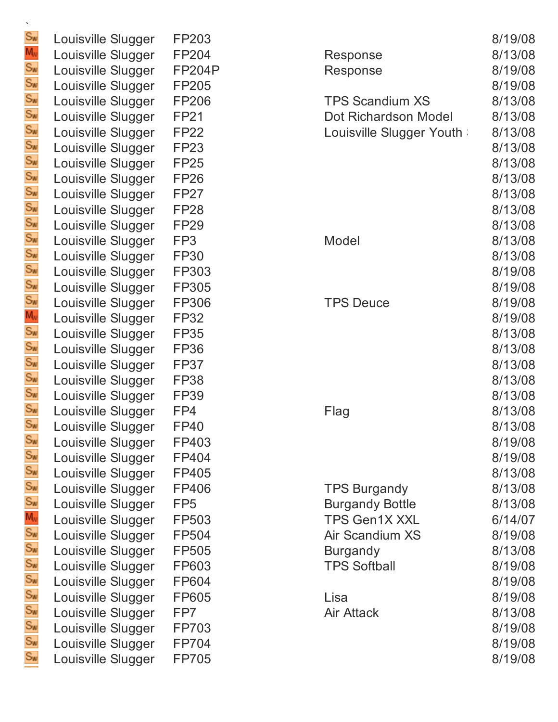| $\mathbb{S}_{M}$     | Loι |
|----------------------|-----|
| M,                   | Loι |
|                      | Lοι |
|                      | Lοι |
| $S_{\text{W}}$       | Loι |
| $S_{\text{W}}$       | Loι |
| $S_{\mathbf{w}}$     | Loι |
| ĎМ                   | Loι |
| $S_{\text{W}}$       | Lοι |
| ЭW                   | Lοι |
| $S_{\text{N}}$       | Lοι |
| $S_{\mathbf{w}}$     | Loι |
| Sw                   | Loι |
| $S_{\text{W}}$       | Loι |
| żw                   | Lοι |
| Sw                   | Lοι |
| $S_{\text{W}}$       | Loι |
| $S_{\text{W}}$       | Loι |
| Мv                   | Lοι |
| Sw                   | Loι |
| $S_{\text{W}}$       | Lοι |
| SW                   | Lοι |
| $S_{\text{W}}$       | Lοι |
| $S_{\mathbf{w}}$     | Lοι |
| Sw                   | Loι |
| $S_{\mathcal{W}}$    | Lοι |
| $S_{\mathcal{W}}$    | Lοι |
|                      | Lοι |
| Sw                   | Lοι |
| $\mathbb{S}_{\sf M}$ | Loι |
| Św                   | Lοι |
| Mw                   | Lοι |
|                      | Lοι |
|                      | Lοι |
| $S_{\text{W}}$       | Loι |
| $S_{\text{W}}$       | Loι |
| $S_{\text{M}}$       | Lou |
| ŚW                   | Lοι |
| $S_{\text{W}}$       | Lοι |
| ŚW                   | Lοι |
| $S_{\text{M}}$       | Lοι |

 $\ddot{\phantom{0}}$ 

| Louisville Slugger | FP203           |
|--------------------|-----------------|
| Louisville Slugger | FP204           |
| Louisville Slugger | <b>FP204P</b>   |
| Louisville Slugger | FP205           |
| Louisville Slugger | FP206           |
| Louisville Slugger | <b>FP21</b>     |
| Louisville Slugger | <b>FP22</b>     |
| Louisville Slugger | FP23            |
| Louisville Slugger | <b>FP25</b>     |
| Louisville Slugger | <b>FP26</b>     |
| Louisville Slugger | FP27            |
| Louisville Slugger | <b>FP28</b>     |
| Louisville Slugger | <b>FP29</b>     |
| Louisville Slugger | FP <sub>3</sub> |
| Louisville Slugger | <b>FP30</b>     |
| Louisville Slugger | FP303           |
| Louisville Slugger | FP305           |
| Louisville Slugger | FP306           |
| Louisville Slugger | <b>FP32</b>     |
| Louisville Slugger | <b>FP35</b>     |
| Louisville Slugger | <b>FP36</b>     |
| Louisville Slugger | <b>FP37</b>     |
| Louisville Slugger | <b>FP38</b>     |
| Louisville Slugger | FP39            |
| Louisville Slugger | FP4             |
| Louisville Slugger | FP40            |
| Louisville Slugger | FP403           |
| Louisville Slugger | FP404           |
| Louisville Slugger | FP405           |
| Louisville Slugger | FP406           |
| Louisville Slugger | FP <sub>5</sub> |
| Louisville Slugger | FP503           |
| Louisville Slugger | FP504           |
| Louisville Slugger | FP505           |
| Louisville Slugger | FP603           |
| Louisville Slugger | FP604           |
| Louisville Slugger | FP605           |
| Louisville Slugger | FP7             |
| Louisville Slugger | FP703           |
| Louisville Slugger | FP704           |
| Louisville Slugger | FP705           |

| Louisville Slugger | FP203           |                          | 8/19/08 |
|--------------------|-----------------|--------------------------|---------|
| Louisville Slugger | FP204           | Response                 | 8/13/08 |
| Louisville Slugger | <b>FP204P</b>   | Response                 | 8/19/08 |
| Louisville Slugger | FP205           |                          | 8/19/08 |
| Louisville Slugger | <b>FP206</b>    | <b>TPS Scandium XS</b>   | 8/13/08 |
| Louisville Slugger | <b>FP21</b>     | Dot Richardson Model     | 8/13/08 |
| Louisville Slugger | <b>FP22</b>     | Louisville Slugger Youth | 8/13/08 |
| Louisville Slugger | <b>FP23</b>     |                          | 8/13/08 |
| Louisville Slugger | <b>FP25</b>     |                          | 8/13/08 |
| Louisville Slugger | <b>FP26</b>     |                          | 8/13/08 |
| Louisville Slugger | FP27            |                          | 8/13/08 |
| Louisville Slugger | <b>FP28</b>     |                          | 8/13/08 |
| Louisville Slugger | <b>FP29</b>     |                          | 8/13/08 |
| Louisville Slugger | FP <sub>3</sub> | Model                    | 8/13/08 |
| Louisville Slugger | <b>FP30</b>     |                          | 8/13/08 |
| Louisville Slugger | FP303           |                          | 8/19/08 |
| Louisville Slugger | FP305           |                          | 8/19/08 |
| Louisville Slugger | FP306           | <b>TPS Deuce</b>         | 8/19/08 |
| Louisville Slugger | <b>FP32</b>     |                          | 8/19/08 |
| Louisville Slugger | <b>FP35</b>     |                          | 8/13/08 |
| Louisville Slugger | <b>FP36</b>     |                          | 8/13/08 |
| Louisville Slugger | <b>FP37</b>     |                          | 8/13/08 |
| Louisville Slugger | <b>FP38</b>     |                          | 8/13/08 |
| Louisville Slugger | <b>FP39</b>     |                          | 8/13/08 |
| Louisville Slugger | FP4             | Flag                     | 8/13/08 |
| Louisville Slugger | <b>FP40</b>     |                          | 8/13/08 |
| Louisville Slugger | FP403           |                          | 8/19/08 |
| Louisville Slugger | FP404           |                          | 8/19/08 |
| Louisville Slugger | FP405           |                          | 8/13/08 |
| Louisville Slugger | FP406           | <b>TPS Burgandy</b>      | 8/13/08 |
| Louisville Slugger | FP <sub>5</sub> | <b>Burgandy Bottle</b>   | 8/13/08 |
| Louisville Slugger | FP503           | <b>TPS Gen1X XXL</b>     | 6/14/07 |
| Louisville Slugger | FP504           | Air Scandium XS          | 8/19/08 |
| Louisville Slugger | FP505           | <b>Burgandy</b>          | 8/13/08 |
| Louisville Slugger | FP603           | <b>TPS Softball</b>      | 8/19/08 |
| Louisville Slugger | FP604           |                          | 8/19/08 |
| Louisville Slugger | FP605           | Lisa                     | 8/19/08 |
| Louisville Slugger | FP7             | <b>Air Attack</b>        | 8/13/08 |
| Louisville Slugger | FP703           |                          | 8/19/08 |
| Louisville Slugger | <b>FP704</b>    |                          | 8/19/08 |
| Louisville Slugger | <b>FP705</b>    |                          | 8/19/08 |
|                    |                 |                          |         |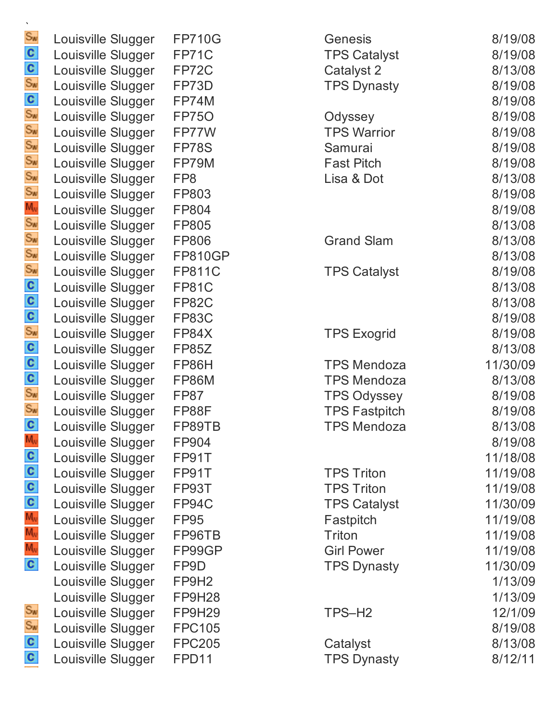| $S_{\text{W}}$          | Louisville Slugger | <b>FP710G</b>     |
|-------------------------|--------------------|-------------------|
| $\overline{\mathbf{c}}$ | Louisville Slugger | FP71C             |
| C                       | Louisville Slugger | FP72C             |
| $S_{\text{M}}$          | Louisville Slugger | FP73D             |
| c                       | Louisville Slugger | FP74M             |
| $S_{\text{W}}$          | Louisville Slugger | <b>FP750</b>      |
| $S_{\text{W}}$          | Louisville Slugger | FP77W             |
| $S_{\text{M}}$          | Louisville Slugger | FP78S             |
| $S_{\text{W}}$          | Louisville Slugger | FP79M             |
| $S_{\text{M}}$          | Louisville Slugger | FP8               |
| $S_{\text{W}}$          | Louisville Slugger | FP803             |
| $M_{\rm v}$             | Louisville Slugger | FP804             |
| $S_{\text{W}}$          | Louisville Slugger | FP805             |
| $S_{\text{W}}$          | Louisville Slugger | FP806             |
| $S_{\text{M}}$          | Louisville Slugger | <b>FP810GP</b>    |
| $S_{\text{M}}$          | Louisville Slugger | <b>FP811C</b>     |
| C                       | Louisville Slugger | <b>FP81C</b>      |
| c                       | Louisville Slugger | <b>FP82C</b>      |
| c                       | Louisville Slugger | <b>FP83C</b>      |
| $S_{\text{W}}$          | Louisville Slugger | FP84X             |
| C                       | Louisville Slugger | <b>FP85Z</b>      |
| C                       | Louisville Slugger | FP86H             |
| c                       | Louisville Slugger | <b>FP86M</b>      |
| $S_{W}$                 | Louisville Slugger | <b>FP87</b>       |
| $S_{\mathbf{w}}$        | Louisville Slugger | FP88F             |
| ¢                       | Louisville Slugger | FP89TB            |
| $M_V$                   | Louisville Slugger | FP904             |
| C                       | Louisville Slugger | FP91T             |
| C                       | Louisville Slugger | FP91T             |
| c                       | Louisville Slugger | FP93T             |
| C                       | Louisville Slugger | FP94C             |
| $M_V$                   | Louisville Slugger | <b>FP95</b>       |
| $M_{\rm v}$             | Louisville Slugger | FP96TB            |
| $M_{\rm v}$             | Louisville Slugger | FP99GP            |
| $\mathbf{c}$            | Louisville Slugger | FP9D              |
|                         | Louisville Slugger | FP9H <sub>2</sub> |
|                         | Louisville Slugger | <b>FP9H28</b>     |
| $S_{\text{W}}$          | Louisville Slugger | <b>FP9H29</b>     |
| $S_{\text{W}}$          | Louisville Slugger | <b>FPC105</b>     |
| C                       | Louisville Slugger | <b>FPC205</b>     |
| c                       | Louisville Slugger | FPD11             |

| Louisville Slugger | <b>FP710G</b>     | Genesis              | 8/19/08  |
|--------------------|-------------------|----------------------|----------|
| Louisville Slugger | FP71C             | <b>TPS Catalyst</b>  | 8/19/08  |
| Louisville Slugger | FP72C             | Catalyst 2           | 8/13/08  |
| Louisville Slugger | FP73D             | <b>TPS Dynasty</b>   | 8/19/08  |
| Louisville Slugger | FP74M             |                      | 8/19/08  |
| Louisville Slugger | <b>FP750</b>      | Odyssey              | 8/19/08  |
| Louisville Slugger | FP77W             | <b>TPS Warrior</b>   | 8/19/08  |
| Louisville Slugger | FP78S             | Samurai              | 8/19/08  |
| Louisville Slugger | FP79M             | <b>Fast Pitch</b>    | 8/19/08  |
| Louisville Slugger | FP <sub>8</sub>   | Lisa & Dot           | 8/13/08  |
| Louisville Slugger | FP803             |                      | 8/19/08  |
| Louisville Slugger | FP804             |                      | 8/19/08  |
| Louisville Slugger | <b>FP805</b>      |                      | 8/13/08  |
| Louisville Slugger | <b>FP806</b>      | <b>Grand Slam</b>    | 8/13/08  |
| Louisville Slugger | <b>FP810GP</b>    |                      | 8/13/08  |
| Louisville Slugger | <b>FP811C</b>     | <b>TPS Catalyst</b>  | 8/19/08  |
| Louisville Slugger | <b>FP81C</b>      |                      | 8/13/08  |
| Louisville Slugger | FP82C             |                      | 8/13/08  |
| Louisville Slugger | <b>FP83C</b>      |                      | 8/19/08  |
| Louisville Slugger | FP84X             | <b>TPS Exogrid</b>   | 8/19/08  |
| Louisville Slugger | FP85Z             |                      | 8/13/08  |
| Louisville Slugger | FP86H             | <b>TPS Mendoza</b>   | 11/30/09 |
| Louisville Slugger | FP86M             | <b>TPS Mendoza</b>   | 8/13/08  |
| Louisville Slugger | <b>FP87</b>       | <b>TPS Odyssey</b>   | 8/19/08  |
| Louisville Slugger | FP88F             | <b>TPS Fastpitch</b> | 8/19/08  |
| Louisville Slugger | FP89TB            | <b>TPS Mendoza</b>   | 8/13/08  |
| Louisville Slugger | FP904             |                      | 8/19/08  |
| Louisville Slugger | FP91T             |                      | 11/18/08 |
| Louisville Slugger | FP91T             | <b>TPS Triton</b>    | 11/19/08 |
| Louisville Slugger | FP93T             | <b>TPS Triton</b>    | 11/19/08 |
| Louisville Slugger | FP94C             | <b>TPS Catalyst</b>  | 11/30/09 |
| Louisville Slugger | <b>FP95</b>       | Fastpitch            | 11/19/08 |
| Louisville Slugger | FP96TB            | <b>Triton</b>        | 11/19/08 |
| Louisville Slugger | FP99GP            | <b>Girl Power</b>    | 11/19/08 |
| Louisville Slugger | FP9D              | <b>TPS Dynasty</b>   | 11/30/09 |
| Louisville Slugger | FP9H <sub>2</sub> |                      | 1/13/09  |
| Louisville Slugger | FP9H28            |                      | 1/13/09  |
| Louisville Slugger | FP9H29            | TPS-H <sub>2</sub>   | 12/1/09  |
| Louisville Slugger | <b>FPC105</b>     |                      | 8/19/08  |
| Louisville Slugger | <b>FPC205</b>     | Catalyst             | 8/13/08  |
| Louisville Slugger | FPD11             | <b>TPS Dynasty</b>   | 8/12/11  |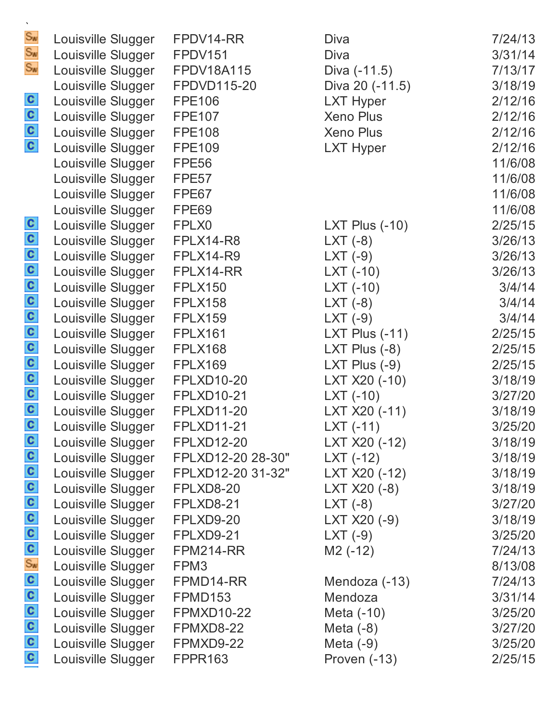|                           | Louisville Slugger                       | FPDV14-RR         | Diva                     | 7/24/13            |
|---------------------------|------------------------------------------|-------------------|--------------------------|--------------------|
| Sw<br>Sw                  | Louisville Slugger                       | <b>FPDV151</b>    | <b>Diva</b>              | 3/31/14            |
| Sw                        | Louisville Slugger                       | <b>FPDV18A115</b> | Diva (-11.5)             | 7/13/17            |
|                           | Louisville Slugger                       | FPDVD115-20       | Diva 20 (-11.5)          | 3/18/19            |
|                           | Louisville Slugger                       | <b>FPE106</b>     | <b>LXT Hyper</b>         | 2/12/16            |
| $\frac{1}{2}$             | Louisville Slugger                       | <b>FPE107</b>     | <b>Xeno Plus</b>         | 2/12/16            |
|                           | Louisville Slugger                       | <b>FPE108</b>     | <b>Xeno Plus</b>         | 2/12/16            |
|                           | Louisville Slugger                       | <b>FPE109</b>     | <b>LXT Hyper</b>         | 2/12/16            |
|                           | Louisville Slugger                       | <b>FPE56</b>      |                          | 11/6/08            |
|                           | Louisville Slugger                       | FPE <sub>57</sub> |                          | 11/6/08            |
|                           | Louisville Slugger                       | FPE67             |                          | 11/6/08            |
|                           | Louisville Slugger                       | FPE69             |                          | 11/6/08            |
|                           | Louisville Slugger                       | FPLX0             | LXT Plus $(-10)$         | 2/25/15            |
|                           | Louisville Slugger                       | FPLX14-R8         | $LXT(-8)$                | 3/26/13            |
|                           | Louisville Slugger                       | <b>FPLX14-R9</b>  | LXT $(-9)$               | 3/26/13            |
|                           | Louisville Slugger                       | FPLX14-RR         | $LXT(-10)$               | 3/26/13            |
|                           | Louisville Slugger                       | <b>FPLX150</b>    | $LXT(-10)$               | 3/4/14             |
| a a a a a a a a a a a a a | Louisville Slugger                       | <b>FPLX158</b>    | LXT $(-8)$               | 3/4/14             |
|                           | Louisville Slugger                       | <b>FPLX159</b>    | $LXT(-9)$                | 3/4/14             |
|                           | Louisville Slugger                       | <b>FPLX161</b>    | LXT Plus $(-11)$         | 2/25/15            |
|                           | Louisville Slugger                       | <b>FPLX168</b>    | LXT Plus $(-8)$          | 2/25/15            |
|                           | Louisville Slugger                       | <b>FPLX169</b>    | LXT Plus $(-9)$          | 2/25/15            |
|                           | Louisville Slugger                       | <b>FPLXD10-20</b> | LXT X20 (-10)            | 3/18/19            |
|                           | Louisville Slugger                       | <b>FPLXD10-21</b> | $LXT(-10)$               | 3/27/20            |
|                           | Louisville Slugger                       | <b>FPLXD11-20</b> | LXT X20 (-11)            | 3/18/19            |
|                           | Louisville Slugger                       | <b>FPLXD11-21</b> | $LXT(-11)$               | 3/25/20            |
|                           | Louisville Slugger                       | <b>FPLXD12-20</b> | LXT X20 (-12)            | 3/18/19            |
|                           | Louisville Slugger                       | FPLXD12-20 28-30" | $LXT(-12)$               | 3/18/19            |
|                           | Louisville Slugger                       | FPLXD12-20 31-32" | LXT X20 (-12)            | 3/18/19            |
|                           | Louisville Slugger                       | FPLXD8-20         | LXT X20 (-8)             | 3/18/19            |
|                           | Louisville Slugger                       | FPLXD8-21         | $LXT(-8)$                | 3/27/20            |
|                           | Louisville Slugger                       | FPLXD9-20         | LXT X20 (-9)             | 3/18/19            |
|                           | Louisville Slugger                       | FPLXD9-21         | $LXT(-9)$                | 3/25/20            |
|                           | Louisville Slugger                       | FPM214-RR         | $M2$ (-12)               | 7/24/13            |
| a a a a sha a a a a a a a | Louisville Slugger                       | FPM3<br>FPMD14-RR |                          | 8/13/08            |
|                           | Louisville Slugger<br>Louisville Slugger | FPMD153           | Mendoza (-13)<br>Mendoza | 7/24/13<br>3/31/14 |
|                           | Louisville Slugger                       | <b>FPMXD10-22</b> | Meta (-10)               | 3/25/20            |
|                           | Louisville Slugger                       | FPMXD8-22         | Meta $(-8)$              | 3/27/20            |
|                           | Louisville Slugger                       | FPMXD9-22         | Meta $(-9)$              | 3/25/20            |
|                           |                                          | <b>FPPR163</b>    | Proven (-13)             | 2/25/15            |
|                           | Louisville Slugger                       |                   |                          |                    |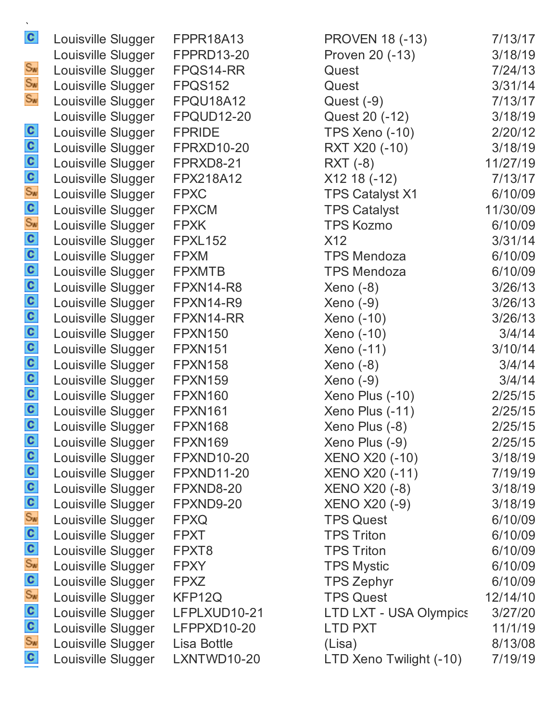| C                                     | Louisville Slugger | FPPR18A13         | <b>PROVEN 18 (-13)</b>  | 7/13/17  |
|---------------------------------------|--------------------|-------------------|-------------------------|----------|
|                                       | Louisville Slugger | <b>FPPRD13-20</b> | Proven 20 (-13)         | 3/18/19  |
| Sw                                    | Louisville Slugger | FPQS14-RR         | Quest                   | 7/24/13  |
| Sw                                    | Louisville Slugger | FPQS152           | Quest                   | 3/31/14  |
| $S_{\text{W}}$                        | Louisville Slugger | FPQU18A12         | Quest (-9)              | 7/13/17  |
|                                       | Louisville Slugger | <b>FPQUD12-20</b> | Quest 20 (-12)          | 3/18/19  |
|                                       | Louisville Slugger | <b>FPRIDE</b>     | <b>TPS Xeno (-10)</b>   | 2/20/12  |
|                                       | Louisville Slugger | <b>FPRXD10-20</b> | RXT X20 (-10)           | 3/18/19  |
|                                       | Louisville Slugger | FPRXD8-21         | RXT (-8)                | 11/27/19 |
|                                       | Louisville Slugger | FPX218A12         | $X12 18 (-12)$          | 7/13/17  |
|                                       | Louisville Slugger | <b>FPXC</b>       | <b>TPS Catalyst X1</b>  | 6/10/09  |
|                                       | Louisville Slugger | <b>FPXCM</b>      | <b>TPS Catalyst</b>     | 11/30/09 |
|                                       | Louisville Slugger | <b>FPXK</b>       | <b>TPS Kozmo</b>        | 6/10/09  |
|                                       | Louisville Slugger | <b>FPXL152</b>    | X12                     | 3/31/14  |
|                                       | Louisville Slugger | <b>FPXM</b>       | <b>TPS Mendoza</b>      | 6/10/09  |
|                                       | Louisville Slugger | <b>FPXMTB</b>     | <b>TPS Mendoza</b>      | 6/10/09  |
| a a a a a a a a a a a g a g a a a a a | Louisville Slugger | FPXN14-R8         | $Xeno(-8)$              | 3/26/13  |
|                                       | Louisville Slugger | FPXN14-R9         | Xeno (-9)               | 3/26/13  |
|                                       | Louisville Slugger | FPXN14-RR         | Xeno (-10)              | 3/26/13  |
|                                       | Louisville Slugger | <b>FPXN150</b>    | Xeno (-10)              | 3/4/14   |
|                                       | Louisville Slugger | <b>FPXN151</b>    | Xeno (-11)              | 3/10/14  |
|                                       | Louisville Slugger | <b>FPXN158</b>    | $Xeno(-8)$              | 3/4/14   |
|                                       | Louisville Slugger | <b>FPXN159</b>    | Xeno (-9)               | 3/4/14   |
|                                       | Louisville Slugger | <b>FPXN160</b>    | Xeno Plus (-10)         | 2/25/15  |
|                                       | Louisville Slugger | <b>FPXN161</b>    | Xeno Plus (-11)         | 2/25/15  |
|                                       | Louisville Slugger | <b>FPXN168</b>    | Xeno Plus (-8)          | 2/25/15  |
|                                       | Louisville Slugger | <b>FPXN169</b>    | Xeno Plus (-9)          | 2/25/15  |
|                                       | Louisville Slugger | <b>FPXND10-20</b> | <b>XENO X20 (-10)</b>   | 3/18/19  |
|                                       | Louisville Slugger | <b>FPXND11-20</b> | <b>XENO X20 (-11)</b>   | 7/19/19  |
|                                       | Louisville Slugger | FPXND8-20         | <b>XENO X20 (-8)</b>    | 3/18/19  |
|                                       | Louisville Slugger | FPXND9-20         | <b>XENO X20 (-9)</b>    | 3/18/19  |
|                                       | Louisville Slugger | <b>FPXQ</b>       | <b>TPS Quest</b>        | 6/10/09  |
|                                       | Louisville Slugger | <b>FPXT</b>       | <b>TPS Triton</b>       | 6/10/09  |
|                                       | Louisville Slugger | FPXT8             | <b>TPS Triton</b>       | 6/10/09  |
|                                       | Louisville Slugger | <b>FPXY</b>       | <b>TPS Mystic</b>       | 6/10/09  |
|                                       | Louisville Slugger | <b>FPXZ</b>       | <b>TPS Zephyr</b>       | 6/10/09  |
| ္ ၀ ၀ ႏွ ၀ ႏွ ၀ ၀ ႏွ ၀ ၀ ၀ ၀          | Louisville Slugger | KFP12Q            | <b>TPS Quest</b>        | 12/14/10 |
|                                       | Louisville Slugger | LFPLXUD10-21      | LTD LXT - USA Olympics  | 3/27/20  |
|                                       | Louisville Slugger | LFPPXD10-20       | <b>LTD PXT</b>          | 11/1/19  |
|                                       | Louisville Slugger | Lisa Bottle       | (Lisa)                  | 8/13/08  |
| C                                     | Louisville Slugger | LXNTWD10-20       | LTD Xeno Twilight (-10) | 7/19/19  |
|                                       |                    |                   |                         |          |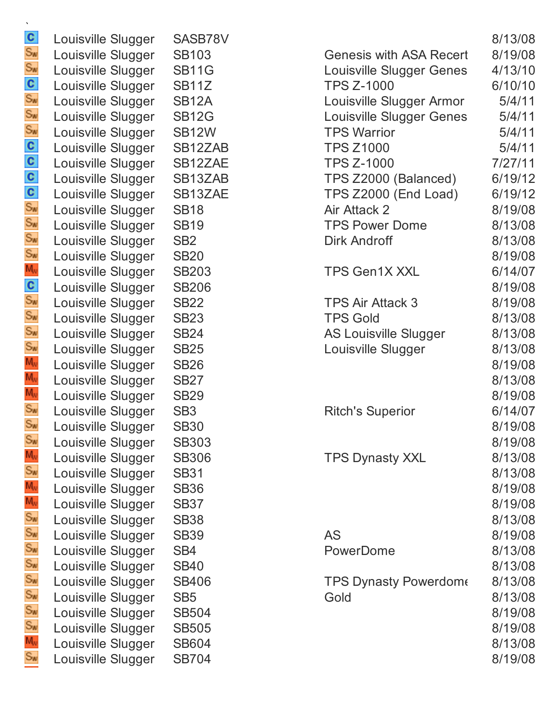| $\mathbf{c}$                                  | Louisville Slugger | SASB78V         |
|-----------------------------------------------|--------------------|-----------------|
| $S_{\text{W}}$                                | Louisville Slugger | <b>SB103</b>    |
| $S_{\text{W}}$                                | Louisville Slugger | <b>SB11G</b>    |
| $\mathbf{c}$                                  | Louisville Slugger | <b>SB11Z</b>    |
| $S_{\text{M}}$                                | Louisville Slugger | <b>SB12A</b>    |
| $S_{\text{W}}$                                | Louisville Slugger | <b>SB12G</b>    |
| $S_{\text{W}}$                                | Louisville Slugger | <b>SB12W</b>    |
| $\mathbf{c}$                                  | Louisville Slugger | SB12ZAE         |
| $\mathbf{c}$                                  | Louisville Slugger | SB12ZAE         |
| $\mathbf{c}$                                  | Louisville Slugger | SB13ZAE         |
| $\mathbf{c}$                                  | Louisville Slugger | SB13ZAE         |
| $S_{\text{W}}$                                | Louisville Slugger | <b>SB18</b>     |
| $S_{\text{W}}$                                | Louisville Slugger | <b>SB19</b>     |
| $S_{\text{W}}$                                | Louisville Slugger | SB <sub>2</sub> |
| $S_{\text{W}}$                                | Louisville Slugger | <b>SB20</b>     |
| $M_{\rm V}$                                   | Louisville Slugger | <b>SB203</b>    |
| $\mathbf{c}$                                  | Louisville Slugger | <b>SB206</b>    |
| $S_{\text{M}}$                                | Louisville Slugger | <b>SB22</b>     |
| $S_{\text{W}}$                                | Louisville Slugger | <b>SB23</b>     |
| $S_{\text{W}}$                                | Louisville Slugger | <b>SB24</b>     |
| $S_{\text{M}}$                                | Louisville Slugger | <b>SB25</b>     |
| $M_{\rm W}$                                   | Louisville Slugger | <b>SB26</b>     |
| $M_{\nu}$                                     | Louisville Slugger | <b>SB27</b>     |
| $M_V$                                         | Louisville Slugger | <b>SB29</b>     |
| $S_{W}$                                       | Louisville Slugger | SB <sub>3</sub> |
| $S_{\mathbf{w}}$                              | Louisville Slugger | <b>SB30</b>     |
| $S_{\text{M}}$                                | Louisville Slugger | <b>SB303</b>    |
| $M_{\rm W}$                                   | Louisville Slugger | <b>SB306</b>    |
| $S_{\text{W}}$                                | Louisville Slugger | <b>SB31</b>     |
| $M_{\rm W}$                                   | Louisville Slugger | <b>SB36</b>     |
| $\mathsf{M}_{\scriptscriptstyle{\mathrm{V}}}$ | Louisville Slugger | <b>SB37</b>     |
| $S_{\text{W}}$                                | Louisville Slugger | <b>SB38</b>     |
| $S_{\text{W}}$                                | Louisville Slugger | <b>SB39</b>     |
| $S_{\text{W}}$                                | Louisville Slugger | SB4             |
| $S_{\text{M}}$                                | Louisville Slugger | <b>SB40</b>     |
| $S_{\text{W}}$                                | Louisville Slugger | <b>SB406</b>    |
| $S_{\text{W}}$                                | Louisville Slugger | SB <sub>5</sub> |
| $S_{\text{W}}$                                | Louisville Slugger | <b>SB504</b>    |
| $S_{\text{W}}$                                | Louisville Slugger | <b>SB505</b>    |
| $M_V$                                         | Louisville Slugger | <b>SB604</b>    |
| $S_{W}$                                       | Louisville Slugger | <b>SB704</b>    |

| Louisville Slugger | SASB78V            |                                | 8/13/08 |
|--------------------|--------------------|--------------------------------|---------|
| Louisville Slugger | <b>SB103</b>       | <b>Genesis with ASA Recert</b> | 8/19/08 |
| Louisville Slugger | <b>SB11G</b>       | Louisville Slugger Genes       | 4/13/10 |
| Louisville Slugger | SB <sub>11</sub> Z | <b>TPS Z-1000</b>              | 6/10/10 |
| Louisville Slugger | <b>SB12A</b>       | Louisville Slugger Armor       | 5/4/11  |
| Louisville Slugger | <b>SB12G</b>       | Louisville Slugger Genes       | 5/4/11  |
| Louisville Slugger | <b>SB12W</b>       | <b>TPS Warrior</b>             | 5/4/11  |
| Louisville Slugger | SB12ZAB            | <b>TPS Z1000</b>               | 5/4/11  |
| Louisville Slugger | SB12ZAE            | <b>TPS Z-1000</b>              | 7/27/11 |
| Louisville Slugger | SB13ZAB            | TPS Z2000 (Balanced)           | 6/19/12 |
| Louisville Slugger | SB13ZAE            | TPS Z2000 (End Load)           | 6/19/12 |
| Louisville Slugger | <b>SB18</b>        | Air Attack 2                   | 8/19/08 |
| Louisville Slugger | <b>SB19</b>        | <b>TPS Power Dome</b>          | 8/13/08 |
| Louisville Slugger | SB <sub>2</sub>    | <b>Dirk Androff</b>            | 8/13/08 |
| Louisville Slugger | <b>SB20</b>        |                                | 8/19/08 |
| Louisville Slugger | <b>SB203</b>       | <b>TPS Gen1X XXL</b>           | 6/14/07 |
| Louisville Slugger | <b>SB206</b>       |                                | 8/19/08 |
| Louisville Slugger | <b>SB22</b>        | <b>TPS Air Attack 3</b>        | 8/19/08 |
| Louisville Slugger | <b>SB23</b>        | <b>TPS Gold</b>                | 8/13/08 |
| Louisville Slugger | <b>SB24</b>        | <b>AS Louisville Slugger</b>   | 8/13/08 |
| Louisville Slugger | <b>SB25</b>        | Louisville Slugger             | 8/13/08 |
| Louisville Slugger | <b>SB26</b>        |                                | 8/19/08 |
| Louisville Slugger | <b>SB27</b>        |                                | 8/13/08 |
| Louisville Slugger | <b>SB29</b>        |                                | 8/19/08 |
| Louisville Slugger | SB <sub>3</sub>    | <b>Ritch's Superior</b>        | 6/14/07 |
| Louisville Slugger | <b>SB30</b>        |                                | 8/19/08 |
| Louisville Slugger | <b>SB303</b>       |                                | 8/19/08 |
| Louisville Slugger | <b>SB306</b>       | <b>TPS Dynasty XXL</b>         | 8/13/08 |
| Louisville Slugger | <b>SB31</b>        |                                | 8/13/08 |
| Louisville Slugger | <b>SB36</b>        |                                | 8/19/08 |
| Louisville Slugger | <b>SB37</b>        |                                | 8/19/08 |
| Louisville Slugger | <b>SB38</b>        |                                | 8/13/08 |
| Louisville Slugger | <b>SB39</b>        | <b>AS</b>                      | 8/19/08 |
| Louisville Slugger | SB4                | PowerDome                      | 8/13/08 |
| Louisville Slugger | <b>SB40</b>        |                                | 8/13/08 |
| Louisville Slugger | <b>SB406</b>       | <b>TPS Dynasty Powerdome</b>   | 8/13/08 |
| Louisville Slugger | SB <sub>5</sub>    | Gold                           | 8/13/08 |
| Louisville Slugger | <b>SB504</b>       |                                | 8/19/08 |
| Louisville Slugger | <b>SB505</b>       |                                | 8/19/08 |
| Louisville Slugger | <b>SB604</b>       |                                | 8/13/08 |
| Louisville Slugger | <b>SB704</b>       |                                | 8/19/08 |
|                    |                    |                                |         |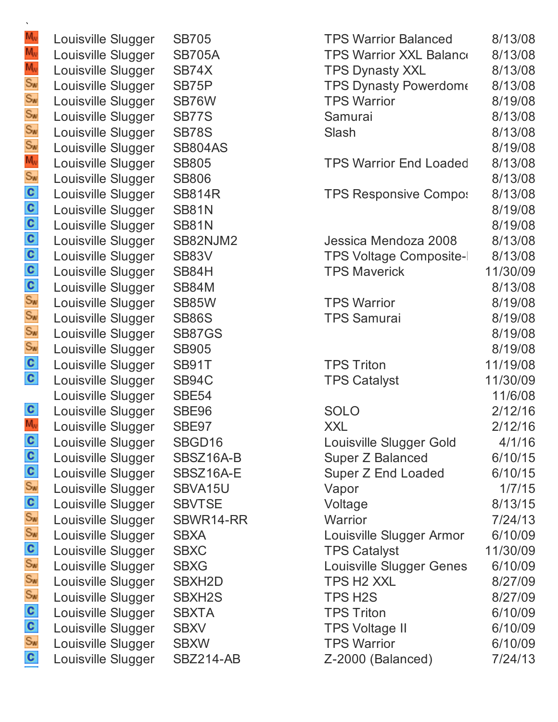| Louisville Slugger | <b>SB705</b>     |
|--------------------|------------------|
| Louisville Slugger | <b>SB705A</b>    |
| Louisville Slugger | SB74X            |
| Louisville Slugger | SB75P            |
| Louisville Slugger | SB76W            |
| Louisville Slugger | SB77S            |
| Louisville Slugger | <b>SB78S</b>     |
| Louisville Slugger | <b>SB804AS</b>   |
| Louisville Slugger | <b>SB805</b>     |
| Louisville Slugger | <b>SB806</b>     |
| Louisville Slugger | <b>SB814R</b>    |
| Louisville Slugger | <b>SB81N</b>     |
| Louisville Slugger | <b>SB81N</b>     |
| Louisville Slugger | SB82NJM2         |
| Louisville Slugger | <b>SB83V</b>     |
| Louisville Slugger | SB84H            |
| Louisville Slugger | SB84M            |
| Louisville Slugger | <b>SB85W</b>     |
| Louisville Slugger | <b>SB86S</b>     |
| Louisville Slugger | <b>SB87GS</b>    |
| Louisville Slugger | <b>SB905</b>     |
| Louisville Slugger | <b>SB91T</b>     |
| Louisville Slugger | SB94C            |
| Louisville Slugger | <b>SBE54</b>     |
| Louisville Slugger | SBE96            |
| Louisville Slugger | SBE97            |
| Louisville Slugger | SBGD16           |
| Louisville Slugger | SBSZ16A-B        |
| Louisville Slugger | SBSZ16A-E        |
| Louisville Slugger | SBVA15U          |
| Louisville Slugger | <b>SBVTSE</b>    |
| Louisville Slugger | SBWR14-RR        |
| Louisville Slugger | <b>SBXA</b>      |
| Louisville Slugger | <b>SBXC</b>      |
| Louisville Slugger | <b>SBXG</b>      |
| Louisville Slugger | <b>SBXH2D</b>    |
| Louisville Slugger | <b>SBXH2S</b>    |
| Louisville Slugger | <b>SBXTA</b>     |
| Louisville Slugger | <b>SBXV</b>      |
| Louisville Slugger | <b>SBXW</b>      |
| Louisville Slugger | <b>SB7214-AB</b> |

| Louisville Slugger | <b>SB705</b>        | <b>TPS Warrior Balanced</b>    | 8/13/08  |
|--------------------|---------------------|--------------------------------|----------|
| Louisville Slugger | <b>SB705A</b>       | <b>TPS Warrior XXL Balance</b> | 8/13/08  |
| Louisville Slugger | SB74X               | <b>TPS Dynasty XXL</b>         | 8/13/08  |
| Louisville Slugger | SB75P               | <b>TPS Dynasty Powerdome</b>   | 8/13/08  |
| Louisville Slugger | SB76W               | <b>TPS Warrior</b>             | 8/19/08  |
| Louisville Slugger | SB77S               | Samurai                        | 8/13/08  |
| Louisville Slugger | <b>SB78S</b>        | Slash                          | 8/13/08  |
| Louisville Slugger | <b>SB804AS</b>      |                                | 8/19/08  |
| Louisville Slugger | <b>SB805</b>        | <b>TPS Warrior End Loaded</b>  | 8/13/08  |
| Louisville Slugger | <b>SB806</b>        |                                | 8/13/08  |
| Louisville Slugger | <b>SB814R</b>       | <b>TPS Responsive Compos</b>   | 8/13/08  |
| Louisville Slugger | <b>SB81N</b>        |                                | 8/19/08  |
| Louisville Slugger | <b>SB81N</b>        |                                | 8/19/08  |
| Louisville Slugger | SB82NJM2            | Jessica Mendoza 2008           | 8/13/08  |
| Louisville Slugger | SB83V               | <b>TPS Voltage Composite-I</b> | 8/13/08  |
| Louisville Slugger | SB84H               | <b>TPS Maverick</b>            | 11/30/09 |
| Louisville Slugger | <b>SB84M</b>        |                                | 8/13/08  |
| Louisville Slugger | <b>SB85W</b>        | <b>TPS Warrior</b>             | 8/19/08  |
| Louisville Slugger | <b>SB86S</b>        | <b>TPS Samurai</b>             | 8/19/08  |
| Louisville Slugger | <b>SB87GS</b>       |                                | 8/19/08  |
| Louisville Slugger | <b>SB905</b>        |                                | 8/19/08  |
| Louisville Slugger | SB91T               | <b>TPS Triton</b>              | 11/19/08 |
| Louisville Slugger | SB94C               | <b>TPS Catalyst</b>            | 11/30/09 |
| Louisville Slugger | <b>SBE54</b>        |                                | 11/6/08  |
| Louisville Slugger | SBE96               | <b>SOLO</b>                    | 2/12/16  |
| Louisville Slugger | SBE97               | <b>XXL</b>                     | 2/12/16  |
| Louisville Slugger | SBGD16              | Louisville Slugger Gold        | 4/1/16   |
| Louisville Slugger | SBSZ16A-B           | <b>Super Z Balanced</b>        | 6/10/15  |
| Louisville Slugger | SBSZ16A-E           | Super Z End Loaded             | 6/10/15  |
| Louisville Slugger | SBVA15U             | Vapor                          | 1/7/15   |
| Louisville Slugger | <b>SBVTSE</b>       | Voltage                        | 8/13/15  |
| Louisville Slugger | SBWR14-RR           | Warrior                        | 7/24/13  |
| Louisville Slugger | <b>SBXA</b>         | Louisville Slugger Armor       | 6/10/09  |
| Louisville Slugger | <b>SBXC</b>         | <b>TPS Catalyst</b>            | 11/30/09 |
| Louisville Slugger | <b>SBXG</b>         | Louisville Slugger Genes       | 6/10/09  |
| Louisville Slugger | SBXH <sub>2</sub> D | <b>TPS H2 XXL</b>              | 8/27/09  |
| Louisville Slugger | SBXH2S              | TPS H2S                        | 8/27/09  |
| Louisville Slugger | <b>SBXTA</b>        | <b>TPS Triton</b>              | 6/10/09  |
| Louisville Slugger | <b>SBXV</b>         | <b>TPS Voltage II</b>          | 6/10/09  |
| Louisville Slugger | <b>SBXW</b>         | <b>TPS Warrior</b>             | 6/10/09  |
| Louisville Slugger | SBZ214-AB           | Z-2000 (Balanced)              | 7/24/13  |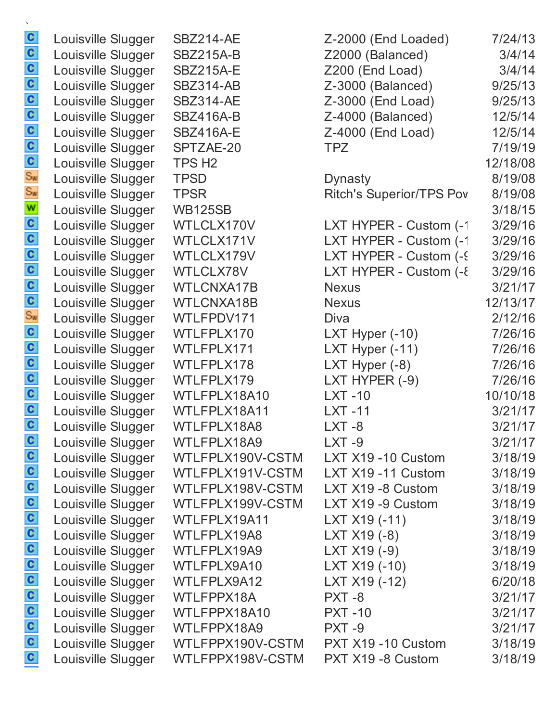| $\mathbf{c}$                 | Louisville Slugger                       | <b>SBZ214-AE</b>                     | Z-2000 (End Loaded)                    | 7/24/13            |
|------------------------------|------------------------------------------|--------------------------------------|----------------------------------------|--------------------|
| $\frac{c}{c}$                | Louisville Slugger                       | <b>SBZ215A-B</b>                     | Z2000 (Balanced)                       | 3/4/14             |
|                              | Louisville Slugger                       | <b>SBZ215A-E</b>                     | Z200 (End Load)                        | 3/4/14             |
|                              | Louisville Slugger                       | <b>SBZ314-AB</b><br><b>SBZ314-AE</b> | Z-3000 (Balanced)                      | 9/25/13            |
|                              | Louisville Slugger<br>Louisville Slugger | <b>SBZ416A-B</b>                     | Z-3000 (End Load)<br>Z-4000 (Balanced) | 9/25/13<br>12/5/14 |
|                              | Louisville Slugger                       | <b>SBZ416A-E</b>                     | Z-4000 (End Load)                      | 12/5/14            |
|                              | Louisville Slugger                       | SPTZAE-20                            | <b>TPZ</b>                             | 7/19/19            |
|                              | Louisville Slugger                       | TPS H <sub>2</sub>                   |                                        | 12/18/08           |
|                              | Louisville Slugger                       | <b>TPSD</b>                          | <b>Dynasty</b>                         | 8/19/08            |
| စ် ပ <mark>ပ ပ</mark> ပ ပ စ် | Louisville Slugger                       | <b>TPSR</b>                          | <b>Ritch's Superior/TPS Pov</b>        | 8/19/08            |
| W                            | Louisville Slugger                       | <b>WB125SB</b>                       |                                        | 3/18/15            |
| $\mathbf{c}$                 | Louisville Slugger                       | WTLCLX170V                           | LXT HYPER - Custom (-1                 | 3/29/16            |
|                              | Louisville Slugger                       | WTLCLX171V                           | LXT HYPER - Custom (-1                 | 3/29/16            |
| $\frac{c}{c}$                | Louisville Slugger                       | WTLCLX179V                           | LXT HYPER - Custom (-9)                | 3/29/16            |
|                              | Louisville Slugger                       | WTLCLX78V                            | LXT HYPER - Custom (-8                 | 3/29/16            |
|                              | Louisville Slugger                       | <b>WTLCNXA17B</b>                    | <b>Nexus</b>                           | 3/21/17            |
| $\frac{c}{s_w}$              | Louisville Slugger                       | <b>WTLCNXA18B</b>                    | <b>Nexus</b>                           | 12/13/17           |
|                              | Louisville Slugger                       | WTLFPDV171                           | Diva                                   | 2/12/16            |
| $\mathbf{c}$                 | Louisville Slugger                       | WTLFPLX170                           | LXT Hyper $(-10)$                      | 7/26/16            |
| $\mathbf{c}$                 | Louisville Slugger                       | WTLFPLX171                           | LXT Hyper (-11)                        | 7/26/16            |
|                              | Louisville Slugger                       | WTLFPLX178                           | LXT Hyper $(-8)$                       | 7/26/16            |
| $\frac{1}{2}$                | Louisville Slugger                       | WTLFPLX179                           | LXT HYPER (-9)                         | 7/26/16            |
|                              | Louisville Slugger                       | WTLFPLX18A10                         | $LXT -10$                              | 10/10/18           |
| $\mathbf{c}$                 | Louisville Slugger                       | WTLFPLX18A11                         | <b>LXT-11</b>                          | 3/21/17            |
| $\mathbf{c}$                 | Louisville Slugger                       | WTLFPLX18A8                          | LXT-8                                  | 3/21/17            |
| $\mathbf{c}$                 | Louisville Slugger                       | WTLFPLX18A9                          | $LXT -9$                               | 3/21/17            |
| $\mathbf{c}$                 | Louisville Slugger                       | WTLFPLX190V-CSTM                     | LXT X19 -10 Custom                     | 3/18/19            |
| $\mathbf{c}$                 | Louisville Slugger                       | WTLFPLX191V-CSTM                     | LXT X19 -11 Custom                     | 3/18/19            |
| $\mathbf{c}$                 | Louisville Slugger                       | WTLFPLX198V-CSTM                     | LXT X19 -8 Custom                      | 3/18/19            |
| $\mathbf{c}$<br>$\mathbf{c}$ | Louisville Slugger                       | WTLFPLX199V-CSTM<br>WTLFPLX19A11     | LXT X19 -9 Custom<br>LXT X19 (-11)     | 3/18/19            |
| $\mathbf{c}$                 | Louisville Slugger                       | WTLFPLX19A8                          | LXT X19 (-8)                           | 3/18/19<br>3/18/19 |
| $\mathbf{c}$                 | Louisville Slugger<br>Louisville Slugger | WTLFPLX19A9                          | LXT X19 (-9)                           | 3/18/19            |
| $\mathbf{c}$                 | Louisville Slugger                       | WTLFPLX9A10                          | LXT X19 (-10)                          | 3/18/19            |
| $\mathbf{c}$                 | Louisville Slugger                       | WTLFPLX9A12                          | LXT X19 (-12)                          | 6/20/18            |
| $\mathbf{c}$                 | Louisville Slugger                       | WTLFPPX18A                           | PXT-8                                  | 3/21/17            |
| $\mathbf{c}$                 | Louisville Slugger                       | WTLFPPX18A10                         | <b>PXT -10</b>                         | 3/21/17            |
| $\mathbf{c}$                 | Louisville Slugger                       | WTLFPPX18A9                          | PXT-9                                  | 3/21/17            |
| $\mathbf{c}$                 | Louisville Slugger                       | WTLFPPX190V-CSTM                     | PXT X19 -10 Custom                     | 3/18/19            |
| $\mathbf{c}$                 | Louisville Slugger                       | WTLFPPX198V-CSTM                     | PXT X19 -8 Custom                      | 3/18/19            |
|                              |                                          |                                      |                                        |                    |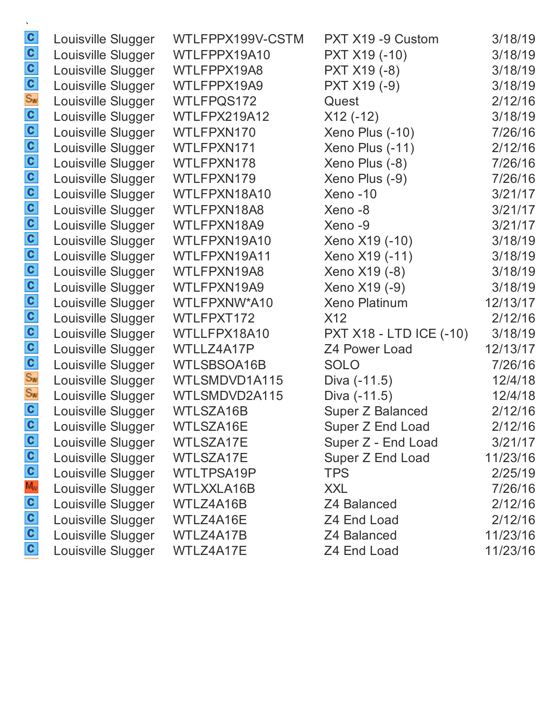| $\mathbf{c}$   | Louisville Slugger | WTLFPPX199V-CSTM  | PXT X19 -9 Custom              | 3/18/19  |
|----------------|--------------------|-------------------|--------------------------------|----------|
| $\mathbf{c}$   | Louisville Slugger | WTLFPPX19A10      | PXT X19 (-10)                  | 3/18/19  |
|                | Louisville Slugger | WTLFPPX19A8       | PXT X19 (-8)                   | 3/18/19  |
| $rac{c}{s_w}$  | Louisville Slugger | WTLFPPX19A9       | PXT X19 (-9)                   | 3/18/19  |
|                | Louisville Slugger | WTLFPQS172        | Quest                          | 2/12/16  |
|                | Louisville Slugger | WTLFPX219A12      | $X12(-12)$                     | 3/18/19  |
| $\frac{c}{c}$  | Louisville Slugger | WTLFPXN170        | Xeno Plus (-10)                | 7/26/16  |
| $\mathbf{c}$   | Louisville Slugger | WTLFPXN171        | Xeno Plus (-11)                | 2/12/16  |
| $\frac{c}{c}$  | Louisville Slugger | WTLFPXN178        | Xeno Plus (-8)                 | 7/26/16  |
|                | Louisville Slugger | WTLFPXN179        | Xeno Plus (-9)                 | 7/26/16  |
| $\mathbf{c}$   | Louisville Slugger | WTLFPXN18A10      | Xeno-10                        | 3/21/17  |
| $\frac{c}{c}$  | Louisville Slugger | WTLFPXN18A8       | Xeno-8                         | 3/21/17  |
|                | Louisville Slugger | WTLFPXN18A9       | Xeno-9                         | 3/21/17  |
| $\frac{1}{2}$  | Louisville Slugger | WTLFPXN19A10      | Xeno X19 (-10)                 | 3/18/19  |
|                | Louisville Slugger | WTLFPXN19A11      | Xeno X19 (-11)                 | 3/18/19  |
|                | Louisville Slugger | WTLFPXN19A8       | Xeno X19 (-8)                  | 3/18/19  |
| $\mathbf{c}$   | Louisville Slugger | WTLFPXN19A9       | Xeno X19 (-9)                  | 3/18/19  |
| $\mathbf{c}$   | Louisville Slugger | WTLFPXNW*A10      | <b>Xeno Platinum</b>           | 12/13/17 |
| $\mathbf{c}$   | Louisville Slugger | WTLFPXT172        | X12                            | 2/12/16  |
| $\mathbf{c}$   | Louisville Slugger | WTLLFPX18A10      | <b>PXT X18 - LTD ICE (-10)</b> | 3/18/19  |
| $\mathbf{c}$   | Louisville Slugger | WTLLZ4A17P        | Z4 Power Load                  | 12/13/17 |
| $\mathbf{c}$   | Louisville Slugger | WTLSBSOA16B       | <b>SOLO</b>                    | 7/26/16  |
| $S_{\text{W}}$ | Louisville Slugger | WTLSMDVD1A115     | Diva (-11.5)                   | 12/4/18  |
| $S_{\text{W}}$ | Louisville Slugger | WTLSMDVD2A115     | Diva (-11.5)                   | 12/4/18  |
| $\mathbf{c}$   | Louisville Slugger | WTLSZA16B         | Super Z Balanced               | 2/12/16  |
| $\mathbf{c}$   | Louisville Slugger | WTLSZA16E         | Super Z End Load               | 2/12/16  |
| $\mathbf{c}$   | Louisville Slugger | WTLSZA17E         | Super Z - End Load             | 3/21/17  |
| $\mathbf{c}$   | Louisville Slugger | WTLSZA17E         | Super Z End Load               | 11/23/16 |
| $\mathbf{c}$   | Louisville Slugger | WTLTPSA19P        | <b>TPS</b>                     | 2/25/19  |
| $M_{\rm W}$    | Louisville Slugger | <b>WTLXXLA16B</b> | <b>XXL</b>                     | 7/26/16  |
| $\mathbf{c}$   | Louisville Slugger | WTLZ4A16B         | Z4 Balanced                    | 2/12/16  |
| $\mathbf{c}$   | Louisville Slugger | WTLZ4A16E         | Z4 End Load                    | 2/12/16  |
| $\mathbf{c}$   | Louisville Slugger | WTLZ4A17B         | Z4 Balanced                    | 11/23/16 |
| $\mathbf{C}$   | Louisville Slugger | WTLZ4A17E         | Z4 End Load                    | 11/23/16 |
|                |                    |                   |                                |          |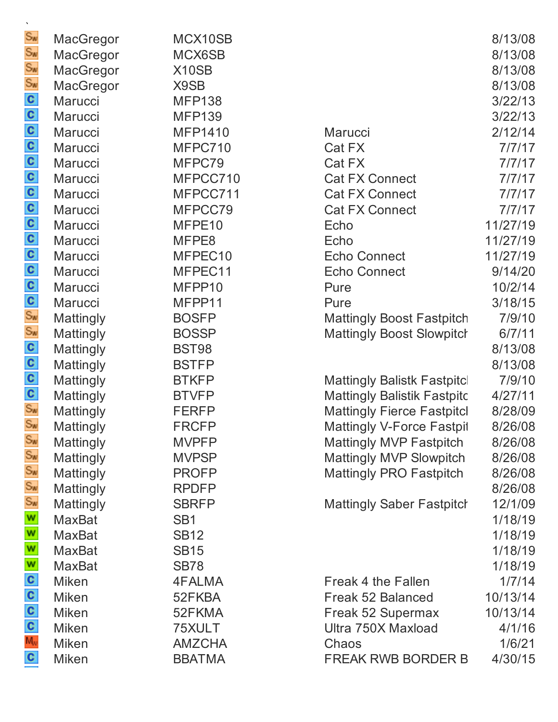| MacGregor     | MCX10SB         |                                    | 8/13/08  |
|---------------|-----------------|------------------------------------|----------|
| MacGregor     | MCX6SB          |                                    | 8/13/08  |
| MacGregor     | X10SB           |                                    | 8/13/08  |
| MacGregor     | X9SB            |                                    | 8/13/08  |
| Marucci       | <b>MFP138</b>   |                                    | 3/22/13  |
| Marucci       | <b>MFP139</b>   |                                    | 3/22/13  |
| Marucci       | <b>MFP1410</b>  | Marucci                            | 2/12/14  |
| Marucci       | MFPC710         | Cat FX                             | 7/7/17   |
| Marucci       | MFPC79          | Cat FX                             | 7/7/17   |
| Marucci       | MFPCC710        | <b>Cat FX Connect</b>              | 7/7/17   |
| Marucci       | MFPCC711        | <b>Cat FX Connect</b>              | 7/7/17   |
| Marucci       | MFPCC79         | <b>Cat FX Connect</b>              | 7/7/17   |
| Marucci       | MFPE10          | Echo                               | 11/27/19 |
| Marucci       | MFPE8           | Echo                               | 11/27/19 |
| Marucci       | MFPEC10         | <b>Echo Connect</b>                | 11/27/19 |
| Marucci       | MFPEC11         | <b>Echo Connect</b>                | 9/14/20  |
| Marucci       | MFPP10          | Pure                               | 10/2/14  |
| Marucci       | MFPP11          | Pure                               | 3/18/15  |
| Mattingly     | <b>BOSFP</b>    | <b>Mattingly Boost Fastpitch</b>   | 7/9/10   |
| Mattingly     | <b>BOSSP</b>    | <b>Mattingly Boost Slowpitch</b>   | 6/7/11   |
| Mattingly     | <b>BST98</b>    |                                    | 8/13/08  |
| Mattingly     | <b>BSTFP</b>    |                                    | 8/13/08  |
| Mattingly     | <b>BTKFP</b>    | <b>Mattingly Balistk Fastpitcl</b> | 7/9/10   |
| Mattingly     | <b>BTVFP</b>    | <b>Mattingly Balistik Fastpitc</b> | 4/27/11  |
| Mattingly     | <b>FERFP</b>    | <b>Mattingly Fierce Fastpitcl</b>  | 8/28/09  |
| Mattingly     | <b>FRCFP</b>    | <b>Mattingly V-Force Fastpil</b>   | 8/26/08  |
| Mattingly     | <b>MVPFP</b>    | <b>Mattingly MVP Fastpitch</b>     | 8/26/08  |
| Mattingly     | <b>MVPSP</b>    | <b>Mattingly MVP Slowpitch</b>     | 8/26/08  |
| Mattingly     | <b>PROFP</b>    | <b>Mattingly PRO Fastpitch</b>     | 8/26/08  |
| Mattingly     | <b>RPDFP</b>    |                                    | 8/26/08  |
| Mattingly     | <b>SBRFP</b>    | <b>Mattingly Saber Fastpitch</b>   | 12/1/09  |
| <b>MaxBat</b> | SB <sub>1</sub> |                                    | 1/18/19  |
| <b>MaxBat</b> | <b>SB12</b>     |                                    | 1/18/19  |
| MaxBat        | <b>SB15</b>     |                                    | 1/18/19  |
| <b>MaxBat</b> | <b>SB78</b>     |                                    | 1/18/19  |
| <b>Miken</b>  | 4FALMA          | Freak 4 the Fallen                 | 1/7/14   |
| <b>Miken</b>  | 52FKBA          | Freak 52 Balanced                  | 10/13/14 |
| <b>Miken</b>  | 52FKMA          | Freak 52 Supermax                  | 10/13/14 |
| <b>Miken</b>  | 75XULT          | Ultra 750X Maxload                 | 4/1/16   |
| <b>Miken</b>  | <b>AMZCHA</b>   | Chaos                              | 1/6/21   |
| <b>Miken</b>  | <b>BBATMA</b>   | <b>FREAK RWB BORDER B</b>          | 4/30/15  |
|               |                 |                                    |          |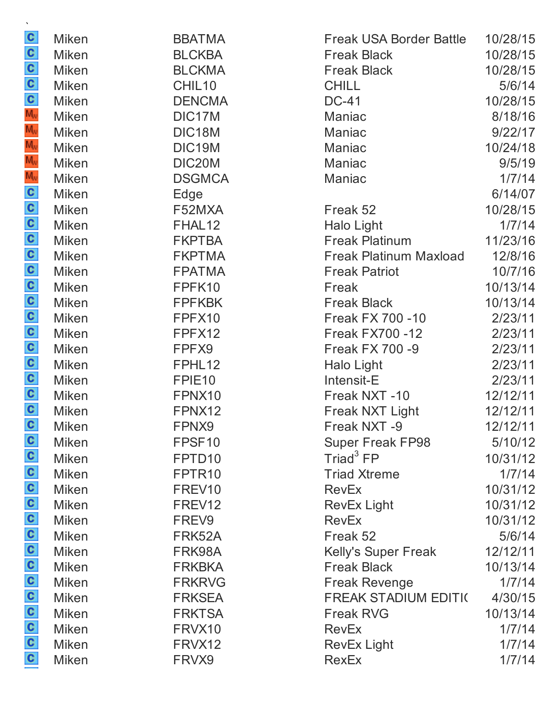| $\mathbf{v}$                                                |              |                    |                                |          |
|-------------------------------------------------------------|--------------|--------------------|--------------------------------|----------|
|                                                             | <b>Miken</b> | <b>BBATMA</b>      | <b>Freak USA Border Battle</b> | 10/28/15 |
| $\frac{1}{2}$ $\frac{1}{2}$ o $\frac{1}{2}$ o $\frac{1}{2}$ | <b>Miken</b> | <b>BLCKBA</b>      | <b>Freak Black</b>             | 10/28/15 |
|                                                             | <b>Miken</b> | <b>BLCKMA</b>      | <b>Freak Black</b>             | 10/28/15 |
|                                                             | <b>Miken</b> | CHIL10             | <b>CHILL</b>                   | 5/6/14   |
|                                                             | <b>Miken</b> | <b>DENCMA</b>      | <b>DC-41</b>                   | 10/28/15 |
|                                                             | <b>Miken</b> | DIC17M             | Maniac                         | 8/18/16  |
|                                                             | <b>Miken</b> | DIC18M             | Maniac                         | 9/22/17  |
| $M_{\rm W}$                                                 | <b>Miken</b> | DIC19M             | Maniac                         | 10/24/18 |
| $M_{\rm W}$                                                 | <b>Miken</b> | DIC20M             | Maniac                         | 9/5/19   |
|                                                             | <b>Miken</b> | <b>DSGMCA</b>      | Maniac                         | 1/7/14   |
|                                                             | <b>Miken</b> | Edge               |                                | 6/14/07  |
|                                                             | <b>Miken</b> | F52MXA             | Freak 52                       | 10/28/15 |
|                                                             | <b>Miken</b> | FHAL12             | Halo Light                     | 1/7/14   |
|                                                             | <b>Miken</b> | <b>FKPTBA</b>      | <b>Freak Platinum</b>          | 11/23/16 |
|                                                             | <b>Miken</b> | <b>FKPTMA</b>      | <b>Freak Platinum Maxload</b>  | 12/8/16  |
|                                                             | <b>Miken</b> | <b>FPATMA</b>      | <b>Freak Patriot</b>           | 10/7/16  |
| 00000000000000000                                           | <b>Miken</b> | FPFK10             | Freak                          | 10/13/14 |
|                                                             | <b>Miken</b> | <b>FPFKBK</b>      | <b>Freak Black</b>             | 10/13/14 |
|                                                             | <b>Miken</b> | FPFX10             | <b>Freak FX 700 -10</b>        | 2/23/11  |
|                                                             | <b>Miken</b> | FPFX12             | <b>Freak FX700 -12</b>         | 2/23/11  |
|                                                             | <b>Miken</b> | FPFX9              | <b>Freak FX 700 -9</b>         | 2/23/11  |
|                                                             | <b>Miken</b> | FPHL12             | <b>Halo Light</b>              | 2/23/11  |
|                                                             | <b>Miken</b> | FPIE <sub>10</sub> | Intensit-E                     | 2/23/11  |
|                                                             | <b>Miken</b> | FPNX10             | Freak NXT-10                   | 12/12/11 |
|                                                             | <b>Miken</b> | FPNX12             | Freak NXT Light                | 12/12/11 |
|                                                             | <b>Miken</b> | FPNX9              | Freak NXT -9                   | 12/12/11 |
|                                                             | <b>Miken</b> | FPSF10             | <b>Super Freak FP98</b>        | 5/10/12  |
|                                                             | <b>Miken</b> | FPTD <sub>10</sub> | Triad <sup>3</sup> FP          | 10/31/12 |
|                                                             | <b>Miken</b> | FPTR <sub>10</sub> | <b>Triad Xtreme</b>            | 1/7/14   |
|                                                             | <b>Miken</b> | FREV10             | <b>RevEx</b>                   | 10/31/12 |
|                                                             | <b>Miken</b> | FREV <sub>12</sub> | RevEx Light                    | 10/31/12 |
|                                                             | <b>Miken</b> | FREV9              | <b>RevEx</b>                   | 10/31/12 |
|                                                             | <b>Miken</b> | FRK52A             | Freak 52                       | 5/6/14   |
|                                                             | <b>Miken</b> | FRK98A             | Kelly's Super Freak            | 12/12/11 |
|                                                             | <b>Miken</b> | <b>FRKBKA</b>      | <b>Freak Black</b>             | 10/13/14 |
|                                                             | <b>Miken</b> | <b>FRKRVG</b>      | <b>Freak Revenge</b>           | 1/7/14   |
| a a a a a a a a a a a a a                                   | <b>Miken</b> | <b>FRKSEA</b>      | <b>FREAK STADIUM EDITI(</b>    | 4/30/15  |
|                                                             | <b>Miken</b> | <b>FRKTSA</b>      | <b>Freak RVG</b>               | 10/13/14 |
|                                                             | <b>Miken</b> | FRVX10             | <b>RevEx</b>                   | 1/7/14   |
|                                                             | <b>Miken</b> | FRVX12             | <b>RevEx Light</b>             | 1/7/14   |
|                                                             | <b>Miken</b> | FRVX9              | <b>RexEx</b>                   | 1/7/14   |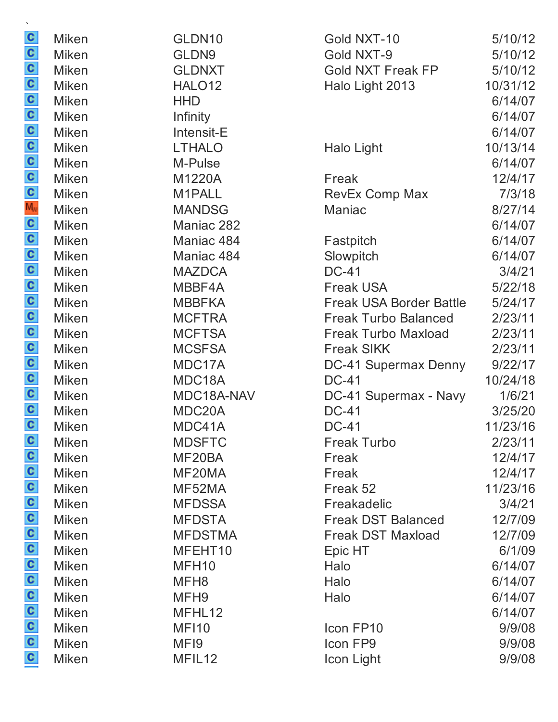|                           | <b>Miken</b> | GLDN10             | Gold NXT-10                    | 5/10/12  |
|---------------------------|--------------|--------------------|--------------------------------|----------|
|                           | <b>Miken</b> | GLDN9              | Gold NXT-9                     | 5/10/12  |
|                           | <b>Miken</b> | <b>GLDNXT</b>      | <b>Gold NXT Freak FP</b>       | 5/10/12  |
|                           | <b>Miken</b> | HALO <sub>12</sub> | Halo Light 2013                | 10/31/12 |
|                           | <b>Miken</b> | <b>HHD</b>         |                                | 6/14/07  |
|                           | Miken        | Infinity           |                                | 6/14/07  |
|                           | <b>Miken</b> | Intensit-E         |                                | 6/14/07  |
|                           | <b>Miken</b> | <b>LTHALO</b>      | Halo Light                     | 10/13/14 |
|                           | <b>Miken</b> | M-Pulse            |                                | 6/14/07  |
|                           | <b>Miken</b> | M1220A             | Freak                          | 12/4/17  |
|                           | <b>Miken</b> | M1PALL             | <b>RevEx Comp Max</b>          | 7/3/18   |
|                           | <b>Miken</b> | <b>MANDSG</b>      | Maniac                         | 8/27/14  |
|                           | <b>Miken</b> | Maniac 282         |                                | 6/14/07  |
|                           | Miken        | Maniac 484         | Fastpitch                      | 6/14/07  |
|                           | <b>Miken</b> | Maniac 484         | Slowpitch                      | 6/14/07  |
|                           | <b>Miken</b> | <b>MAZDCA</b>      | <b>DC-41</b>                   | 3/4/21   |
|                           | <b>Miken</b> | MBBF4A             | <b>Freak USA</b>               | 5/22/18  |
|                           | Miken        | <b>MBBFKA</b>      | <b>Freak USA Border Battle</b> | 5/24/17  |
|                           | <b>Miken</b> | <b>MCFTRA</b>      | <b>Freak Turbo Balanced</b>    | 2/23/11  |
|                           | <b>Miken</b> | <b>MCFTSA</b>      | <b>Freak Turbo Maxload</b>     | 2/23/11  |
|                           | <b>Miken</b> | <b>MCSFSA</b>      | <b>Freak SIKK</b>              | 2/23/11  |
|                           | <b>Miken</b> | MDC17A             | DC-41 Supermax Denny           | 9/22/17  |
|                           | <b>Miken</b> | MDC18A             | <b>DC-41</b>                   | 10/24/18 |
|                           | <b>Miken</b> | MDC18A-NAV         | DC-41 Supermax - Navy          | 1/6/21   |
|                           | <b>Miken</b> | MDC20A             | <b>DC-41</b>                   | 3/25/20  |
|                           | <b>Miken</b> | MDC41A             | <b>DC-41</b>                   | 11/23/16 |
| C                         | <b>Miken</b> | <b>MDSFTC</b>      | <b>Freak Turbo</b>             | 2/23/11  |
|                           | <b>Miken</b> | MF20BA             | Freak                          | 12/4/17  |
|                           | <b>Miken</b> | MF20MA             | Freak                          | 12/4/17  |
|                           | <b>Miken</b> | MF52MA             | Freak 52                       | 11/23/16 |
|                           | <b>Miken</b> | <b>MFDSSA</b>      | Freakadelic                    | 3/4/21   |
|                           | <b>Miken</b> | <b>MFDSTA</b>      | <b>Freak DST Balanced</b>      | 12/7/09  |
|                           | <b>Miken</b> | <b>MFDSTMA</b>     | <b>Freak DST Maxload</b>       | 12/7/09  |
|                           | <b>Miken</b> | MFEHT10            | Epic HT                        | 6/1/09   |
|                           | <b>Miken</b> | MFH <sub>10</sub>  | Halo                           | 6/14/07  |
|                           | <b>Miken</b> | MFH <sub>8</sub>   | Halo                           | 6/14/07  |
| a a a a a a a a a a a a a | <b>Miken</b> | MFH <sub>9</sub>   | Halo                           | 6/14/07  |
|                           | <b>Miken</b> | MFHL12             |                                | 6/14/07  |
|                           | <b>Miken</b> | <b>MF110</b>       | Icon FP10                      | 9/9/08   |
|                           | <b>Miken</b> | MF <sub>19</sub>   | Icon FP9                       | 9/9/08   |
|                           | <b>Miken</b> | MFIL12             | Icon Light                     | 9/9/08   |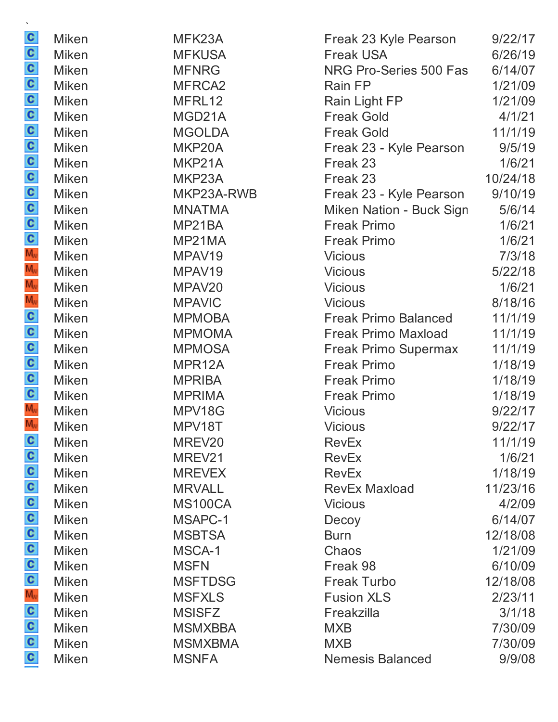| C                                 | <b>Miken</b> | MFK23A             | Freak 23 Kyle Pearson       | 9/22/17  |
|-----------------------------------|--------------|--------------------|-----------------------------|----------|
| <b>Soooooooooooo</b>              | Miken        | <b>MFKUSA</b>      | <b>Freak USA</b>            | 6/26/19  |
|                                   | <b>Miken</b> | <b>MFNRG</b>       | NRG Pro-Series 500 Fas      | 6/14/07  |
|                                   | <b>Miken</b> | MFRCA <sub>2</sub> | Rain FP                     | 1/21/09  |
|                                   | <b>Miken</b> | MFRL12             | Rain Light FP               | 1/21/09  |
|                                   | <b>Miken</b> | MGD21A             | <b>Freak Gold</b>           | 4/1/21   |
|                                   | Miken        | <b>MGOLDA</b>      | <b>Freak Gold</b>           | 11/1/19  |
|                                   | <b>Miken</b> | MKP20A             | Freak 23 - Kyle Pearson     | 9/5/19   |
|                                   | <b>Miken</b> | MKP21A             | Freak 23                    | 1/6/21   |
|                                   | <b>Miken</b> | MKP23A             | Freak 23                    | 10/24/18 |
|                                   | <b>Miken</b> | MKP23A-RWB         | Freak 23 - Kyle Pearson     | 9/10/19  |
|                                   | <b>Miken</b> | <b>MNATMA</b>      | Miken Nation - Buck Sign    | 5/6/14   |
|                                   | <b>Miken</b> | MP21BA             | <b>Freak Primo</b>          | 1/6/21   |
|                                   | <b>Miken</b> | MP21MA             | <b>Freak Primo</b>          | 1/6/21   |
|                                   | <b>Miken</b> | MPAV19             | <b>Vicious</b>              | 7/3/18   |
| M <sub>v</sub>                    | <b>Miken</b> | MPAV19             | <b>Vicious</b>              | 5/22/18  |
| $M_{\rm W}$                       | <b>Miken</b> | MPAV20             | <b>Vicious</b>              | 1/6/21   |
|                                   | <b>Miken</b> | <b>MPAVIC</b>      | <b>Vicious</b>              | 8/18/16  |
|                                   | <b>Miken</b> | <b>MPMOBA</b>      | <b>Freak Primo Balanced</b> | 11/1/19  |
|                                   | Miken        | <b>MPMOMA</b>      | <b>Freak Primo Maxload</b>  | 11/1/19  |
| $\geqslant$ 0 0 0 0 0 $\geqslant$ | <b>Miken</b> | <b>MPMOSA</b>      | Freak Primo Supermax        | 11/1/19  |
|                                   | <b>Miken</b> | MPR12A             | <b>Freak Primo</b>          | 1/18/19  |
|                                   | <b>Miken</b> | <b>MPRIBA</b>      | <b>Freak Primo</b>          | 1/18/19  |
|                                   | <b>Miken</b> | <b>MPRIMA</b>      | <b>Freak Primo</b>          | 1/18/19  |
|                                   | <b>Miken</b> | MPV18G             | <b>Vicious</b>              | 9/22/17  |
| $\overline{M_{\rm w}}$            | <b>Miken</b> | MPV18T             | <b>Vicious</b>              | 9/22/17  |
| C                                 | Miken        | MREV20             | <b>RevEx</b>                | 11/1/19  |
|                                   | <b>Miken</b> | MREV21             | <b>RevEx</b>                | 1/6/21   |
|                                   | <b>Miken</b> | <b>MREVEX</b>      | <b>RevEx</b>                | 1/18/19  |
|                                   | <b>Miken</b> | <b>MRVALL</b>      | <b>RevEx Maxload</b>        | 11/23/16 |
|                                   | <b>Miken</b> | <b>MS100CA</b>     | <b>Vicious</b>              | 4/2/09   |
|                                   | <b>Miken</b> | MSAPC-1            | Decoy                       | 6/14/07  |
|                                   | <b>Miken</b> | <b>MSBTSA</b>      | <b>Burn</b>                 | 12/18/08 |
|                                   | <b>Miken</b> | MSCA-1             | Chaos                       | 1/21/09  |
|                                   | Miken        | <b>MSFN</b>        | Freak 98                    | 6/10/09  |
|                                   | <b>Miken</b> | <b>MSFTDSG</b>     | <b>Freak Turbo</b>          | 12/18/08 |
| o o o e o o o o o o o o o         | <b>Miken</b> | <b>MSFXLS</b>      | <b>Fusion XLS</b>           | 2/23/11  |
|                                   | <b>Miken</b> | <b>MSISFZ</b>      | Freakzilla                  | 3/1/18   |
|                                   | <b>Miken</b> | <b>MSMXBBA</b>     | <b>MXB</b>                  | 7/30/09  |
|                                   | <b>Miken</b> | <b>MSMXBMA</b>     | <b>MXB</b>                  | 7/30/09  |
|                                   | <b>Miken</b> | <b>MSNFA</b>       | <b>Nemesis Balanced</b>     | 9/9/08   |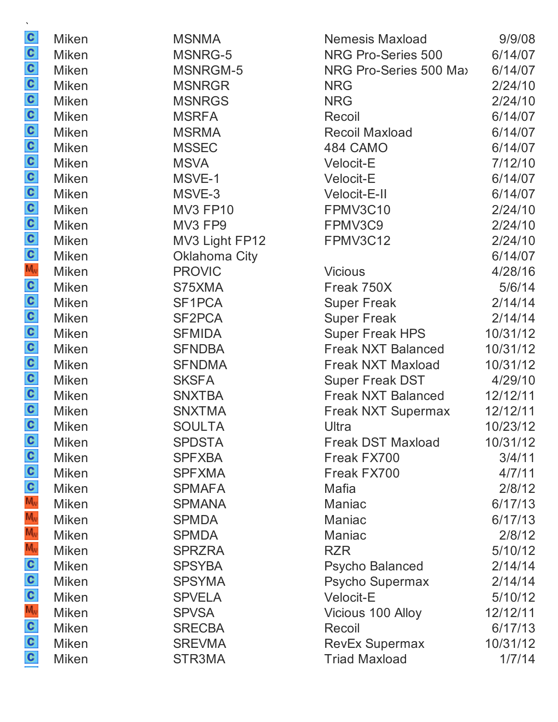| $\mathbf{v}$                                            |              |                      |                           |          |
|---------------------------------------------------------|--------------|----------------------|---------------------------|----------|
|                                                         | <b>Miken</b> | <b>MSNMA</b>         | <b>Nemesis Maxload</b>    | 9/9/08   |
|                                                         | <b>Miken</b> | MSNRG-5              | NRG Pro-Series 500        | 6/14/07  |
|                                                         | <b>Miken</b> | MSNRGM-5             | NRG Pro-Series 500 Max    | 6/14/07  |
|                                                         | <b>Miken</b> | <b>MSNRGR</b>        | <b>NRG</b>                | 2/24/10  |
|                                                         | <b>Miken</b> | <b>MSNRGS</b>        | <b>NRG</b>                | 2/24/10  |
|                                                         | <b>Miken</b> | <b>MSRFA</b>         | Recoil                    | 6/14/07  |
|                                                         | <b>Miken</b> | <b>MSRMA</b>         | <b>Recoil Maxload</b>     | 6/14/07  |
|                                                         | Miken        | <b>MSSEC</b>         | 484 CAMO                  | 6/14/07  |
|                                                         | <b>Miken</b> | <b>MSVA</b>          | Velocit-E                 | 7/12/10  |
|                                                         | <b>Miken</b> | MSVE-1               | <b>Velocit-E</b>          | 6/14/07  |
|                                                         | <b>Miken</b> | MSVE-3               | Velocit-E-II              | 6/14/07  |
|                                                         | <b>Miken</b> | <b>MV3 FP10</b>      | FPMV3C10                  | 2/24/10  |
|                                                         | <b>Miken</b> | MV3 FP9              | FPMV3C9                   | 2/24/10  |
|                                                         | <b>Miken</b> | MV3 Light FP12       | FPMV3C12                  | 2/24/10  |
|                                                         | <b>Miken</b> | <b>Oklahoma City</b> |                           | 6/14/07  |
|                                                         | <b>Miken</b> | <b>PROVIC</b>        | <b>Vicious</b>            | 4/28/16  |
|                                                         | <b>Miken</b> | S75XMA               | Freak 750X                | 5/6/14   |
|                                                         | <b>Miken</b> | SF <sub>1</sub> PCA  | <b>Super Freak</b>        | 2/14/14  |
|                                                         | <b>Miken</b> | SF2PCA               | <b>Super Freak</b>        | 2/14/14  |
|                                                         | <b>Miken</b> | <b>SFMIDA</b>        | <b>Super Freak HPS</b>    | 10/31/12 |
|                                                         | <b>Miken</b> | <b>SFNDBA</b>        | <b>Freak NXT Balanced</b> | 10/31/12 |
|                                                         | <b>Miken</b> | <b>SFNDMA</b>        | Freak NXT Maxload         | 10/31/12 |
|                                                         | <b>Miken</b> | <b>SKSFA</b>         | <b>Super Freak DST</b>    | 4/29/10  |
|                                                         | <b>Miken</b> | <b>SNXTBA</b>        | <b>Freak NXT Balanced</b> | 12/12/11 |
|                                                         | <b>Miken</b> | <b>SNXTMA</b>        | <b>Freak NXT Supermax</b> | 12/12/11 |
|                                                         | <b>Miken</b> | <b>SOULTA</b>        | Ultra                     | 10/23/12 |
|                                                         | <b>Miken</b> | <b>SPDSTA</b>        | <b>Freak DST Maxload</b>  | 10/31/12 |
| $\frac{1}{2}$ $\frac{1}{2}$ $\frac{1}{2}$ $\frac{1}{2}$ | <b>Miken</b> | <b>SPFXBA</b>        | Freak FX700               | 3/4/11   |
|                                                         | <b>Miken</b> | <b>SPFXMA</b>        | Freak FX700               | 4/7/11   |
|                                                         | <b>Miken</b> | <b>SPMAFA</b>        | <b>Mafia</b>              | 2/8/12   |
|                                                         | <b>Miken</b> | <b>SPMANA</b>        | <b>Maniac</b>             | 6/17/13  |
|                                                         | <b>Miken</b> | <b>SPMDA</b>         | Maniac                    | 6/17/13  |
| $M_{\rm v}$                                             | <b>Miken</b> | <b>SPMDA</b>         | Maniac                    | 2/8/12   |
|                                                         | <b>Miken</b> | <b>SPRZRA</b>        | <b>RZR</b>                | 5/10/12  |
|                                                         | <b>Miken</b> | <b>SPSYBA</b>        | <b>Psycho Balanced</b>    | 2/14/14  |
|                                                         | <b>Miken</b> | <b>SPSYMA</b>        | Psycho Supermax           | 2/14/14  |
| <b>voosooo</b>                                          | <b>Miken</b> | <b>SPVELA</b>        | <b>Velocit-E</b>          | 5/10/12  |
|                                                         | <b>Miken</b> | <b>SPVSA</b>         | Vicious 100 Alloy         | 12/12/11 |
|                                                         | <b>Miken</b> | <b>SRECBA</b>        | <b>Recoil</b>             | 6/17/13  |
|                                                         | <b>Miken</b> | <b>SREVMA</b>        | <b>RevEx Supermax</b>     | 10/31/12 |
|                                                         | <b>Miken</b> | STR3MA               | <b>Triad Maxload</b>      | 1/7/14   |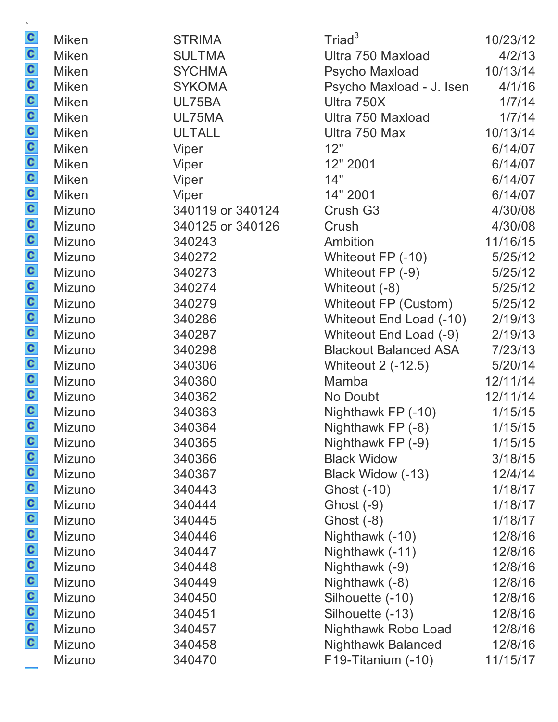| $\mathbf{c}$          | <b>Miken</b>  | <b>STRIMA</b>    | Triad <sup>3</sup>           | 10/23/12 |
|-----------------------|---------------|------------------|------------------------------|----------|
|                       | <b>Miken</b>  | <b>SULTMA</b>    | Ultra 750 Maxload            | 4/2/13   |
|                       | <b>Miken</b>  | <b>SYCHMA</b>    | Psycho Maxload               | 10/13/14 |
|                       | <b>Miken</b>  | <b>SYKOMA</b>    | Psycho Maxload - J. Isen     | 4/1/16   |
|                       | <b>Miken</b>  | UL75BA           | Ultra 750X                   | 1/7/14   |
|                       | <b>Miken</b>  | UL75MA           | Ultra 750 Maxload            | 1/7/14   |
|                       | <b>Miken</b>  | <b>ULTALL</b>    | Ultra 750 Max                | 10/13/14 |
|                       | <b>Miken</b>  | Viper            | 12"                          | 6/14/07  |
|                       | <b>Miken</b>  | Viper            | 12" 2001                     | 6/14/07  |
|                       | <b>Miken</b>  | Viper            | 14"                          | 6/14/07  |
|                       | <b>Miken</b>  | Viper            | 14" 2001                     | 6/14/07  |
|                       | Mizuno        | 340119 or 340124 | Crush G3                     | 4/30/08  |
|                       | Mizuno        | 340125 or 340126 | Crush                        | 4/30/08  |
|                       | Mizuno        | 340243           | Ambition                     | 11/16/15 |
|                       | Mizuno        | 340272           | Whiteout FP (-10)            | 5/25/12  |
|                       | Mizuno        | 340273           | Whiteout FP (-9)             | 5/25/12  |
|                       | Mizuno        | 340274           | Whiteout (-8)                | 5/25/12  |
|                       | Mizuno        | 340279           | Whiteout FP (Custom)         | 5/25/12  |
|                       | Mizuno        | 340286           | Whiteout End Load (-10)      | 2/19/13  |
|                       | Mizuno        | 340287           | Whiteout End Load (-9)       | 2/19/13  |
|                       | Mizuno        | 340298           | <b>Blackout Balanced ASA</b> | 7/23/13  |
|                       | Mizuno        | 340306           | <b>Whiteout 2 (-12.5)</b>    | 5/20/14  |
|                       | Mizuno        | 340360           | Mamba                        | 12/11/14 |
|                       | Mizuno        | 340362           | No Doubt                     | 12/11/14 |
|                       | Mizuno        | 340363           | Nighthawk FP (-10)           | 1/15/15  |
|                       | Mizuno        | 340364           | Nighthawk FP (-8)            | 1/15/15  |
|                       | Mizuno        | 340365           | Nighthawk FP (-9)            | 1/15/15  |
|                       | Mizuno        | 340366           | <b>Black Widow</b>           | 3/18/15  |
|                       | Mizuno        | 340367           | Black Widow (-13)            | 12/4/14  |
|                       | Mizuno        | 340443           | Ghost (-10)                  | 1/18/17  |
|                       | Mizuno        | 340444           | Ghost (-9)                   | 1/18/17  |
|                       | Mizuno        | 340445           | Ghost $(-8)$                 | 1/18/17  |
|                       | Mizuno        | 340446           | Nighthawk (-10)              | 12/8/16  |
|                       | Mizuno        | 340447           | Nighthawk (-11)              | 12/8/16  |
|                       | <b>Mizuno</b> | 340448           | Nighthawk (-9)               | 12/8/16  |
|                       | Mizuno        | 340449           | Nighthawk (-8)               | 12/8/16  |
| a a a a a a a a a a a | Mizuno        | 340450           | Silhouette (-10)             | 12/8/16  |
|                       | Mizuno        | 340451           | Silhouette (-13)             | 12/8/16  |
|                       | Mizuno        | 340457           | Nighthawk Robo Load          | 12/8/16  |
|                       | Mizuno        | 340458           | <b>Nighthawk Balanced</b>    | 12/8/16  |
|                       | Mizuno        | 340470           | F19-Titanium (-10)           | 11/15/17 |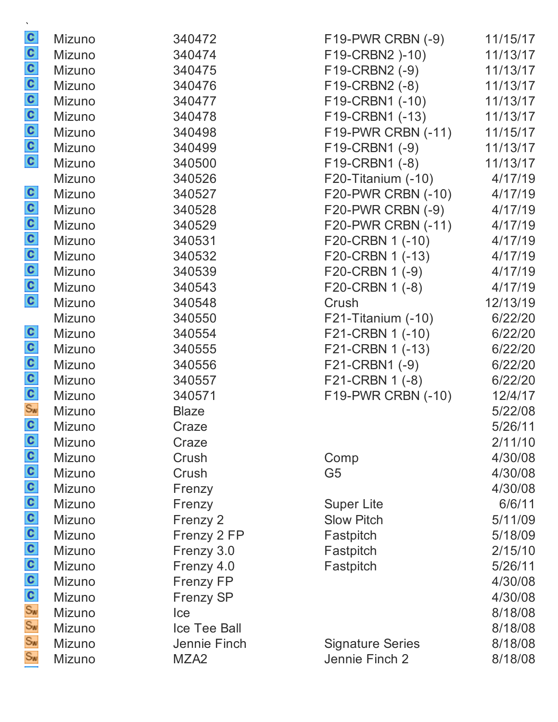|                         | Mizuno        | 340472           | $F19-PWR CRBN (-9)$     | 11/15/17 |
|-------------------------|---------------|------------------|-------------------------|----------|
|                         | Mizuno        | 340474           | F19-CRBN2 )-10)         | 11/13/17 |
|                         | Mizuno        | 340475           | F19-CRBN2 (-9)          | 11/13/17 |
|                         | Mizuno        | 340476           | F19-CRBN2 (-8)          | 11/13/17 |
|                         | Mizuno        | 340477           | F19-CRBN1 (-10)         | 11/13/17 |
| a a a a a a a           | Mizuno        | 340478           | F19-CRBN1 (-13)         | 11/13/17 |
|                         | Mizuno        | 340498           | F19-PWR CRBN (-11)      | 11/15/17 |
|                         | Mizuno        | 340499           | F19-CRBN1 (-9)          | 11/13/17 |
|                         | Mizuno        | 340500           | F19-CRBN1 (-8)          | 11/13/17 |
|                         | Mizuno        | 340526           | F20-Titanium (-10)      | 4/17/19  |
|                         | Mizuno        | 340527           | F20-PWR CRBN (-10)      | 4/17/19  |
|                         | Mizuno        | 340528           | F20-PWR CRBN (-9)       | 4/17/19  |
|                         | Mizuno        | 340529           | F20-PWR CRBN (-11)      | 4/17/19  |
|                         | Mizuno        | 340531           | F20-CRBN 1 (-10)        | 4/17/19  |
|                         | Mizuno        | 340532           | F20-CRBN 1 (-13)        | 4/17/19  |
|                         | Mizuno        | 340539           | F20-CRBN 1 (-9)         | 4/17/19  |
| a a a a a a a           | Mizuno        | 340543           | F20-CRBN 1 (-8)         | 4/17/19  |
|                         | Mizuno        | 340548           | Crush                   | 12/13/19 |
|                         | Mizuno        | 340550           | $F21$ -Titanium $(-10)$ | 6/22/20  |
|                         | Mizuno        | 340554           | F21-CRBN 1 (-10)        | 6/22/20  |
| $\frac{1}{2}$ o o o o o | Mizuno        | 340555           | F21-CRBN 1 (-13)        | 6/22/20  |
|                         | Mizuno        | 340556           | F21-CRBN1 (-9)          | 6/22/20  |
|                         | Mizuno        | 340557           | F21-CRBN 1 (-8)         | 6/22/20  |
|                         | Mizuno        | 340571           | F19-PWR CRBN (-10)      | 12/4/17  |
|                         | Mizuno        | <b>Blaze</b>     |                         | 5/22/08  |
|                         | Mizuno        | Craze            |                         | 5/26/11  |
| C                       | Mizuno        | Craze            |                         | 2/11/10  |
|                         | <b>Mizuno</b> | Crush            | Comp                    | 4/30/08  |
|                         | Mizuno        | Crush            | G <sub>5</sub>          | 4/30/08  |
|                         | Mizuno        | Frenzy           |                         | 4/30/08  |
|                         | Mizuno        | Frenzy           | <b>Super Lite</b>       | 6/6/11   |
|                         | Mizuno        | Frenzy 2         | <b>Slow Pitch</b>       | 5/11/09  |
|                         | Mizuno        | Frenzy 2 FP      | Fastpitch               | 5/18/09  |
|                         | Mizuno        | Frenzy 3.0       | Fastpitch               | 2/15/10  |
|                         | Mizuno        | Frenzy 4.0       | Fastpitch               | 5/26/11  |
|                         | Mizuno        | <b>Frenzy FP</b> |                         | 4/30/08  |
|                         | Mizuno        | <b>Frenzy SP</b> |                         | 4/30/08  |
| စ်ပ ပ ပ ပ ပ ပ ပ ပ ပ ပ ပ | Mizuno        | Ice              |                         | 8/18/08  |
|                         | Mizuno        | Ice Tee Ball     |                         | 8/18/08  |
|                         | Mizuno        | Jennie Finch     | <b>Signature Series</b> | 8/18/08  |
| $S_{N}$                 | Mizuno        | MZA <sub>2</sub> | Jennie Finch 2          | 8/18/08  |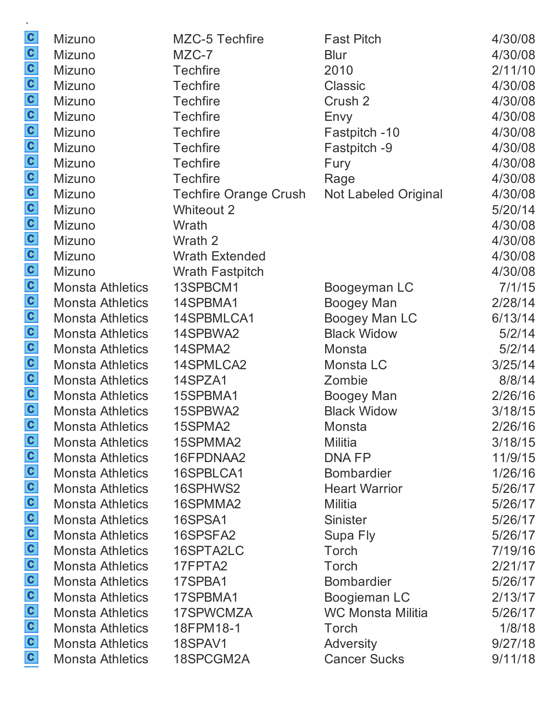| $\mathbf{c}$         | Mizuno                  | <b>MZC-5 Techfire</b>        | <b>Fast Pitch</b>           | 4/30/08 |
|----------------------|-------------------------|------------------------------|-----------------------------|---------|
| $\mathbf{c}$         | Mizuno                  | MZC-7                        | <b>Blur</b>                 | 4/30/08 |
| $\frac{c}{c}$        | <b>Mizuno</b>           | <b>Techfire</b>              | 2010                        | 2/11/10 |
|                      | Mizuno                  | <b>Techfire</b>              | <b>Classic</b>              | 4/30/08 |
|                      | <b>Mizuno</b>           | <b>Techfire</b>              | Crush 2                     | 4/30/08 |
|                      | Mizuno                  | <b>Techfire</b>              | Envy                        | 4/30/08 |
| $\frac{c}{c}$        | Mizuno                  | <b>Techfire</b>              | Fastpitch -10               | 4/30/08 |
| $\mathbf{c}$         | Mizuno                  | <b>Techfire</b>              | Fastpitch -9                | 4/30/08 |
|                      | Mizuno                  | <b>Techfire</b>              | Fury                        | 4/30/08 |
| $\frac{c}{c}$        | <b>Mizuno</b>           | <b>Techfire</b>              | Rage                        | 4/30/08 |
|                      | Mizuno                  | <b>Techfire Orange Crush</b> | <b>Not Labeled Original</b> | 4/30/08 |
| $\frac{c}{c}$        | Mizuno                  | <b>Whiteout 2</b>            |                             | 5/20/14 |
|                      | Mizuno                  | Wrath                        |                             | 4/30/08 |
| $\mathbf{c}$         | Mizuno                  | Wrath 2                      |                             | 4/30/08 |
| $\frac{1}{\sqrt{2}}$ | Mizuno                  | <b>Wrath Extended</b>        |                             | 4/30/08 |
|                      | Mizuno                  | <b>Wrath Fastpitch</b>       |                             | 4/30/08 |
|                      | <b>Monsta Athletics</b> | 13SPBCM1                     | Boogeyman LC                | 7/1/15  |
|                      | <b>Monsta Athletics</b> | 14SPBMA1                     | <b>Boogey Man</b>           | 2/28/14 |
|                      | <b>Monsta Athletics</b> | 14SPBMLCA1                   | <b>Boogey Man LC</b>        | 6/13/14 |
| $\mathbf{c}$         | <b>Monsta Athletics</b> | 14SPBWA2                     | <b>Black Widow</b>          | 5/2/14  |
| $\frac{c}{c}$        | <b>Monsta Athletics</b> | 14SPMA2                      | Monsta                      | 5/2/14  |
|                      | <b>Monsta Athletics</b> | 14SPMLCA2                    | Monsta LC                   | 3/25/14 |
|                      | <b>Monsta Athletics</b> | 14SPZA1                      | Zombie                      | 8/8/14  |
| $\mathbf{c}$         | <b>Monsta Athletics</b> | 15SPBMA1                     | <b>Boogey Man</b>           | 2/26/16 |
| $\mathbf{c}$         | <b>Monsta Athletics</b> | 15SPBWA2                     | <b>Black Widow</b>          | 3/18/15 |
| $\mathbf{c}$         | <b>Monsta Athletics</b> | 15SPMA2                      | Monsta                      | 2/26/16 |
| $\mathbf{c}$         | <b>Monsta Athletics</b> | 15SPMMA2                     | <b>Militia</b>              | 3/18/15 |
| $\mathbf{c}$         | <b>Monsta Athletics</b> | 16FPDNAA2                    | <b>DNAFP</b>                | 11/9/15 |
| $\mathbf{c}$         | <b>Monsta Athletics</b> | 16SPBLCA1                    | <b>Bombardier</b>           | 1/26/16 |
| $\mathbf{c}$         | <b>Monsta Athletics</b> | 16SPHWS2                     | <b>Heart Warrior</b>        | 5/26/17 |
| $\mathbf{c}$         | <b>Monsta Athletics</b> | 16SPMMA2                     | Militia                     | 5/26/17 |
| $\mathbf{c}$         | <b>Monsta Athletics</b> | 16SPSA1                      | Sinister                    | 5/26/17 |
| $\mathbf{c}$         | <b>Monsta Athletics</b> | 16SPSFA2                     | Supa Fly                    | 5/26/17 |
| $\mathbf{c}$         | <b>Monsta Athletics</b> | 16SPTA2LC                    | Torch                       | 7/19/16 |
| $\mathbf{c}$         | <b>Monsta Athletics</b> | 17FPTA2                      | Torch                       | 2/21/17 |
| $\mathbf{c}$         | <b>Monsta Athletics</b> | 17SPBA1                      | <b>Bombardier</b>           | 5/26/17 |
| $\mathbf{c}$         | <b>Monsta Athletics</b> | 17SPBMA1                     | Boogieman LC                | 2/13/17 |
| $\mathbf{c}$         | <b>Monsta Athletics</b> | 17SPWCMZA                    | <b>WC Monsta Militia</b>    | 5/26/17 |
| $\mathbf{c}$         | <b>Monsta Athletics</b> | 18FPM18-1                    | Torch                       | 1/8/18  |
| $\mathbf{c}$         | <b>Monsta Athletics</b> | 18SPAV1                      | Adversity                   | 9/27/18 |
| $\mathbf{c}$         | <b>Monsta Athletics</b> | 18SPCGM2A                    | <b>Cancer Sucks</b>         | 9/11/18 |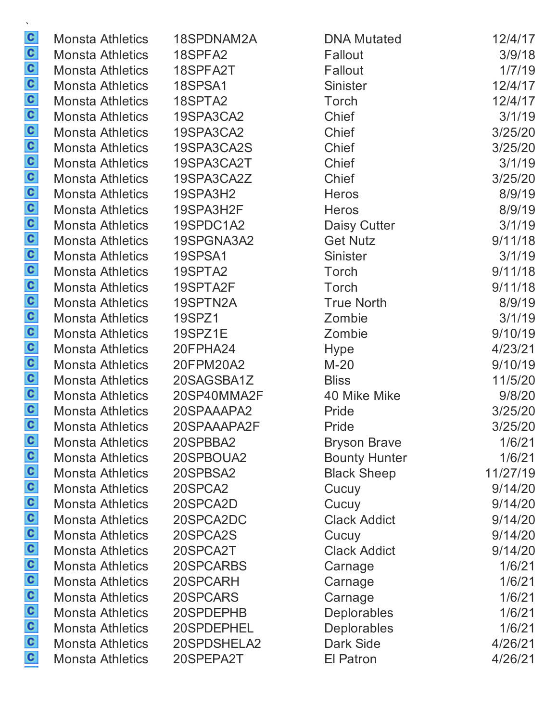Monsta Athletics 18SPDNAM2A Monsta Athletics 18SPFA2 Monsta Athletics 18SPFA2T Monsta Athletics 18SPSA1 Monsta Athletics 18SPTA2 Monsta Athletics 19SPA3CA2 Monsta Athletics 19SPA3CA2 Monsta Athletics 19SPA3CA2S Monsta Athletics 19SPA3CA2T Monsta Athletics 19SPA3CA2Z Monsta Athletics 19SPA3H2 Monsta Athletics 19SPA3H2F Monsta Athletics 19SPDC1A2 Monsta Athletics 19SPGNA3A2 Monsta Athletics 19SPSA1 Monsta Athletics 19SPTA2 Monsta Athletics 19SPTA2F Monsta Athletics 19SPTN2A Monsta Athletics 19SPZ1 Monsta Athletics 19SPZ1E Monsta Athletics 20FPHA24 Monsta Athletics 20FPM20A2 Monsta Athletics 20SAGSBA1Z Monsta Athletics 20SP40MMA2F Monsta Athletics 20SPAAAPA2 Monsta Athletics 20SPAAAPA2F Monsta Athletics 20SPBBA2 Monsta Athletics 20SPBOUA2 Monsta Athletics 20SPBSA2 Monsta Athletics 20SPCA2 Monsta Athletics 20SPCA2D Monsta Athletics 20SPCA2DC Monsta Athletics 20SPCA2S Monsta Athletics 20SPCA2T Monsta Athletics 20SPCARBS Monsta Athletics 20SPCARH Monsta Athletics 20SPCARS Monsta Athletics 20SPDEPHB Monsta Athletics 20SPDEPHEL Monsta Athletics 20SPDSHELA2 Monsta Athletics 20SPEPA2T

| <b>DNA Mutated</b>   | 12/4/17  |
|----------------------|----------|
| Fallout              | 3/9/18   |
| Fallout              | 1/7/19   |
| Sinister             | 12/4/17  |
| Torch                | 12/4/17  |
| Chief                | 3/1/19   |
| Chief                | 3/25/20  |
| Chief                | 3/25/20  |
| Chief                | 3/1/19   |
| Chief                | 3/25/20  |
| Heros                | 8/9/19   |
| Heros                | 8/9/19   |
| Daisy Cutter         | 3/1/19   |
| Get Nutz             | 9/11/18  |
| Sinister             | 3/1/19   |
| <b>Torch</b>         | 9/11/18  |
| Torch                | 9/11/18  |
| <b>True North</b>    | 8/9/19   |
| Zombie               | 3/1/19   |
| Zombie               | 9/10/19  |
| Hype                 | 4/23/21  |
| M-20                 | 9/10/19  |
| <b>Bliss</b>         | 11/5/20  |
| 40 Mike Mike         | 9/8/20   |
| Pride                | 3/25/20  |
| Pride                | 3/25/20  |
| Bryson Brave         | 1/6/21   |
| <b>Bounty Hunter</b> | 1/6/21   |
| Black Sheep          | 11/27/19 |
| Cucuy                | 9/14/20  |
| Cucuy                | 9/14/20  |
| <b>Clack Addict</b>  | 9/14/20  |
| Cucuy                | 9/14/20  |
| <b>Clack Addict</b>  | 9/14/20  |
| Carnage              | 1/6/21   |
| Carnage              | 1/6/21   |
| Carnage              | 1/6/21   |
| Deplorables          | 1/6/21   |
| <b>Deplorables</b>   | 1/6/21   |
| Dark Side            | 4/26/21  |
| <b>El Patron</b>     | 4/26/21  |
|                      |          |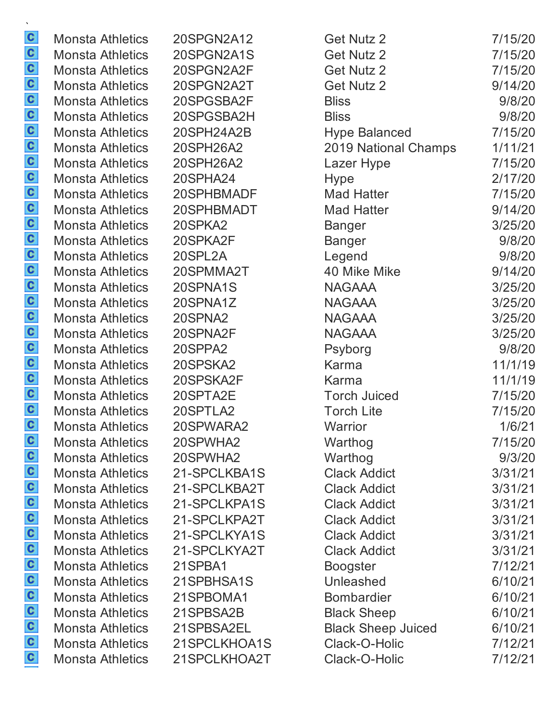| <b>Monsta Athletics</b> | 20SPGN2A12   | <b>Get Nutz 2</b>         | 7/15/20 |
|-------------------------|--------------|---------------------------|---------|
| <b>Monsta Athletics</b> | 20SPGN2A1S   | Get Nutz 2                | 7/15/20 |
| <b>Monsta Athletics</b> | 20SPGN2A2F   | <b>Get Nutz 2</b>         | 7/15/20 |
| <b>Monsta Athletics</b> | 20SPGN2A2T   | <b>Get Nutz 2</b>         | 9/14/20 |
| <b>Monsta Athletics</b> | 20SPGSBA2F   | <b>Bliss</b>              | 9/8/20  |
| <b>Monsta Athletics</b> | 20SPGSBA2H   | <b>Bliss</b>              | 9/8/20  |
| <b>Monsta Athletics</b> | 20SPH24A2B   | <b>Hype Balanced</b>      | 7/15/20 |
| <b>Monsta Athletics</b> | 20SPH26A2    | 2019 National Champs      | 1/11/21 |
| <b>Monsta Athletics</b> | 20SPH26A2    | Lazer Hype                | 7/15/20 |
| <b>Monsta Athletics</b> | 20SPHA24     | <b>Hype</b>               | 2/17/20 |
| <b>Monsta Athletics</b> | 20SPHBMADF   | Mad Hatter                | 7/15/20 |
| <b>Monsta Athletics</b> | 20SPHBMADT   | <b>Mad Hatter</b>         | 9/14/20 |
| <b>Monsta Athletics</b> | 20SPKA2      | <b>Banger</b>             | 3/25/20 |
| <b>Monsta Athletics</b> | 20SPKA2F     | <b>Banger</b>             | 9/8/20  |
| <b>Monsta Athletics</b> | 20SPL2A      | Legend                    | 9/8/20  |
| <b>Monsta Athletics</b> | 20SPMMA2T    | 40 Mike Mike              | 9/14/20 |
| <b>Monsta Athletics</b> | 20SPNA1S     | <b>NAGAAA</b>             | 3/25/20 |
| <b>Monsta Athletics</b> | 20SPNA1Z     | <b>NAGAAA</b>             | 3/25/20 |
| <b>Monsta Athletics</b> | 20SPNA2      | <b>NAGAAA</b>             | 3/25/20 |
| <b>Monsta Athletics</b> | 20SPNA2F     | <b>NAGAAA</b>             | 3/25/20 |
| <b>Monsta Athletics</b> | 20SPPA2      | Psyborg                   | 9/8/20  |
| <b>Monsta Athletics</b> | 20SPSKA2     | Karma                     | 11/1/19 |
| <b>Monsta Athletics</b> | 20SPSKA2F    | Karma                     | 11/1/19 |
| <b>Monsta Athletics</b> | 20SPTA2E     | <b>Torch Juiced</b>       | 7/15/20 |
| <b>Monsta Athletics</b> | 20SPTLA2     | <b>Torch Lite</b>         | 7/15/20 |
| <b>Monsta Athletics</b> | 20SPWARA2    | Warrior                   | 1/6/21  |
| <b>Monsta Athletics</b> | 20SPWHA2     | Warthog                   | 7/15/20 |
| <b>Monsta Athletics</b> | 20SPWHA2     | Warthog                   | 9/3/20  |
| <b>Monsta Athletics</b> | 21-SPCLKBA1S | <b>Clack Addict</b>       | 3/31/21 |
| <b>Monsta Athletics</b> | 21-SPCLKBA2T | <b>Clack Addict</b>       | 3/31/21 |
| <b>Monsta Athletics</b> | 21-SPCLKPA1S | <b>Clack Addict</b>       | 3/31/21 |
| <b>Monsta Athletics</b> | 21-SPCLKPA2T | <b>Clack Addict</b>       | 3/31/21 |
| <b>Monsta Athletics</b> | 21-SPCLKYA1S | <b>Clack Addict</b>       | 3/31/21 |
| <b>Monsta Athletics</b> | 21-SPCLKYA2T | <b>Clack Addict</b>       | 3/31/21 |
| <b>Monsta Athletics</b> | 21SPBA1      | <b>Boogster</b>           | 7/12/21 |
| <b>Monsta Athletics</b> | 21SPBHSA1S   | Unleashed                 | 6/10/21 |
| <b>Monsta Athletics</b> | 21SPBOMA1    | <b>Bombardier</b>         | 6/10/21 |
| <b>Monsta Athletics</b> | 21SPBSA2B    | <b>Black Sheep</b>        | 6/10/21 |
| <b>Monsta Athletics</b> | 21SPBSA2EL   | <b>Black Sheep Juiced</b> | 6/10/21 |
| <b>Monsta Athletics</b> | 21SPCLKHOA1S | Clack-O-Holic             | 7/12/21 |
| <b>Monsta Athletics</b> | 21SPCLKHOA2T | Clack-O-Holic             | 7/12/21 |
|                         |              |                           |         |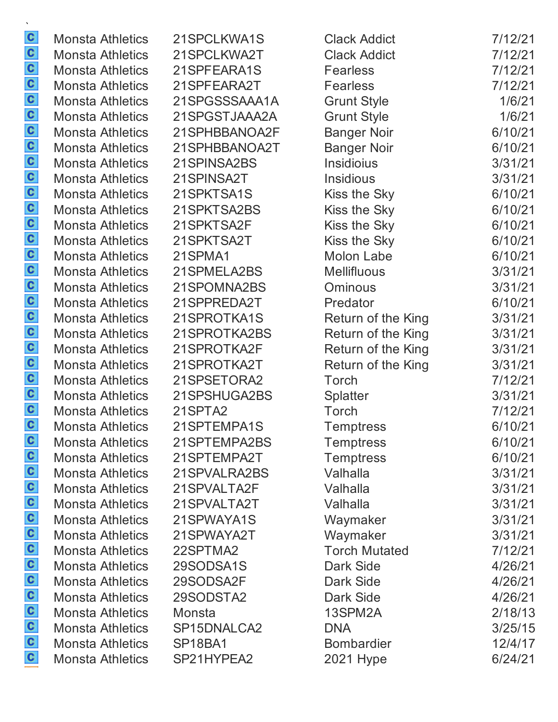| <b>Monsta Athletics</b> | 21SPCLKWA1S                      | <b>Clack Addict</b>  | 7/12/21 |
|-------------------------|----------------------------------|----------------------|---------|
| <b>Monsta Athletics</b> | 21SPCLKWA2T                      | <b>Clack Addict</b>  | 7/12/21 |
| <b>Monsta Athletics</b> | 21SPFEARA1S                      | <b>Fearless</b>      | 7/12/21 |
| Monsta Athletics        | 21SPFEARA2T                      | <b>Fearless</b>      | 7/12/21 |
| <b>Monsta Athletics</b> | 21SPGSSSAAA1A                    | <b>Grunt Style</b>   | 1/6/21  |
| <b>Monsta Athletics</b> | 21SPGSTJAAA2A                    | <b>Grunt Style</b>   | 1/6/21  |
| <b>Monsta Athletics</b> | 21SPHBBANOA2F                    | <b>Banger Noir</b>   | 6/10/21 |
| <b>Monsta Athletics</b> | 21SPHBBANOA2T                    | <b>Banger Noir</b>   | 6/10/21 |
| <b>Monsta Athletics</b> | 21SPINSA2BS                      | Insidioius           | 3/31/21 |
| <b>Monsta Athletics</b> | 21SPINSA2T                       | <b>Insidious</b>     | 3/31/21 |
| Monsta Athletics        | 21SPKTSA1S                       | Kiss the Sky         | 6/10/21 |
| <b>Monsta Athletics</b> | 21SPKTSA2BS                      | Kiss the Sky         | 6/10/21 |
| <b>Monsta Athletics</b> | 21SPKTSA2F                       | Kiss the Sky         | 6/10/21 |
| <b>Monsta Athletics</b> | 21SPKTSA2T                       | Kiss the Sky         | 6/10/21 |
| <b>Monsta Athletics</b> | 21SPMA1                          | Molon Labe           | 6/10/21 |
| Monsta Athletics        | 21SPMELA2BS                      | <b>Mellifluous</b>   | 3/31/21 |
| Monsta Athletics        | 21SPOMNA2BS                      | <b>Ominous</b>       | 3/31/21 |
| <b>Monsta Athletics</b> | 21SPPREDA2T                      | Predator             | 6/10/21 |
| <b>Monsta Athletics</b> | 21SPROTKA1S                      | Return of the King   | 3/31/21 |
| <b>Monsta Athletics</b> | 21SPROTKA2BS                     | Return of the King   | 3/31/21 |
| <b>Monsta Athletics</b> | 21SPROTKA2F                      | Return of the King   | 3/31/21 |
| <b>Monsta Athletics</b> | 21SPROTKA2T                      | Return of the King   | 3/31/21 |
| Monsta Athletics        | 21SPSETORA2                      | Torch                | 7/12/21 |
| <b>Monsta Athletics</b> | 21SPSHUGA2BS                     | <b>Splatter</b>      | 3/31/21 |
| Monsta Athletics        | 21SPTA <sub>2</sub>              | Torch                | 7/12/21 |
| <b>Monsta Athletics</b> | 21SPTEMPA1S                      | <b>Temptress</b>     | 6/10/21 |
| <b>Monsta Athletics</b> | 21SPTEMPA2BS                     | <b>Temptress</b>     | 6/10/21 |
| <b>Monsta Athletics</b> | 21SPTEMPA2T                      | <b>Temptress</b>     | 6/10/21 |
| <b>Monsta Athletics</b> | 21SPVALRA2BS                     | Valhalla             | 3/31/21 |
| <b>Monsta Athletics</b> | 21SPVALTA2F                      | Valhalla             | 3/31/21 |
| <b>Monsta Athletics</b> | 21SPVALTA2T                      | Valhalla             | 3/31/21 |
| <b>Monsta Athletics</b> | 21SPWAYA1S                       | Waymaker             | 3/31/21 |
| <b>Monsta Athletics</b> | 21SPWAYA2T                       | Waymaker             | 3/31/21 |
| <b>Monsta Athletics</b> | 22SPTMA2                         | <b>Torch Mutated</b> | 7/12/21 |
| <b>Monsta Athletics</b> | 29SODSA1S                        | Dark Side            | 4/26/21 |
| <b>Monsta Athletics</b> | 29SODSA2F                        | Dark Side            | 4/26/21 |
| <b>Monsta Athletics</b> | 29SODSTA2                        | Dark Side            | 4/26/21 |
| <b>Monsta Athletics</b> | Monsta                           | 13SPM2A              | 2/18/13 |
| <b>Monsta Athletics</b> | SP15DNALCA2                      | <b>DNA</b>           | 3/25/15 |
| <b>Monsta Athletics</b> | SP <sub>18</sub> BA <sub>1</sub> | <b>Bombardier</b>    | 12/4/17 |
| <b>Monsta Athletics</b> | SP21HYPEA2                       | 2021 Hype            | 6/24/21 |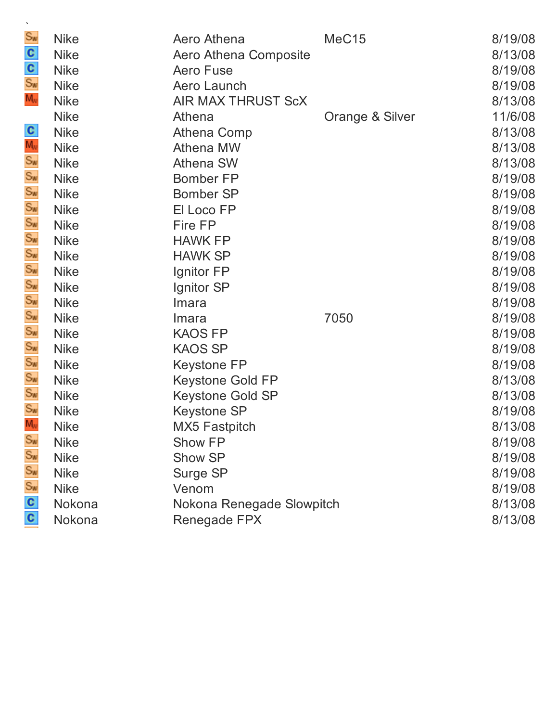| Sw<br>$\frac{c}{s_w}$<br>M <sub>v</sub>                                                                | <b>Nike</b><br><b>Nike</b><br><b>Nike</b><br><b>Nike</b><br><b>Nike</b>                                                                                                                                   | Aero Athena<br>Aero Athena Composite<br><b>Aero Fuse</b><br>Aero Launch<br><b>AIR MAX THRUST ScX</b>                                                                                                                                                 | MeC <sub>15</sub> | 8/19/08<br>8/13/08<br>8/19/08<br>8/19/08<br>8/13/08                                                                                                    |
|--------------------------------------------------------------------------------------------------------|-----------------------------------------------------------------------------------------------------------------------------------------------------------------------------------------------------------|------------------------------------------------------------------------------------------------------------------------------------------------------------------------------------------------------------------------------------------------------|-------------------|--------------------------------------------------------------------------------------------------------------------------------------------------------|
| ပြင်းကို တို့ကို ပြင်းကို ပြင်းကို                                                                     | <b>Nike</b><br><b>Nike</b><br><b>Nike</b><br><b>Nike</b><br><b>Nike</b><br><b>Nike</b><br><b>Nike</b><br><b>Nike</b><br><b>Nike</b><br><b>Nike</b><br><b>Nike</b><br><b>Nike</b>                          | Athena<br>Athena Comp<br>Athena MW<br><b>Athena SW</b><br><b>Bomber FP</b><br><b>Bomber SP</b><br>El Loco FP<br>Fire FP<br><b>HAWK FP</b><br><b>HAWK SP</b><br>Ignitor FP<br>Ignitor SP                                                              | Orange & Silver   | 11/6/08<br>8/13/08<br>8/13/08<br>8/13/08<br>8/19/08<br>8/19/08<br>8/19/08<br>8/19/08<br>8/19/08<br>8/19/08<br>8/19/08<br>8/19/08                       |
| Sw<br>Sw<br>Sw<br>Sw<br>Sw<br>Sw<br>Sw<br>Sw<br>M <sub>w</sub><br>Sw<br>Sw<br>S <sub>w</sub><br>C<br>C | <b>Nike</b><br><b>Nike</b><br><b>Nike</b><br><b>Nike</b><br><b>Nike</b><br><b>Nike</b><br><b>Nike</b><br><b>Nike</b><br><b>Nike</b><br><b>Nike</b><br><b>Nike</b><br><b>Nike</b><br><b>Nike</b><br>Nokona | Imara<br>Imara<br><b>KAOS FP</b><br><b>KAOS SP</b><br><b>Keystone FP</b><br><b>Keystone Gold FP</b><br><b>Keystone Gold SP</b><br><b>Keystone SP</b><br><b>MX5 Fastpitch</b><br>Show FP<br>Show SP<br>Surge SP<br>Venom<br>Nokona Renegade Slowpitch | 7050              | 8/19/08<br>8/19/08<br>8/19/08<br>8/19/08<br>8/19/08<br>8/13/08<br>8/13/08<br>8/19/08<br>8/13/08<br>8/19/08<br>8/19/08<br>8/19/08<br>8/19/08<br>8/13/08 |
|                                                                                                        | Nokona                                                                                                                                                                                                    | Renegade FPX                                                                                                                                                                                                                                         |                   | 8/13/08                                                                                                                                                |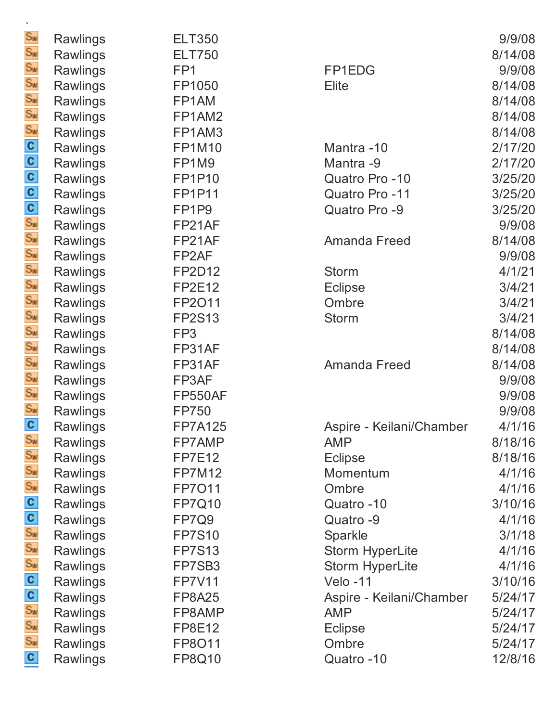| Sw                     | Rawlings        | <b>ELT350</b>      |                          | 9/9/08  |
|------------------------|-----------------|--------------------|--------------------------|---------|
| Sw                     | Rawlings        | <b>ELT750</b>      |                          | 8/14/08 |
| Sw<br>Sw               | Rawlings        | FP <sub>1</sub>    | FP1EDG                   | 9/9/08  |
|                        | Rawlings        | FP1050             | Elite                    | 8/14/08 |
|                        | Rawlings        | FP1AM              |                          | 8/14/08 |
|                        | Rawlings        | FP1AM2             |                          | 8/14/08 |
|                        | Rawlings        | FP1AM3             |                          | 8/14/08 |
|                        | Rawlings        | <b>FP1M10</b>      | Mantra-10                | 2/17/20 |
|                        | Rawlings        | FP1M9              | Mantra -9                | 2/17/20 |
|                        | Rawlings        | <b>FP1P10</b>      | Quatro Pro -10           | 3/25/20 |
|                        | Rawlings        | <b>FP1P11</b>      | Quatro Pro -11           | 3/25/20 |
|                        | Rawlings        | FP1P9              | Quatro Pro -9            | 3/25/20 |
|                        | Rawlings        | FP21AF             |                          | 9/9/08  |
|                        | Rawlings        | FP21AF             | <b>Amanda Freed</b>      | 8/14/08 |
|                        | Rawlings        | FP <sub>2</sub> AF |                          | 9/9/08  |
|                        | Rawlings        | <b>FP2D12</b>      | <b>Storm</b>             | 4/1/21  |
|                        | Rawlings        | <b>FP2E12</b>      | <b>Eclipse</b>           | 3/4/21  |
|                        | Rawlings        | FP2011             | Ombre                    | 3/4/21  |
|                        | Rawlings        | <b>FP2S13</b>      | <b>Storm</b>             | 3/4/21  |
|                        | Rawlings        | FP3                |                          | 8/14/08 |
|                        | Rawlings        | FP31AF             |                          | 8/14/08 |
|                        | <b>Rawlings</b> | FP31AF             | <b>Amanda Freed</b>      | 8/14/08 |
|                        | Rawlings        | FP3AF              |                          | 9/9/08  |
|                        | Rawlings        | <b>FP550AF</b>     |                          | 9/9/08  |
|                        | Rawlings        | <b>FP750</b>       |                          | 9/9/08  |
| C                      | Rawlings        | <b>FP7A125</b>     | Aspire - Keilani/Chamber | 4/1/16  |
| Sw                     | Rawlings        | FP7AMP             | <b>AMP</b>               | 8/18/16 |
| Sw                     | Rawlings        | <b>FP7E12</b>      | <b>Eclipse</b>           | 8/18/16 |
|                        | Rawlings        | <b>FP7M12</b>      | Momentum                 | 4/1/16  |
| <u>င္း</u><br>၁၉ ၁၉ ၁၉ | Rawlings        | <b>FP7011</b>      | Ombre                    | 4/1/16  |
|                        | Rawlings        | <b>FP7Q10</b>      | Quatro -10               | 3/10/16 |
|                        | Rawlings        | FP7Q9              | Quatro -9                | 4/1/16  |
|                        | Rawlings        | <b>FP7S10</b>      | Sparkle                  | 3/1/18  |
|                        | Rawlings        | <b>FP7S13</b>      | <b>Storm HyperLite</b>   | 4/1/16  |
|                        | Rawlings        | FP7SB3             | <b>Storm HyperLite</b>   | 4/1/16  |
| Sw<br>C<br>Sw<br>Sw    | Rawlings        | <b>FP7V11</b>      | Velo-11                  | 3/10/16 |
|                        | Rawlings        | <b>FP8A25</b>      | Aspire - Keilani/Chamber | 5/24/17 |
|                        | Rawlings        | FP8AMP             | <b>AMP</b>               | 5/24/17 |
|                        | Rawlings        | <b>FP8E12</b>      | <b>Eclipse</b>           | 5/24/17 |
| Sw                     | Rawlings        | FP8011             | Ombre                    | 5/24/17 |
| C                      | Rawlings        | <b>FP8Q10</b>      | Quatro -10               | 12/8/16 |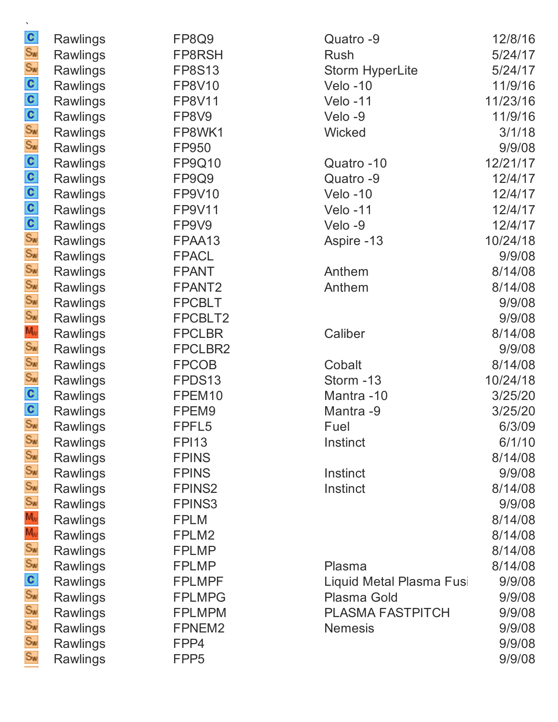| awlings | FP8Q9              |
|---------|--------------------|
| awlings | FP8RSH             |
| awlings | <b>FP8S13</b>      |
| awlings | <b>FP8V10</b>      |
| awlings | <b>FP8V11</b>      |
| awlings | FP8V9              |
| awlings | FP8WK1             |
| awlings | FP950              |
| awlings | <b>FP9Q10</b>      |
| awlings | FP9Q9              |
| awlings | FP9V10             |
| awlings | FP9V11             |
| awlings | FP9V9              |
| awlings | FPAA13             |
| awlings | <b>FPACL</b>       |
| awlings | <b>FPANT</b>       |
| awlings | FPANT <sub>2</sub> |
| awlings | <b>FPCBLT</b>      |
| awlings | FPCBLT2            |
| awlings | <b>FPCLBR</b>      |
| awlings | <b>FPCLBR</b>      |
| awlings | <b>FPCOB</b>       |
| awlings | FPDS13             |
| awlings | FPEM10             |
| awlings | FPEM9              |
| awlings | FPFL5              |
| awlings | <b>FPI13</b>       |
| awlings | <b>FPINS</b>       |
| awlings | <b>FPINS</b>       |
| awlings | <b>FPINS2</b>      |
| awlings | <b>FPINS3</b>      |
| awlings | <b>FPLM</b>        |
| awlings | FPLM2              |
| awlings | <b>FPLMP</b>       |
| awlings | <b>FPLMP</b>       |
| awlings | <b>FPLMPF</b>      |
| awlings | <b>FPLMPG</b>      |
| awlings | <b>FPLMPM</b>      |
| awlings | FPNEM2             |
| awlings | FPP4               |
| awlings | FPP <sub>5</sub>   |

| <b>Rawlings</b> | FP8Q9              | Quatro -9                | 12/8/16  |
|-----------------|--------------------|--------------------------|----------|
| <b>Rawlings</b> | FP8RSH             | Rush                     | 5/24/17  |
| <b>Rawlings</b> | <b>FP8S13</b>      | Storm HyperLite          | 5/24/17  |
| <b>Rawlings</b> | <b>FP8V10</b>      | $Velo -10$               | 11/9/16  |
| Rawlings        | <b>FP8V11</b>      | Velo-11                  | 11/23/16 |
| <b>Rawlings</b> | FP8V9              | Velo-9                   | 11/9/16  |
| Rawlings        | FP8WK1             | Wicked                   | 3/1/18   |
| <b>Rawlings</b> | FP950              |                          | 9/9/08   |
| <b>Rawlings</b> | FP9Q10             | Quatro -10               | 12/21/17 |
| <b>Rawlings</b> | FP9Q9              | Quatro -9                | 12/4/17  |
| Rawlings        | FP9V10             | $Velo -10$               | 12/4/17  |
| <b>Rawlings</b> | <b>FP9V11</b>      | Velo-11                  | 12/4/17  |
| <b>Rawlings</b> | FP9V9              | Velo-9                   | 12/4/17  |
| Rawlings        | FPAA13             | Aspire -13               | 10/24/18 |
| <b>Rawlings</b> | <b>FPACL</b>       |                          | 9/9/08   |
| <b>Rawlings</b> | <b>FPANT</b>       | Anthem                   | 8/14/08  |
| Rawlings        | FPANT <sub>2</sub> | Anthem                   | 8/14/08  |
| <b>Rawlings</b> | <b>FPCBLT</b>      |                          | 9/9/08   |
| Rawlings        | FPCBLT2            |                          | 9/9/08   |
| Rawlings        | <b>FPCLBR</b>      | Caliber                  | 8/14/08  |
| <b>Rawlings</b> | FPCLBR2            |                          | 9/9/08   |
| Rawlings        | <b>FPCOB</b>       | Cobalt                   | 8/14/08  |
| <b>Rawlings</b> | FPDS13             | Storm -13                | 10/24/18 |
| <b>Rawlings</b> | FPEM10             | Mantra-10                | 3/25/20  |
| <b>Rawlings</b> | FPEM9              | Mantra -9                | 3/25/20  |
| Rawlings        | FPFL5              | Fuel                     | 6/3/09   |
| <b>Rawlings</b> | <b>FPI13</b>       | Instinct                 | 6/1/10   |
| <b>Rawlings</b> | <b>FPINS</b>       |                          | 8/14/08  |
| Rawlings        | <b>FPINS</b>       | Instinct                 | 9/9/08   |
| Rawlings        | <b>FPINS2</b>      | Instinct                 | 8/14/08  |
| Rawlings        | <b>FPINS3</b>      |                          | 9/9/08   |
| Rawlings        | <b>FPLM</b>        |                          | 8/14/08  |
| Rawlings        | FPLM2              |                          | 8/14/08  |
| Rawlings        | <b>FPLMP</b>       |                          | 8/14/08  |
| <b>Rawlings</b> | <b>FPLMP</b>       | Plasma                   | 8/14/08  |
| Rawlings        | <b>FPLMPF</b>      | Liquid Metal Plasma Fusi | 9/9/08   |
| Rawlings        | <b>FPLMPG</b>      | <b>Plasma Gold</b>       | 9/9/08   |
| Rawlings        | <b>FPLMPM</b>      | <b>PLASMA FASTPITCH</b>  | 9/9/08   |
| <b>Rawlings</b> | FPNEM2             | <b>Nemesis</b>           | 9/9/08   |
| Rawlings        | FPP4               |                          | 9/9/08   |
| <b>Rawlings</b> | FPP <sub>5</sub>   |                          | 9/9/08   |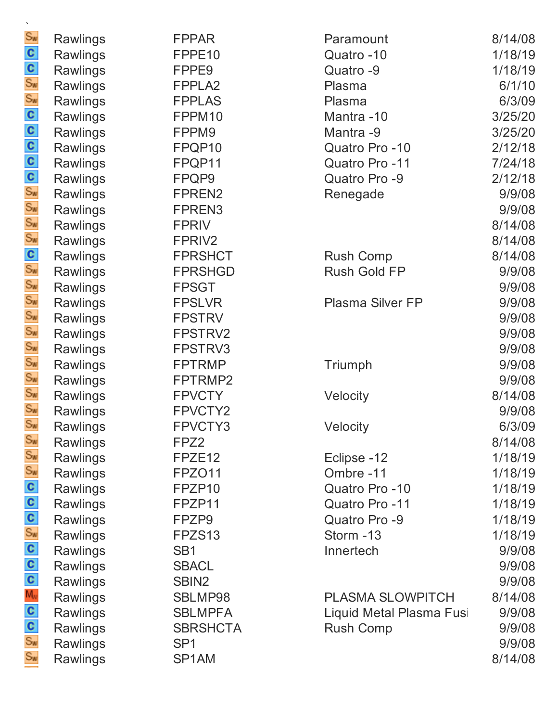| Rawlings        | <b>FPPAR</b>       |
|-----------------|--------------------|
| <b>Rawlings</b> | FPPE10             |
| Rawlings        | FPPE9              |
| Rawlings        | FPPLA <sub>2</sub> |
| Rawlings        | <b>FPPLAS</b>      |
| Rawlings        | FPPM10             |
| Rawlings        | FPPM9              |
| Rawlings        | FPQP10             |
| Rawlings        | FPQP11             |
| Rawlings        | FPQP9              |
| Rawlings        | FPREN2             |
| <b>Rawlings</b> | FPREN3             |
| Rawlings        | <b>FPRIV</b>       |
| Rawlings        | FPRIV2             |
| Rawlings        | <b>FPRSHCT</b>     |
| Rawlings        | <b>FPRSHGD</b>     |
| Rawlings        | FPSGT              |
| Rawlings        | <b>FPSLVR</b>      |
| Rawlings        | <b>FPSTRV</b>      |
| Rawlings        | FPSTRV2            |
| Rawlings        | FPSTRV3            |
| Rawlings        | <b>FPTRMP</b>      |
| Rawlings        | FPTRMP2            |
| <b>Rawlings</b> | <b>FPVCTY</b>      |
| Rawlings        | FPVCTY2            |
| <b>Rawlings</b> | FPVCTY3            |
| Rawlings        | FPZ2               |
| Rawlings        | FPZE12             |
| Rawlings        | FPZO11             |
| Rawlings        | FPZP10             |
| Rawlings        | FPZP11             |
| Rawlings        | FPZP9              |
| Rawlings        | FPZS13             |
| Rawlings        | SB <sub>1</sub>    |
| Rawlings        | <b>SBACL</b>       |
| Rawlings        | SBIN <sub>2</sub>  |
| Rawlings        | SBLMP98            |
| Rawlings        | <b>SBLMPFA</b>     |
| Rawlings        | <b>SBRSHCT</b>     |
| Rawlings        | SP <sub>1</sub>    |
| Rawlings        | SP1AM              |

| <b>FPPAR</b>       | Paramount                | 8/14/08 |
|--------------------|--------------------------|---------|
| FPPE <sub>10</sub> | Quatro-10                | 1/18/19 |
| FPPE <sub>9</sub>  | Quatro -9                | 1/18/19 |
| FPPLA <sub>2</sub> | Plasma                   | 6/1/10  |
| <b>FPPLAS</b>      | Plasma                   | 6/3/09  |
| FPPM10             | Mantra -10               | 3/25/20 |
| FPPM9              | Mantra -9                | 3/25/20 |
| FPQP10             | Quatro Pro -10           | 2/12/18 |
| FPQP11             | Quatro Pro -11           | 7/24/18 |
| FPQP9              | Quatro Pro -9            | 2/12/18 |
| FPREN2             | Renegade                 | 9/9/08  |
| FPREN3             |                          | 9/9/08  |
| <b>FPRIV</b>       |                          | 8/14/08 |
| FPRIV <sub>2</sub> |                          | 8/14/08 |
| <b>FPRSHCT</b>     | <b>Rush Comp</b>         | 8/14/08 |
| <b>FPRSHGD</b>     | <b>Rush Gold FP</b>      | 9/9/08  |
| <b>FPSGT</b>       |                          | 9/9/08  |
| <b>FPSLVR</b>      | <b>Plasma Silver FP</b>  | 9/9/08  |
| <b>FPSTRV</b>      |                          | 9/9/08  |
| FPSTRV2            |                          | 9/9/08  |
| FPSTRV3            |                          | 9/9/08  |
| <b>FPTRMP</b>      | Triumph                  | 9/9/08  |
| FPTRMP2            |                          | 9/9/08  |
| <b>FPVCTY</b>      | Velocity                 | 8/14/08 |
| FPVCTY2            |                          | 9/9/08  |
| FPVCTY3            | Velocity                 | 6/3/09  |
| FPZ2               |                          | 8/14/08 |
| FPZE <sub>12</sub> | Eclipse -12              | 1/18/19 |
| FPZO11             | Ombre-11                 | 1/18/19 |
| FPZP10             | Quatro Pro -10           | 1/18/19 |
| FPZP11             | Quatro Pro -11           | 1/18/19 |
| FPZP9              | Quatro Pro -9            | 1/18/19 |
| FPZS <sub>13</sub> | Storm -13                | 1/18/19 |
| SB <sub>1</sub>    | Innertech                | 9/9/08  |
| <b>SBACL</b>       |                          | 9/9/08  |
| SBIN <sub>2</sub>  |                          | 9/9/08  |
| SBLMP98            | <b>PLASMA SLOWPITCH</b>  | 8/14/08 |
| <b>SBLMPFA</b>     | Liquid Metal Plasma Fusi | 9/9/08  |
| <b>SBRSHCTA</b>    | <b>Rush Comp</b>         | 9/9/08  |
| SP <sub>1</sub>    |                          | 9/9/08  |
| SP <sub>1</sub> AM |                          | 8/14/08 |
|                    |                          |         |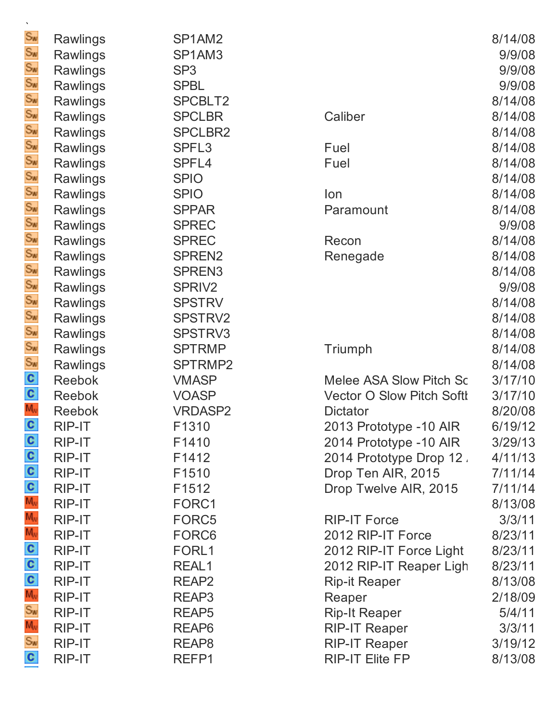| $\cdot$        |                 |                    |
|----------------|-----------------|--------------------|
| $S_{\text{W}}$ | Rawlings        | SP1AM2             |
| $S_{\text{W}}$ | Rawlings        | SP1AM3             |
| $S_{\text{W}}$ | Rawlings        | SP <sub>3</sub>    |
| $S_{\text{W}}$ | Rawlings        | <b>SPBL</b>        |
| $S_{\text{W}}$ | Rawlings        | SPCBLT2            |
| $S_{\text{W}}$ | Rawlings        | <b>SPCLBR</b>      |
| $S_{\text{M}}$ | Rawlings        | <b>SPCLBR2</b>     |
| $S_{W}$        | <b>Rawlings</b> | SPFL3              |
| $S_{\text{W}}$ | Rawlings        | SPFL4              |
| $S_{\text{W}}$ | Rawlings        | <b>SPIO</b>        |
| $S_{\text{W}}$ | Rawlings        | <b>SPIO</b>        |
| $S_{\text{W}}$ | Rawlings        | <b>SPPAR</b>       |
| $S_{\text{W}}$ | <b>Rawlings</b> | <b>SPREC</b>       |
| $S_{\text{W}}$ | <b>Rawlings</b> | <b>SPREC</b>       |
| $S_{\text{W}}$ | Rawlings        | SPREN2             |
| $S_{\text{W}}$ | <b>Rawlings</b> | SPREN <sub>3</sub> |
| $S_{\text{W}}$ | Rawlings        | SPRIV <sub>2</sub> |
| $S_{\text{W}}$ | Rawlings        | <b>SPSTRV</b>      |
| $S_{\text{M}}$ | Rawlings        | <b>SPSTRV2</b>     |
| $S_{\text{W}}$ | <b>Rawlings</b> | SPSTRV3            |
| $S_{\text{W}}$ | <b>Rawlings</b> | <b>SPTRMP</b>      |
| $S_{\text{W}}$ | Rawlings        | SPTRMP2            |
| $\mathbf{c}$   | <b>Reebok</b>   | <b>VMASP</b>       |
| $\mathbf{c}$   | <b>Reebok</b>   | <b>VOASP</b>       |
| $M_{\rm W}$    | Reebok          | <b>VRDASP2</b>     |
| $\mathbf c$    | RIP-IT          | F <sub>1310</sub>  |
| C              | <b>RIP-IT</b>   | F1410              |
| $\mathbf{c}$   | <b>RIP-IT</b>   | F1412              |
| $\mathbf{c}$   | RIP-IT          | F1510              |
| $\mathbf{c}$   | RIP-IT          | F1512              |
| $M_{\rm W}$    | RIP-IT          | FORC1              |
| $M_{\rm W}$    | RIP-IT          | FORC5              |
| $M_{\rm W}$    | RIP-IT          | FORC6              |
| $\mathbf{c}$   | RIP-IT          | FORL1              |
| $\mathbf{c}$   | RIP-IT          | REAL1              |
| $\mathbf{c}$   | RIP-IT          | REAP <sub>2</sub>  |
| $M_{\rm W}$    | RIP-IT          | REAP3              |
| $S_{\text{W}}$ | RIP-IT          | REAP5              |
| $M_{\rm W}$    | RIP-IT          | REAP <sub>6</sub>  |
| $S_{\text{W}}$ | RIP-IT          | REAP <sub>8</sub>  |
| $\mathbf{c}$   | <b>RIP-IT</b>   | REFP1              |

| <b>Rawlings</b> | SP1AM2             |                                  | 8/14/08 |
|-----------------|--------------------|----------------------------------|---------|
| Rawlings        | SP1AM3             |                                  | 9/9/08  |
| <b>Rawlings</b> | SP <sub>3</sub>    |                                  | 9/9/08  |
| Rawlings        | <b>SPBL</b>        |                                  | 9/9/08  |
| <b>Rawlings</b> | SPCBLT2            |                                  | 8/14/08 |
| <b>Rawlings</b> | <b>SPCLBR</b>      | Caliber                          | 8/14/08 |
| Rawlings        | <b>SPCLBR2</b>     |                                  | 8/14/08 |
| Rawlings        | SPFL <sub>3</sub>  | Fuel                             | 8/14/08 |
| <b>Rawlings</b> | SPFL4              | Fuel                             | 8/14/08 |
| <b>Rawlings</b> | <b>SPIO</b>        |                                  | 8/14/08 |
| Rawlings        | <b>SPIO</b>        | lon                              | 8/14/08 |
| Rawlings        | <b>SPPAR</b>       | Paramount                        | 8/14/08 |
| Rawlings        | <b>SPREC</b>       |                                  | 9/9/08  |
| Rawlings        | <b>SPREC</b>       | Recon                            | 8/14/08 |
| <b>Rawlings</b> | SPREN <sub>2</sub> | Renegade                         | 8/14/08 |
| Rawlings        | SPREN <sub>3</sub> |                                  | 8/14/08 |
| Rawlings        | SPRIV <sub>2</sub> |                                  | 9/9/08  |
| <b>Rawlings</b> | <b>SPSTRV</b>      |                                  | 8/14/08 |
| Rawlings        | SPSTRV2            |                                  | 8/14/08 |
| Rawlings        | SPSTRV3            |                                  | 8/14/08 |
| <b>Rawlings</b> | <b>SPTRMP</b>      | Triumph                          | 8/14/08 |
| Rawlings        | SPTRMP2            |                                  | 8/14/08 |
| <b>Reebok</b>   | <b>VMASP</b>       | Melee ASA Slow Pitch Sc          | 3/17/10 |
| <b>Reebok</b>   | <b>VOASP</b>       | <b>Vector O Slow Pitch Softl</b> | 3/17/10 |
| <b>Reebok</b>   | <b>VRDASP2</b>     | <b>Dictator</b>                  | 8/20/08 |
| RIP-IT          | F1310              | 2013 Prototype -10 AIR           | 6/19/12 |
| RIP-IT          | F1410              | 2014 Prototype -10 AIR           | 3/29/13 |
| RIP-IT          | F1412              | 2014 Prototype Drop 12.          | 4/11/13 |
| RIP-IT          | F1510              | Drop Ten AIR, 2015               | 7/11/14 |
| <b>RIP-IT</b>   | F1512              | Drop Twelve AIR, 2015            | 7/11/14 |
| RIP-IT          | FORC1              |                                  | 8/13/08 |
| RIP-IT          | FORC5              | <b>RIP-IT Force</b>              | 3/3/11  |
| RIP-IT          | FORC6              | 2012 RIP-IT Force                | 8/23/11 |
| RIP-IT          | FORL1              | 2012 RIP-IT Force Light          | 8/23/11 |
| <b>RIP-IT</b>   | REAL1              | 2012 RIP-IT Reaper Ligh          | 8/23/11 |
| RIP-IT          | REAP <sub>2</sub>  | <b>Rip-it Reaper</b>             | 8/13/08 |
| RIP-IT          | REAP3              | Reaper                           | 2/18/09 |
| RIP-IT          | REAP <sub>5</sub>  | <b>Rip-It Reaper</b>             | 5/4/11  |
| RIP-IT          | REAP <sub>6</sub>  | <b>RIP-IT Reaper</b>             | 3/3/11  |
| RIP-IT          | REAP <sub>8</sub>  | <b>RIP-IT Reaper</b>             | 3/19/12 |
| RIP-IT          | REFP1              | <b>RIP-IT Elite FP</b>           | 8/13/08 |
|                 |                    |                                  |         |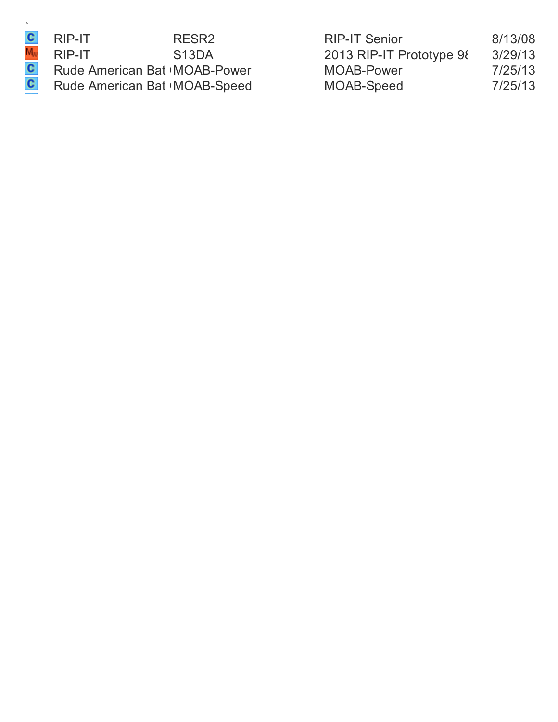RIP-IT RESR2<br>RIP-IT S13DA Rude American Bat MOAB-Power Rude American Bat | MOAB-Speed

| RIP-IT                        | RESR <sub>2</sub>  | <b>RIP-IT Senior</b>     | 8/13/08 |
|-------------------------------|--------------------|--------------------------|---------|
| RIP-IT                        | S <sub>13</sub> DA | 2013 RIP-IT Prototype 98 | 3/29/13 |
| Rude American Bat IMOAB-Power |                    | MOAB-Power               | 7/25/13 |
| Rude American Bat IMOAB-Speed |                    | MOAB-Speed               | 7/25/13 |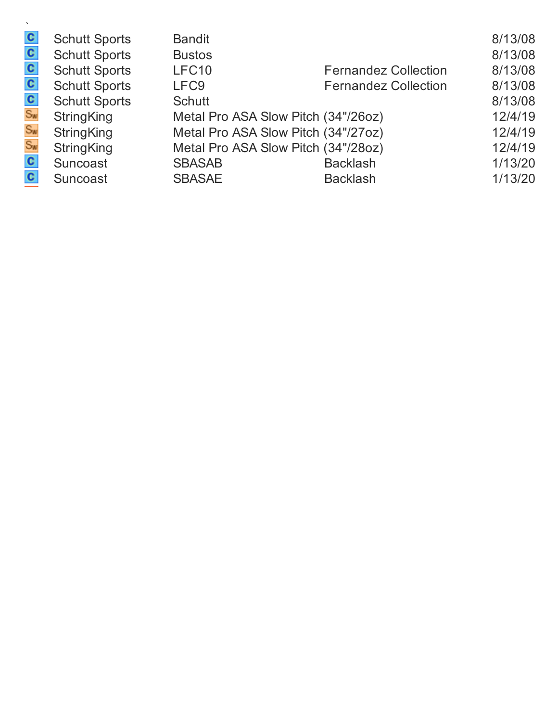| $\mathbf{c}$   | <b>Schutt Sports</b> | <b>Bandit</b>                       |                             | 8/13/08 |
|----------------|----------------------|-------------------------------------|-----------------------------|---------|
| $\mathbf{c}$   | <b>Schutt Sports</b> | <b>Bustos</b>                       |                             | 8/13/08 |
| $\mathbf{c}$   | <b>Schutt Sports</b> | LFC10                               | <b>Fernandez Collection</b> | 8/13/08 |
| $\mathbf{c}$   | <b>Schutt Sports</b> | LFC <sub>9</sub>                    | <b>Fernandez Collection</b> | 8/13/08 |
| $\mathbf{c}$   | <b>Schutt Sports</b> | <b>Schutt</b>                       |                             | 8/13/08 |
| $S_{\text{W}}$ | <b>StringKing</b>    | Metal Pro ASA Slow Pitch (34"/26oz) |                             | 12/4/19 |
| $S_{W}$        | <b>StringKing</b>    | Metal Pro ASA Slow Pitch (34"/27oz) |                             | 12/4/19 |
| $S_{\text{W}}$ | <b>StringKing</b>    | Metal Pro ASA Slow Pitch (34"/28oz) |                             | 12/4/19 |
| $\mathbf{c}$   | Suncoast             | <b>SBASAB</b>                       | <b>Backlash</b>             | 1/13/20 |
| $\mathbf{c}$   | Suncoast             | <b>SBASAE</b>                       | <b>Backlash</b>             | 1/13/20 |
|                |                      |                                     |                             |         |

**T**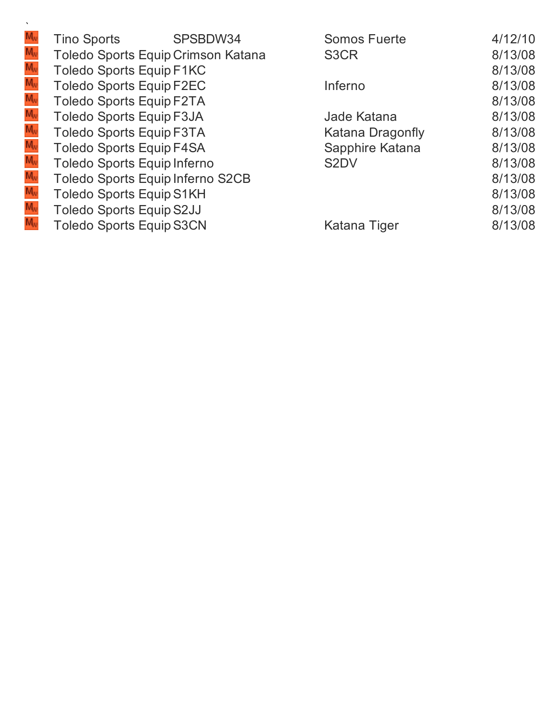|                                                          | <b>Tino Sports</b>                 | SPSBDW34 | <b>Somos Fuerte</b> | 4/12/10 |
|----------------------------------------------------------|------------------------------------|----------|---------------------|---------|
| M,                                                       | Toledo Sports Equip Crimson Katana |          | S <sub>3</sub> CR   | 8/13/08 |
|                                                          | <b>Toledo Sports Equip F1KC</b>    |          |                     | 8/13/08 |
| Mw<br>Mw<br>Mw                                           | <b>Toledo Sports Equip F2EC</b>    |          | Inferno             | 8/13/08 |
|                                                          | <b>Toledo Sports Equip F2TA</b>    |          |                     | 8/13/08 |
| $M_{\rm w}$<br>$M_{\rm w}$<br>$M_{\rm w}$<br>$M_{\rm w}$ | <b>Toledo Sports Equip F3JA</b>    |          | Jade Katana         | 8/13/08 |
|                                                          | <b>Toledo Sports Equip F3TA</b>    |          | Katana Dragonfly    | 8/13/08 |
|                                                          | <b>Toledo Sports Equip F4SA</b>    |          | Sapphire Katana     | 8/13/08 |
|                                                          | Toledo Sports Equip Inferno        |          | S <sub>2</sub> DV   | 8/13/08 |
|                                                          | Toledo Sports Equip Inferno S2CB   |          |                     | 8/13/08 |
|                                                          | <b>Toledo Sports Equip S1KH</b>    |          |                     | 8/13/08 |
| M <sub>v</sub><br>M <sub>v</sub><br>M <sub>v</sub>       | <b>Toledo Sports Equip S2JJ</b>    |          |                     | 8/13/08 |
|                                                          | <b>Toledo Sports Equip S3CN</b>    |          | Katana Tiger        | 8/13/08 |
|                                                          |                                    |          |                     |         |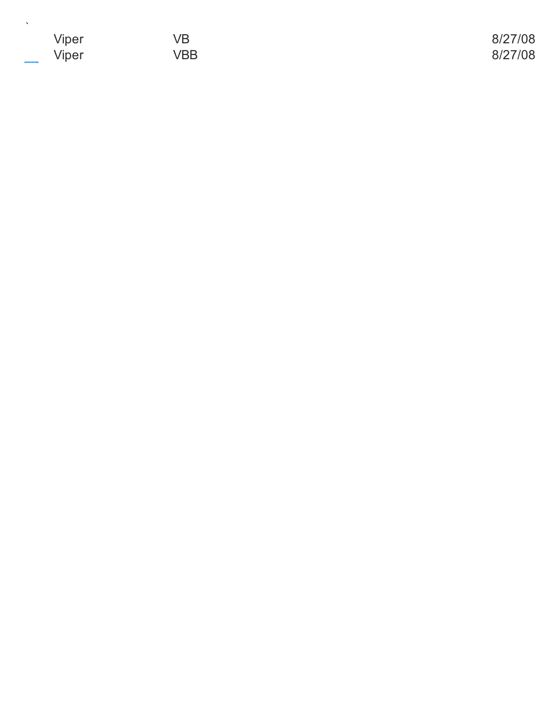| Viper                             | VB  | 8/27/08 |
|-----------------------------------|-----|---------|
| Viper<br>$\overline{\phantom{a}}$ | VBB | 8/27/08 |

`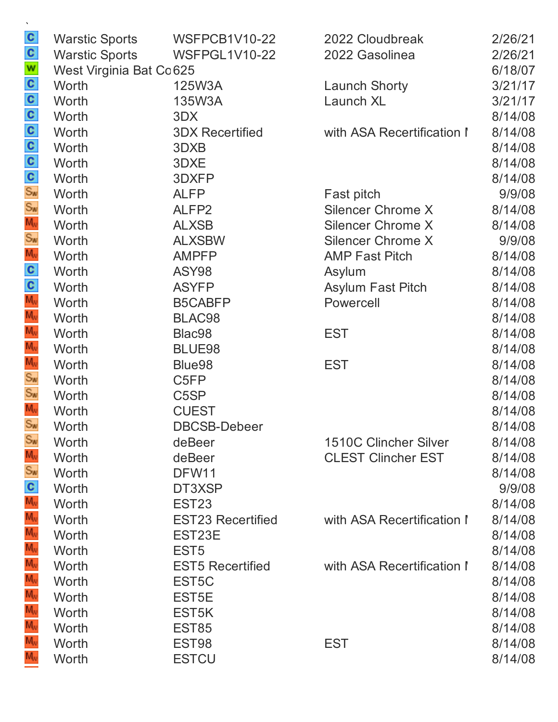| $\mathbf{c}$    | <b>Warstic Sports</b>    | <b>WSFPCB1V10-22</b>     | 2022 Cloudbreak              | 2/26/21 |
|-----------------|--------------------------|--------------------------|------------------------------|---------|
| $\mathbf{c}$    | <b>Warstic Sports</b>    | <b>WSFPGL1V10-22</b>     | 2022 Gasolinea               | 2/26/21 |
| W               | West Virginia Bat Co 625 |                          |                              | 6/18/07 |
| $\frac{c}{c}$   | Worth                    | 125W3A                   | <b>Launch Shorty</b>         | 3/21/17 |
|                 | Worth                    | 135W3A                   | Launch XL                    | 3/21/17 |
| $\mathbf{c}$    | Worth                    | 3DX                      |                              | 8/14/08 |
| C               | Worth                    | <b>3DX Recertified</b>   | with ASA Recertification I   | 8/14/08 |
| $\mathbf{c}$    | Worth                    | 3DXB                     |                              | 8/14/08 |
|                 | Worth                    | 3DXE                     |                              | 8/14/08 |
| $\frac{c}{s_w}$ | Worth                    | 3DXFP                    |                              | 8/14/08 |
|                 | Worth                    | <b>ALFP</b>              | Fast pitch                   | 9/9/08  |
| $S_{w}$         | Worth                    | ALFP <sub>2</sub>        | <b>Silencer Chrome X</b>     | 8/14/08 |
| $M_{\nu}$       | Worth                    | <b>ALXSB</b>             | <b>Silencer Chrome X</b>     | 8/14/08 |
| $S_{\text{W}}$  | Worth                    | <b>ALXSBW</b>            | <b>Silencer Chrome X</b>     | 9/9/08  |
| $M_{\nu}$       | Worth                    | <b>AMPFP</b>             | <b>AMP Fast Pitch</b>        | 8/14/08 |
| C               | Worth                    | ASY98                    | Asylum                       | 8/14/08 |
| $\mathbf{c}$    | Worth                    | <b>ASYFP</b>             | <b>Asylum Fast Pitch</b>     | 8/14/08 |
| $M_{\nu}$       | Worth                    | <b>B5CABFP</b>           | Powercell                    | 8/14/08 |
| $M_{\nu}$       | Worth                    | BLAC98                   |                              | 8/14/08 |
| $M_{\nu}$       | Worth                    | Blac98                   | <b>EST</b>                   | 8/14/08 |
| $M_{\nu}$       | Worth                    | BLUE98                   |                              | 8/14/08 |
| $M_{\rm W}$     | Worth                    | Blue98                   | <b>EST</b>                   | 8/14/08 |
| $S_{\text{W}}$  | Worth                    | C <sub>5FP</sub>         |                              | 8/14/08 |
| $S_{w}$         | Worth                    | C <sub>5</sub> SP        |                              | 8/14/08 |
| $M_{\nu}$       | Worth                    | <b>CUEST</b>             |                              | 8/14/08 |
| $S_{\text{W}}$  | Worth                    | <b>DBCSB-Debeer</b>      |                              | 8/14/08 |
| $S_{w}$         | Worth                    | deBeer                   | <b>1510C Clincher Silver</b> | 8/14/08 |
| $M_{N}$         | Worth                    | deBeer                   | <b>CLEST Clincher EST</b>    | 8/14/08 |
| $S_{\text{W}}$  | Worth                    | DFW11                    |                              | 8/14/08 |
| $\mathbf{c}$    | Worth                    | DT3XSP                   |                              | 9/9/08  |
| $M_{\nu}$       | Worth                    | EST <sub>23</sub>        |                              | 8/14/08 |
| $M_{\nu}$       | Worth                    | <b>EST23 Recertified</b> | with ASA Recertification I   | 8/14/08 |
| $M_{\nu}$       | Worth                    | EST23E                   |                              | 8/14/08 |
| $M_{N}$         | Worth                    | EST <sub>5</sub>         |                              | 8/14/08 |
| $M_{\rm v}$     | Worth                    | <b>EST5 Recertified</b>  | with ASA Recertification I   | 8/14/08 |
| $M_{\rm W}$     | Worth                    | EST <sub>5</sub> C       |                              | 8/14/08 |
| $M_{N}$         | Worth                    | EST <sub>5</sub> E       |                              | 8/14/08 |
| $M_{\rm W}$     | Worth                    | EST <sub>5</sub> K       |                              | 8/14/08 |
| $M_{\nu}$       | Worth                    | EST85                    |                              | 8/14/08 |
| $M_{N}$         | Worth                    | EST <sub>98</sub>        | <b>EST</b>                   | 8/14/08 |
| $M_{\rm w}$     | Worth                    | <b>ESTCU</b>             |                              | 8/14/08 |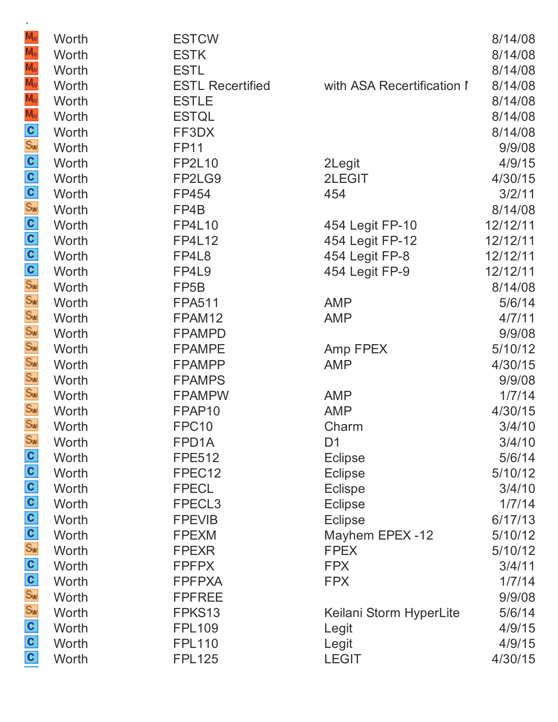| M <sub>w</sub>                              | Worth | <b>ESTCW</b>            |                            | 8/14/08  |
|---------------------------------------------|-------|-------------------------|----------------------------|----------|
| M <sub>v</sub>                              | Worth | <b>ESTK</b>             |                            | 8/14/08  |
| $\frac{M_w}{M_w}$                           | Worth | <b>ESTL</b>             |                            | 8/14/08  |
|                                             | Worth | <b>ESTL Recertified</b> | with ASA Recertification I | 8/14/08  |
| $\frac{1}{M_v}$                             | Worth | <b>ESTLE</b>            |                            | 8/14/08  |
|                                             | Worth | <b>ESTQL</b>            |                            | 8/14/08  |
|                                             | Worth | FF3DX                   |                            | 8/14/08  |
|                                             | Worth | <b>FP11</b>             |                            | 9/9/08   |
|                                             | Worth | <b>FP2L10</b>           | 2Legit                     | 4/9/15   |
|                                             | Worth | FP2LG9                  | 2LEGIT                     | 4/30/15  |
|                                             | Worth | FP454                   | 454                        | 3/2/11   |
|                                             | Worth | FP4B                    |                            | 8/14/08  |
|                                             | Worth | <b>FP4L10</b>           | 454 Legit FP-10            | 12/12/11 |
|                                             | Worth | <b>FP4L12</b>           | 454 Legit FP-12            | 12/12/11 |
|                                             | Worth | FP4L8                   | 454 Legit FP-8             | 12/12/11 |
|                                             | Worth | FP4L9                   | 454 Legit FP-9             | 12/12/11 |
|                                             | Worth | FP <sub>5</sub> B       |                            | 8/14/08  |
|                                             | Worth | <b>FPA511</b>           | <b>AMP</b>                 | 5/6/14   |
|                                             | Worth | FPAM12                  | <b>AMP</b>                 | 4/7/11   |
|                                             | Worth | <b>FPAMPD</b>           |                            | 9/9/08   |
| နံ ပါတီ ပါပါပါတီ တို့ ပါပါပါ တို့ တို့ ပါပါ | Worth | <b>FPAMPE</b>           | Amp FPEX                   | 5/10/12  |
|                                             | Worth | <b>FPAMPP</b>           | <b>AMP</b>                 | 4/30/15  |
|                                             | Worth | <b>FPAMPS</b>           |                            | 9/9/08   |
|                                             | Worth | <b>FPAMPW</b>           | <b>AMP</b>                 | 1/7/14   |
|                                             | Worth | FPAP10                  | <b>AMP</b>                 | 4/30/15  |
| Sw                                          | Worth | FPC <sub>10</sub>       | Charm                      | 3/4/10   |
| Sw                                          | Worth | FPD1A                   | D <sub>1</sub>             | 3/4/10   |
| $\frac{5}{2}$ o o o o o                     | Worth | <b>FPE512</b>           | <b>Eclipse</b>             | 5/6/14   |
|                                             | Worth | FPEC12                  | <b>Eclipse</b>             | 5/10/12  |
|                                             | Worth | <b>FPECL</b>            | <b>Eclispe</b>             | 3/4/10   |
|                                             | Worth | FPECL <sub>3</sub>      | <b>Eclipse</b>             | 1/7/14   |
|                                             | Worth | <b>FPEVIB</b>           | <b>Eclipse</b>             | 6/17/13  |
|                                             | Worth | <b>FPEXM</b>            | Mayhem EPEX-12             | 5/10/12  |
|                                             | Worth | <b>FPEXR</b>            | <b>FPEX</b>                | 5/10/12  |
|                                             | Worth | <b>FPFPX</b>            | <b>FPX</b>                 | 3/4/11   |
|                                             | Worth | <b>FPFPXA</b>           | <b>FPX</b>                 | 1/7/14   |
| ဂ <mark>ဂ ဇွ ဖွ ဂ ဂ</mark>                  | Worth | <b>FPFREE</b>           |                            | 9/9/08   |
|                                             | Worth | FPKS13                  | Keilani Storm HyperLite    | 5/6/14   |
|                                             | Worth | <b>FPL109</b>           | Legit                      | 4/9/15   |
|                                             | Worth | <b>FPL110</b>           | Legit                      | 4/9/15   |
|                                             | Worth | <b>FPL125</b>           | <b>LEGIT</b>               | 4/30/15  |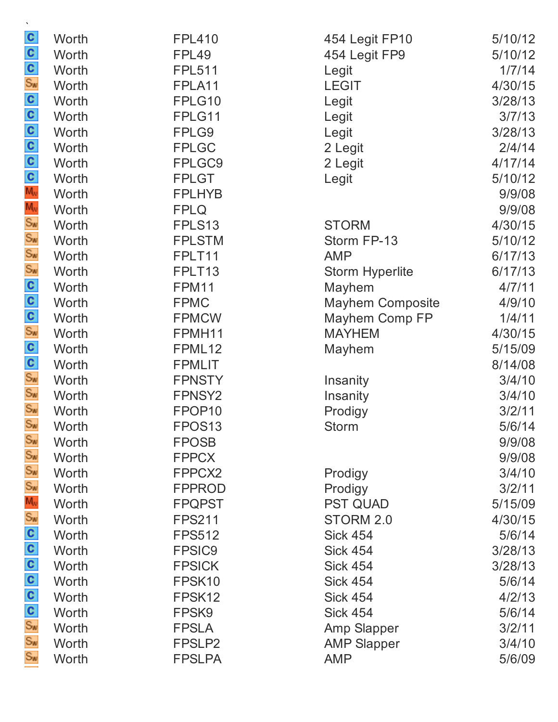| C                           | Worth | <b>FPL410</b>      | 454 Legit FP10          | 5/10/12 |
|-----------------------------|-------|--------------------|-------------------------|---------|
| $\frac{c}{s_{\sf w}}$       | Worth | FPL49              | 454 Legit FP9           | 5/10/12 |
|                             | Worth | <b>FPL511</b>      | Legit                   | 1/7/14  |
|                             | Worth | FPLA11             | <b>LEGIT</b>            | 4/30/15 |
| လပြပြပြင်း နိုင်ငံကို အကြီး | Worth | FPLG10             | Legit                   | 3/28/13 |
|                             | Worth | FPLG11             | Legit                   | 3/7/13  |
|                             | Worth | FPLG9              | Legit                   | 3/28/13 |
|                             | Worth | <b>FPLGC</b>       | 2 Legit                 | 2/4/14  |
|                             | Worth | FPLGC9             | 2 Legit                 | 4/17/14 |
|                             | Worth | <b>FPLGT</b>       | Legit                   | 5/10/12 |
|                             | Worth | <b>FPLHYB</b>      |                         | 9/9/08  |
|                             | Worth | <b>FPLQ</b>        |                         | 9/9/08  |
|                             | Worth | FPLS13             | <b>STORM</b>            | 4/30/15 |
|                             | Worth | <b>FPLSTM</b>      | Storm FP-13             | 5/10/12 |
|                             | Worth | FPLT11             | <b>AMP</b>              | 6/17/13 |
|                             | Worth | FPLT13             | <b>Storm Hyperlite</b>  | 6/17/13 |
|                             | Worth | FPM11              | Mayhem                  | 4/7/11  |
|                             | Worth | <b>FPMC</b>        | <b>Mayhem Composite</b> | 4/9/10  |
|                             | Worth | <b>FPMCW</b>       | Mayhem Comp FP          | 1/4/11  |
|                             | Worth | FPMH11             | <b>MAYHEM</b>           | 4/30/15 |
| လို ေလြး ေလြး ေလ            | Worth | FPML12             | Mayhem                  | 5/15/09 |
|                             | Worth | <b>FPMLIT</b>      |                         | 8/14/08 |
|                             | Worth | <b>FPNSTY</b>      | Insanity                | 3/4/10  |
|                             | Worth | FPNSY <sub>2</sub> | Insanity                | 3/4/10  |
|                             | Worth | FPOP <sub>10</sub> | Prodigy                 | 3/2/11  |
| $S_{W}$                     | Worth | FPOS <sub>13</sub> | <b>Storm</b>            | 5/6/14  |
| $S_{\text{W}}$              | Worth | <b>FPOSB</b>       |                         | 9/9/08  |
| Sw                          | Worth | <b>FPPCX</b>       |                         | 9/9/08  |
| Sw                          | Worth | FPPCX2             | Prodigy                 | 3/4/10  |
| Sw<br>Mu<br>Sw              | Worth | <b>FPPROD</b>      | Prodigy                 | 3/2/11  |
|                             | Worth | <b>FPQPST</b>      | <b>PST QUAD</b>         | 5/15/09 |
|                             | Worth | <b>FPS211</b>      | STORM 2.0               | 4/30/15 |
|                             | Worth | <b>FPS512</b>      | <b>Sick 454</b>         | 5/6/14  |
|                             | Worth | <b>FPSIC9</b>      | <b>Sick 454</b>         | 3/28/13 |
|                             | Worth | <b>FPSICK</b>      | <b>Sick 454</b>         | 3/28/13 |
|                             | Worth | FPSK10             | <b>Sick 454</b>         | 5/6/14  |
| စ် ပ ပ ပ ပ <mark>နဲ</mark>  | Worth | FPSK12             | <b>Sick 454</b>         | 4/2/13  |
|                             | Worth | FPSK9              | <b>Sick 454</b>         | 5/6/14  |
|                             | Worth | <b>FPSLA</b>       | <b>Amp Slapper</b>      | 3/2/11  |
|                             | Worth | FPSLP2             | <b>AMP Slapper</b>      | 3/4/10  |
| $S_{w}$                     | Worth | <b>FPSLPA</b>      | <b>AMP</b>              | 5/6/09  |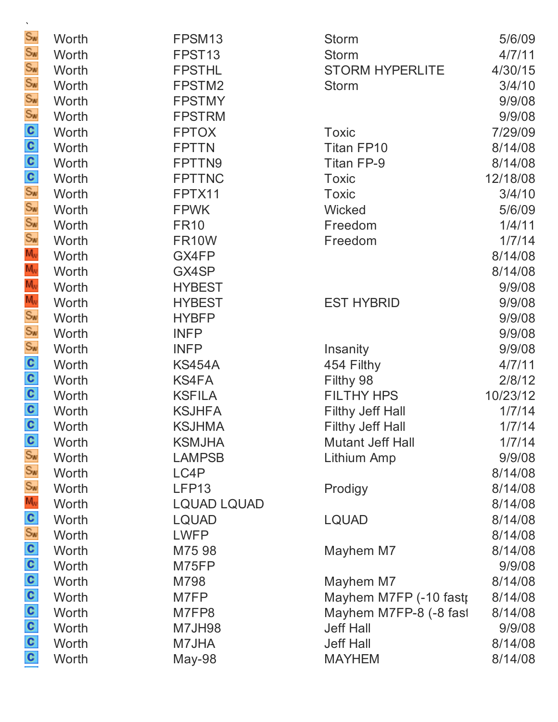| $\mathbf{v}$                        |       |                    |                         |          |
|-------------------------------------|-------|--------------------|-------------------------|----------|
| Sw                                  | Worth | FPSM13             | <b>Storm</b>            | 5/6/09   |
| Sw                                  | Worth | FPST <sub>13</sub> | <b>Storm</b>            | 4/7/11   |
| Sw<br>Sw                            | Worth | <b>FPSTHL</b>      | <b>STORM HYPERLITE</b>  | 4/30/15  |
|                                     | Worth | FPSTM2             | <b>Storm</b>            | 3/4/10   |
|                                     | Worth | <b>FPSTMY</b>      |                         | 9/9/08   |
|                                     | Worth | <b>FPSTRM</b>      |                         | 9/9/08   |
|                                     | Worth | <b>FPTOX</b>       | <b>Toxic</b>            | 7/29/09  |
| ္တြင္း ျပင္းကို ေ                   | Worth | <b>FPTTN</b>       | <b>Titan FP10</b>       | 8/14/08  |
|                                     | Worth | FPTTN9             | Titan FP-9              | 8/14/08  |
|                                     | Worth | <b>FPTTNC</b>      | <b>Toxic</b>            | 12/18/08 |
|                                     | Worth | FPTX11             | <b>Toxic</b>            | 3/4/10   |
|                                     | Worth | <b>FPWK</b>        | Wicked                  | 5/6/09   |
|                                     | Worth | <b>FR10</b>        | Freedom                 | 1/4/11   |
|                                     | Worth | <b>FR10W</b>       | Freedom                 | 1/7/14   |
|                                     | Worth | GX4FP              |                         | 8/14/08  |
|                                     | Worth | GX4SP              |                         | 8/14/08  |
|                                     | Worth | <b>HYBEST</b>      |                         | 9/9/08   |
| Mw<br>Mw<br>Mw<br>Sw<br>Sw<br>Sw    | Worth | <b>HYBEST</b>      | <b>EST HYBRID</b>       | 9/9/08   |
|                                     | Worth | <b>HYBFP</b>       |                         | 9/9/08   |
|                                     | Worth | <b>INFP</b>        |                         | 9/9/08   |
|                                     | Worth | <b>INFP</b>        | Insanity                | 9/9/08   |
|                                     | Worth | <b>KS454A</b>      | 454 Filthy              | 4/7/11   |
| $\frac{1}{2}$ o $\frac{1}{2}$       | Worth | <b>KS4FA</b>       | Filthy 98               | 2/8/12   |
|                                     | Worth | <b>KSFILA</b>      | <b>FILTHY HPS</b>       | 10/23/12 |
|                                     | Worth | <b>KSJHFA</b>      | <b>Filthy Jeff Hall</b> | 1/7/14   |
|                                     | Worth | <b>KSJHMA</b>      | <b>Filthy Jeff Hall</b> | 1/7/14   |
|                                     | Worth | <b>KSMJHA</b>      | <b>Mutant Jeff Hall</b> | 1/7/14   |
|                                     | Worth | <b>LAMPSB</b>      | Lithium Amp             | 9/9/08   |
|                                     | Worth | LC4P               |                         | 8/14/08  |
|                                     | Worth | LFP13              | Prodigy                 | 8/14/08  |
|                                     | Worth | <b>LQUAD LQUAD</b> |                         | 8/14/08  |
|                                     | Worth | <b>LQUAD</b>       | <b>LQUAD</b>            | 8/14/08  |
|                                     | Worth | <b>LWFP</b>        |                         | 8/14/08  |
|                                     | Worth | M75 98             | Mayhem M7               | 8/14/08  |
|                                     | Worth | M75FP              |                         | 9/9/08   |
|                                     | Worth | M798               | Mayhem M7               | 8/14/08  |
| ပ္ ပါ ပါ ပါ ပါ ပါ ပါ ပါ ပါ ပါ ပါ ပါ | Worth | M7FP               | Mayhem M7FP (-10 fastr  | 8/14/08  |
|                                     | Worth | M7FP8              | Mayhem M7FP-8 (-8 fast  | 8/14/08  |
|                                     | Worth | <b>M7JH98</b>      | <b>Jeff Hall</b>        | 9/9/08   |
|                                     | Worth | M7JHA              | <b>Jeff Hall</b>        | 8/14/08  |
|                                     | Worth | May-98             | <b>MAYHEM</b>           | 8/14/08  |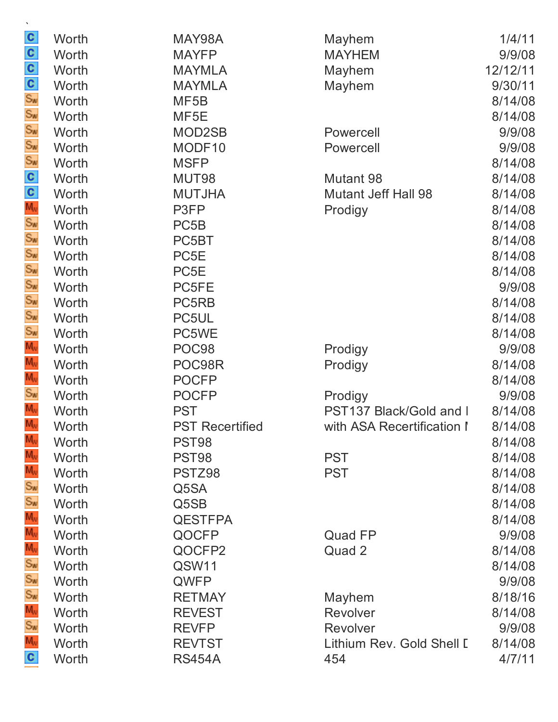| x                          |       |                        |                            |          |
|----------------------------|-------|------------------------|----------------------------|----------|
|                            | Worth | MAY98A                 | Mayhem                     | 1/4/11   |
| လိုင္လွပ္ဖွပ္တြင္း         | Worth | <b>MAYFP</b>           | <b>MAYHEM</b>              | 9/9/08   |
|                            | Worth | <b>MAYMLA</b>          | Mayhem                     | 12/12/11 |
|                            | Worth | <b>MAYMLA</b>          | Mayhem                     | 9/30/11  |
|                            | Worth | MF <sub>5</sub> B      |                            | 8/14/08  |
|                            | Worth | MF <sub>5E</sub>       |                            | 8/14/08  |
|                            | Worth | MOD2SB                 | Powercell                  | 9/9/08   |
|                            | Worth | MODF10                 | Powercell                  | 9/9/08   |
|                            | Worth | <b>MSFP</b>            |                            | 8/14/08  |
| တ္ မွာ မွာ မွာ <b>လ</b>    | Worth | MUT98                  | Mutant 98                  | 8/14/08  |
|                            | Worth | <b>MUTJHA</b>          | <b>Mutant Jeff Hall 98</b> | 8/14/08  |
|                            | Worth | P3FP                   | Prodigy                    | 8/14/08  |
|                            | Worth | PC <sub>5</sub> B      |                            | 8/14/08  |
|                            | Worth | PC5BT                  |                            | 8/14/08  |
|                            | Worth | PC5E                   |                            | 8/14/08  |
|                            | Worth | PC <sub>5</sub> E      |                            | 8/14/08  |
|                            | Worth | PC5FE                  |                            | 9/9/08   |
| Sw<br>Sw<br>Sw             | Worth | PC5RB                  |                            | 8/14/08  |
|                            | Worth | PC5UL                  |                            | 8/14/08  |
| Sw                         | Worth | PC5WE                  |                            | 8/14/08  |
| $M_{\rm W}$                | Worth | POC98                  | Prodigy                    | 9/9/08   |
| $\frac{1}{M_v}$            | Worth | POC98R                 | Prodigy                    | 8/14/08  |
| $M_{\rm v}$                | Worth | <b>POCFP</b>           |                            | 8/14/08  |
| $\frac{S_w}{M_w}$          | Worth | <b>POCFP</b>           | Prodigy                    | 9/9/08   |
| $\overline{M_{N}}$         | Worth | <b>PST</b>             | PST137 Black/Gold and I    | 8/14/08  |
|                            | Worth | <b>PST Recertified</b> | with ASA Recertification I | 8/14/08  |
| M,                         | Worth | PST98                  |                            | 8/14/08  |
| M,                         | Worth | PST98                  | <b>PST</b>                 | 8/14/08  |
| M,                         | Worth | PSTZ98                 | <b>PST</b>                 | 8/14/08  |
| Sw<br>Sw<br>M <sub>v</sub> | Worth | Q5SA                   |                            | 8/14/08  |
|                            | Worth | Q5SB                   |                            | 8/14/08  |
|                            | Worth | <b>QESTFPA</b>         |                            | 8/14/08  |
|                            | Worth | QOCFP                  | Quad FP                    | 9/9/08   |
|                            | Worth | QOCFP2                 | Quad 2                     | 8/14/08  |
|                            | Worth | QSW11                  |                            | 8/14/08  |
|                            | Worth | QWFP                   |                            | 9/9/08   |
|                            | Worth | <b>RETMAY</b>          | Mayhem                     | 8/18/16  |
|                            | Worth | <b>REVEST</b>          | Revolver                   | 8/14/08  |
| $M_{\rm W}$                | Worth | <b>REVFP</b>           | Revolver                   | 9/9/08   |
|                            | Worth | <b>REVTST</b>          | Lithium Rev. Gold Shell I  | 8/14/08  |
| c                          | Worth | <b>RS454A</b>          | 454                        | 4/7/11   |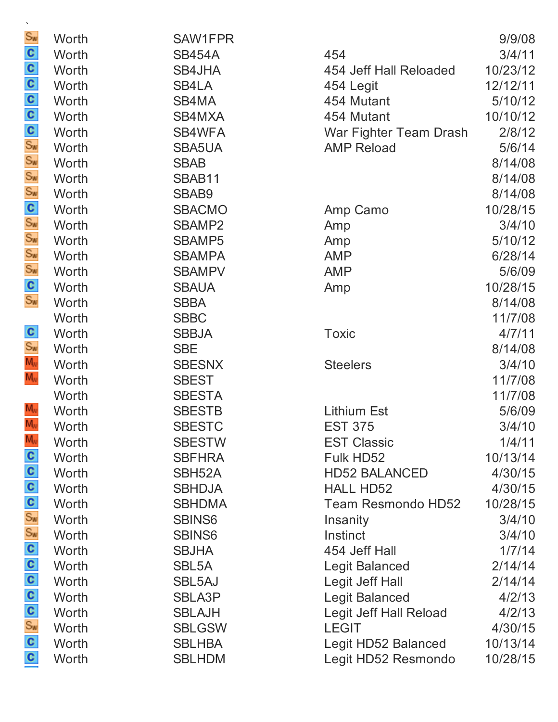| $S_{\text{W}}$                             | Worth | SAW1FPR             |                           | 9/9/08   |
|--------------------------------------------|-------|---------------------|---------------------------|----------|
| $\mathbf{c}$                               | Worth | <b>SB454A</b>       | 454                       | 3/4/11   |
| $\mathbf{c}$                               | Worth | SB4JHA              | 454 Jeff Hall Reloaded    | 10/23/12 |
|                                            | Worth | SB4LA               | 454 Legit                 | 12/12/11 |
|                                            | Worth | SB4MA               | 454 Mutant                | 5/10/12  |
|                                            | Worth | SB4MXA              | 454 Mutant                | 10/10/12 |
| $\frac{1}{20}$ o o o                       | Worth | SB4WFA              | War Fighter Team Drash    | 2/8/12   |
|                                            | Worth | SBA5UA              | <b>AMP Reload</b>         | 5/6/14   |
| $\frac{S_w}{S_w}$                          | Worth | <b>SBAB</b>         |                           | 8/14/08  |
|                                            | Worth | SBAB11              |                           | 8/14/08  |
| $S_{\text{W}}$                             | Worth | SBAB9               |                           | 8/14/08  |
| $rac{\mathbf{C}}{\mathbf{S}_{\mathbf{w}}}$ | Worth | <b>SBACMO</b>       | Amp Camo                  | 10/28/15 |
|                                            | Worth | SBAMP2              | Amp                       | 3/4/10   |
| $S_{\text{W}}$                             | Worth | <b>SBAMP5</b>       | Amp                       | 5/10/12  |
| $S_{\text{W}}$                             | Worth | <b>SBAMPA</b>       | <b>AMP</b>                | 6/28/14  |
| $S_{W}$                                    | Worth | <b>SBAMPV</b>       | <b>AMP</b>                | 5/6/09   |
| $rac{c}{s_w}$                              | Worth | <b>SBAUA</b>        | Amp                       | 10/28/15 |
|                                            | Worth | <b>SBBA</b>         |                           | 8/14/08  |
|                                            | Worth | <b>SBBC</b>         |                           | 11/7/08  |
|                                            | Worth | <b>SBBJA</b>        | <b>Toxic</b>              | 4/7/11   |
| $rac{\mathbf{C}}{\mathbf{S}_w}$            | Worth | <b>SBE</b>          |                           | 8/14/08  |
| $M_{\rm w}$                                | Worth | <b>SBESNX</b>       | <b>Steelers</b>           | 3/4/10   |
| $M_{\rm W}$                                | Worth | <b>SBEST</b>        |                           | 11/7/08  |
|                                            | Worth | <b>SBESTA</b>       |                           | 11/7/08  |
| $M_{\rm W}$                                | Worth | <b>SBESTB</b>       | <b>Lithium Est</b>        | 5/6/09   |
| $M_{\rm W}$                                | Worth | <b>SBESTC</b>       | <b>EST 375</b>            | 3/4/10   |
| $M_{\nu}$                                  | Worth | <b>SBESTW</b>       | <b>EST Classic</b>        | 1/4/11   |
| $\mathbf{c}$                               | Worth | <b>SBFHRA</b>       | Fulk HD52                 | 10/13/14 |
|                                            | Worth | SBH <sub>52</sub> A | <b>HD52 BALANCED</b>      | 4/30/15  |
| $\frac{c}{c}$                              | Worth | <b>SBHDJA</b>       | <b>HALL HD52</b>          | 4/30/15  |
| $\mathbf{c}$                               | Worth | <b>SBHDMA</b>       | <b>Team Resmondo HD52</b> | 10/28/15 |
| $S_{\text{W}}$                             | Worth | SBINS6              | Insanity                  | 3/4/10   |
| $S_{\text{W}}$                             | Worth | <b>SBINS6</b>       | Instinct                  | 3/4/10   |
| $\mathbf{c}$                               | Worth | <b>SBJHA</b>        | 454 Jeff Hall             | 1/7/14   |
| $\mathbf{c}$                               | Worth | SBL <sub>5</sub> A  | Legit Balanced            | 2/14/14  |
| $\mathbf{c}$                               | Worth | SBL5AJ              | Legit Jeff Hall           | 2/14/14  |
| $\mathbf{c}$                               | Worth | <b>SBLA3P</b>       | Legit Balanced            | 4/2/13   |
| $\mathbf{c}$                               | Worth | <b>SBLAJH</b>       | Legit Jeff Hall Reload    | 4/2/13   |
| $S_{\text{W}}$                             | Worth | <b>SBLGSW</b>       | <b>LEGIT</b>              | 4/30/15  |
| $\mathbf{c}$                               | Worth | <b>SBLHBA</b>       | Legit HD52 Balanced       | 10/13/14 |
| $\mathbf{c}$                               | Worth | <b>SBLHDM</b>       | Legit HD52 Resmondo       | 10/28/15 |
|                                            |       |                     |                           |          |

| Worth        | SAW1FPR             |                           | 9/9/08   |
|--------------|---------------------|---------------------------|----------|
| Worth        | <b>SB454A</b>       | 454                       | 3/4/11   |
| <b>Worth</b> | SB4JHA              | 454 Jeff Hall Reloaded    | 10/23/12 |
| Worth        | SB4LA               | 454 Legit                 | 12/12/11 |
| Worth        | SB4MA               | 454 Mutant                | 5/10/12  |
| Worth        | SB4MXA              | 454 Mutant                | 10/10/12 |
| Worth        | SB4WFA              | War Fighter Team Drash    | 2/8/12   |
| Worth        | SBA5UA              | <b>AMP Reload</b>         | 5/6/14   |
| Worth        | <b>SBAB</b>         |                           | 8/14/08  |
| Worth        | SBAB11              |                           | 8/14/08  |
| Worth        | SBAB9               |                           | 8/14/08  |
| Worth        | <b>SBACMO</b>       | Amp Camo                  | 10/28/15 |
| Worth        | SBAMP2              | Amp                       | 3/4/10   |
| Worth        | <b>SBAMP5</b>       | Amp                       | 5/10/12  |
| Worth        | <b>SBAMPA</b>       | <b>AMP</b>                | 6/28/14  |
| Worth        | <b>SBAMPV</b>       | <b>AMP</b>                | 5/6/09   |
| Worth        | <b>SBAUA</b>        | Amp                       | 10/28/15 |
| Worth        | <b>SBBA</b>         |                           | 8/14/08  |
| Worth        | <b>SBBC</b>         |                           | 11/7/08  |
| Worth        | <b>SBBJA</b>        | <b>Toxic</b>              | 4/7/11   |
| Worth        | <b>SBE</b>          |                           | 8/14/08  |
| Worth        | <b>SBESNX</b>       | <b>Steelers</b>           | 3/4/10   |
| Worth        | <b>SBEST</b>        |                           | 11/7/08  |
| Worth        | <b>SBESTA</b>       |                           | 11/7/08  |
| Worth        | <b>SBESTB</b>       | <b>Lithium Est</b>        | 5/6/09   |
| Worth        | <b>SBESTC</b>       | <b>EST 375</b>            | 3/4/10   |
| Worth        | <b>SBESTW</b>       | <b>EST Classic</b>        | 1/4/11   |
| Worth        | <b>SBFHRA</b>       | Fulk HD52                 | 10/13/14 |
| Worth        | SBH <sub>52</sub> A | <b>HD52 BALANCED</b>      | 4/30/15  |
| Worth        | <b>SBHDJA</b>       | <b>HALL HD52</b>          | 4/30/15  |
| Worth        | <b>SBHDMA</b>       | <b>Team Resmondo HD52</b> | 10/28/15 |
| Worth        | <b>SBINS6</b>       | Insanity                  | 3/4/10   |
| Worth        | <b>SBINS6</b>       | Instinct                  | 3/4/10   |
| Worth        | <b>SBJHA</b>        | 454 Jeff Hall             | 1/7/14   |
| Worth        | SBL <sub>5</sub> A  | <b>Legit Balanced</b>     | 2/14/14  |
| Worth        | SBL5AJ              | Legit Jeff Hall           | 2/14/14  |
| Worth        | <b>SBLA3P</b>       | <b>Legit Balanced</b>     | 4/2/13   |
| Worth        | <b>SBLAJH</b>       | Legit Jeff Hall Reload    | 4/2/13   |
| Worth        | <b>SBLGSW</b>       | <b>LEGIT</b>              | 4/30/15  |
| Worth        | <b>SBLHBA</b>       | Legit HD52 Balanced       | 10/13/14 |
| Worth        | <b>SBLHDM</b>       | Legit HD52 Resmondo       | 10/28/15 |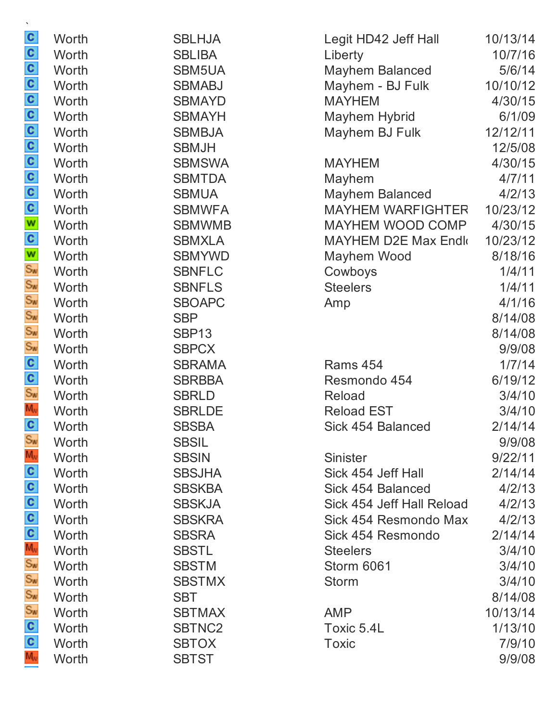| $\mathbf{c}$        | Worth | <b>SBLHJA</b>     | Legit HD42 Jeff Hall      | 10/13/14 |
|---------------------|-------|-------------------|---------------------------|----------|
| $\mathbf{c}$        | Worth | <b>SBLIBA</b>     | Liberty                   | 10/7/16  |
| $\mathbf{c}$        | Worth | SBM5UA            | Mayhem Balanced           | 5/6/14   |
| $\mathbf{c}$        | Worth | <b>SBMABJ</b>     | Mayhem - BJ Fulk          | 10/10/12 |
|                     | Worth | <b>SBMAYD</b>     | <b>MAYHEM</b>             | 4/30/15  |
| $\frac{1}{2}$       | Worth | <b>SBMAYH</b>     | <b>Mayhem Hybrid</b>      | 6/1/09   |
|                     | Worth | <b>SBMBJA</b>     | Mayhem BJ Fulk            | 12/12/11 |
|                     | Worth | <b>SBMJH</b>      |                           | 12/5/08  |
| $\mathbf{c}$        | Worth | <b>SBMSWA</b>     | <b>MAYHEM</b>             | 4/30/15  |
| $\mathbf{c}$        | Worth | <b>SBMTDA</b>     | Mayhem                    | 4/7/11   |
|                     | Worth | <b>SBMUA</b>      | <b>Mayhem Balanced</b>    | 4/2/13   |
| $\frac{c}{c}$       | Worth | <b>SBMWFA</b>     | <b>MAYHEM WARFIGHTER</b>  | 10/23/12 |
| W                   | Worth | <b>SBMWMB</b>     | MAYHEM WOOD COMP          | 4/30/15  |
| $\mathbf{c}$        | Worth | <b>SBMXLA</b>     | MAYHEM D2E Max Endk       | 10/23/12 |
| W                   | Worth | <b>SBMYWD</b>     | Mayhem Wood               | 8/18/16  |
| $S_{\text{W}}$      | Worth | <b>SBNFLC</b>     | Cowboys                   | 1/4/11   |
| $S_{\text{W}}$      | Worth | <b>SBNFLS</b>     | <b>Steelers</b>           | 1/4/11   |
| Sw<br>Sw            | Worth | <b>SBOAPC</b>     | Amp                       | 4/1/16   |
|                     | Worth | <b>SBP</b>        |                           | 8/14/08  |
| $S_{\text{W}}$      | Worth | SBP <sub>13</sub> |                           | 8/14/08  |
| $S_{\text{W}}$      | Worth | <b>SBPCX</b>      |                           | 9/9/08   |
| $\mathbf{c}$        | Worth | <b>SBRAMA</b>     | <b>Rams 454</b>           | 1/7/14   |
| $\frac{c}{s_w}$     | Worth | <b>SBRBBA</b>     | Resmondo 454              | 6/19/12  |
|                     | Worth | <b>SBRLD</b>      | <b>Reload</b>             | 3/4/10   |
| $M_{\rm W}$         | Worth | <b>SBRLDE</b>     | <b>Reload EST</b>         | 3/4/10   |
| $\mathbf{c}$        | Worth | <b>SBSBA</b>      | Sick 454 Balanced         | 2/14/14  |
| $S_{\text{W}}$      | Worth | <b>SBSIL</b>      |                           | 9/9/08   |
| $M_{\rm w}$         | Worth | <b>SBSIN</b>      | <b>Sinister</b>           | 9/22/11  |
| $\mathbf{c}$        | Worth | <b>SBSJHA</b>     | Sick 454 Jeff Hall        | 2/14/14  |
| $\mathbf{c}$        | Worth | <b>SBSKBA</b>     | Sick 454 Balanced         | 4/2/13   |
| $\mathbf{c}$        | Worth | <b>SBSKJA</b>     | Sick 454 Jeff Hall Reload | 4/2/13   |
| $\mathbf{c}$        | Worth | <b>SBSKRA</b>     | Sick 454 Resmondo Max     | 4/2/13   |
| C<br>M <sub>v</sub> | Worth | <b>SBSRA</b>      | Sick 454 Resmondo         | 2/14/14  |
|                     | Worth | <b>SBSTL</b>      | <b>Steelers</b>           | 3/4/10   |
| $S_{\mathbf{w}}$    | Worth | <b>SBSTM</b>      | Storm 6061                | 3/4/10   |
| $S_{\text{W}}$      | Worth | <b>SBSTMX</b>     | <b>Storm</b>              | 3/4/10   |
| $S_{\text{W}}$      | Worth | <b>SBT</b>        |                           | 8/14/08  |
| $S_{\text{W}}$      | Worth | <b>SBTMAX</b>     | <b>AMP</b>                | 10/13/14 |
| $\mathbf{c}$        | Worth | SBTNC2            | Toxic 5.4L                | 1/13/10  |
| $\mathbf{c}$        | Worth | <b>SBTOX</b>      | <b>Toxic</b>              | 7/9/10   |
| $M_{\rm w}$         | Worth | <b>SBTST</b>      |                           | 9/9/08   |
|                     |       |                   |                           |          |

 $\sum_{i=1}^{\infty}$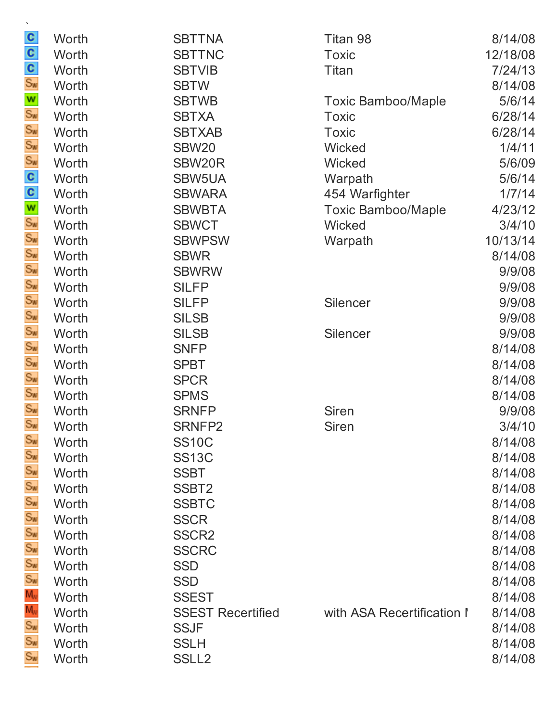| $\frac{c}{s_w}$            | Worth | <b>SBTTNA</b>            | Titan 98                   | 8/14/08  |
|----------------------------|-------|--------------------------|----------------------------|----------|
|                            | Worth | <b>SBTTNC</b>            | <b>Toxic</b>               | 12/18/08 |
|                            | Worth | <b>SBTVIB</b>            | Titan                      | 7/24/13  |
|                            | Worth | <b>SBTW</b>              |                            | 8/14/08  |
|                            | Worth | <b>SBTWB</b>             | <b>Toxic Bamboo/Maple</b>  | 5/6/14   |
| <b>v</b><br>Sw<br>Sw<br>Sw | Worth | <b>SBTXA</b>             | <b>Toxic</b>               | 6/28/14  |
|                            | Worth | <b>SBTXAB</b>            | <b>Toxic</b>               | 6/28/14  |
|                            | Worth | <b>SBW20</b>             | Wicked                     | 1/4/11   |
|                            | Worth | SBW20R                   | Wicked                     | 5/6/09   |
| $S^2 \times S^2$           | Worth | SBW5UA                   | Warpath                    | 5/6/14   |
|                            | Worth | <b>SBWARA</b>            | 454 Warfighter             | 1/7/14   |
|                            | Worth | <b>SBWBTA</b>            | <b>Toxic Bamboo/Maple</b>  | 4/23/12  |
|                            | Worth | <b>SBWCT</b>             | Wicked                     | 3/4/10   |
|                            | Worth | <b>SBWPSW</b>            | Warpath                    | 10/13/14 |
| Sw<br>Sw                   | Worth | <b>SBWR</b>              |                            | 8/14/08  |
|                            | Worth | <b>SBWRW</b>             |                            | 9/9/08   |
|                            | Worth | <b>SILFP</b>             |                            | 9/9/08   |
|                            | Worth | <b>SILFP</b>             | Silencer                   | 9/9/08   |
|                            | Worth | <b>SILSB</b>             |                            | 9/9/08   |
|                            | Worth | <b>SILSB</b>             | Silencer                   | 9/9/08   |
| Sw<br>Sw<br>Sw<br>Sw<br>Sw | Worth | <b>SNFP</b>              |                            | 8/14/08  |
|                            | Worth | <b>SPBT</b>              |                            | 8/14/08  |
| Sw<br>Sw<br>Sw             | Worth | <b>SPCR</b>              |                            | 8/14/08  |
|                            | Worth | <b>SPMS</b>              |                            | 8/14/08  |
|                            | Worth | <b>SRNFP</b>             | <b>Siren</b>               | 9/9/08   |
| Sw                         | Worth | SRNFP2                   | <b>Siren</b>               | 3/4/10   |
| Sw                         | Worth | <b>SS10C</b>             |                            | 8/14/08  |
| Sw                         | Worth | <b>SS13C</b>             |                            | 8/14/08  |
|                            | Worth | <b>SSBT</b>              |                            | 8/14/08  |
| Sw<br>Sw<br>Sw             | Worth | SSBT <sub>2</sub>        |                            | 8/14/08  |
|                            | Worth | <b>SSBTC</b>             |                            | 8/14/08  |
|                            | Worth | <b>SSCR</b>              |                            | 8/14/08  |
| Sw<br>Sw                   | Worth | SSCR <sub>2</sub>        |                            | 8/14/08  |
|                            | Worth | <b>SSCRC</b>             |                            | 8/14/08  |
| Sw                         | Worth | <b>SSD</b>               |                            | 8/14/08  |
| Sw<br>Mw<br>Sw             | Worth | <b>SSD</b>               |                            | 8/14/08  |
|                            | Worth | <b>SSEST</b>             |                            | 8/14/08  |
|                            | Worth | <b>SSEST Recertified</b> | with ASA Recertification I | 8/14/08  |
|                            | Worth | <b>SSJF</b>              |                            | 8/14/08  |
| Sw                         | Worth | <b>SSLH</b>              |                            | 8/14/08  |
| Sw                         | Worth | SSLL <sub>2</sub>        |                            | 8/14/08  |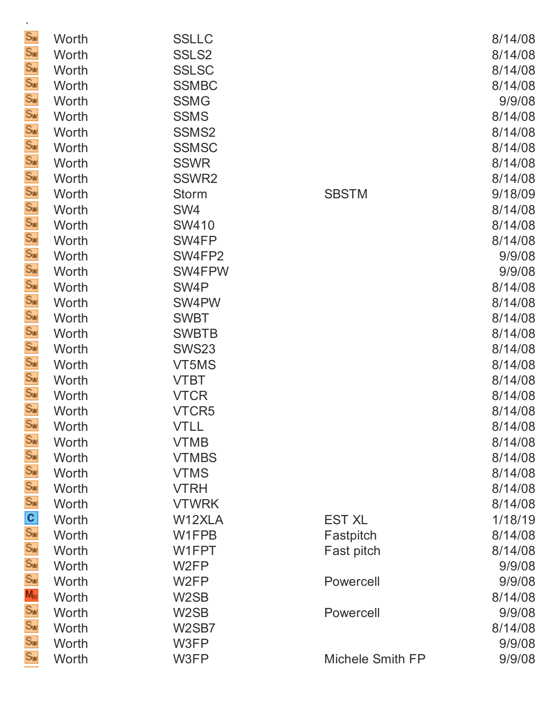| $\mathbf{v}$         |                |                             |                         |                   |
|----------------------|----------------|-----------------------------|-------------------------|-------------------|
| Sw<br>Sw             | Worth          | <b>SSLLC</b>                |                         | 8/14/08           |
| Sw                   | Worth          | SSLS <sub>2</sub>           |                         | 8/14/08           |
| Sw                   | Worth          | <b>SSLSC</b>                |                         | 8/14/08           |
| Sw                   | Worth<br>Worth | <b>SSMBC</b><br><b>SSMG</b> |                         | 8/14/08<br>9/9/08 |
| Sw                   | Worth          | <b>SSMS</b>                 |                         | 8/14/08           |
| Sw                   | Worth          | SSMS <sub>2</sub>           |                         | 8/14/08           |
| Sw                   | Worth          | <b>SSMSC</b>                |                         | 8/14/08           |
| Sw                   | Worth          | <b>SSWR</b>                 |                         | 8/14/08           |
| Sw                   | Worth          | SSWR <sub>2</sub>           |                         | 8/14/08           |
| Sw                   | Worth          | Storm                       | <b>SBSTM</b>            | 9/18/09           |
| Sw                   | Worth          | SW4                         |                         | 8/14/08           |
| Sw                   | Worth          | <b>SW410</b>                |                         | 8/14/08           |
| Sw                   | Worth          | SW4FP                       |                         | 8/14/08           |
| Sw                   | Worth          | SW4FP2                      |                         | 9/9/08            |
| Sw                   | Worth          | SW4FPW                      |                         | 9/9/08            |
| Sw                   | Worth          | SW <sub>4</sub> P           |                         | 8/14/08           |
| Sw                   | Worth          | SW4PW                       |                         | 8/14/08           |
| Sw                   | Worth          | <b>SWBT</b>                 |                         | 8/14/08           |
| Sw                   | Worth          | <b>SWBTB</b>                |                         | 8/14/08           |
| Sw                   | Worth          | <b>SWS23</b>                |                         | 8/14/08           |
| Sw                   | Worth          | VT5MS                       |                         | 8/14/08           |
| Sw                   | Worth          | <b>VTBT</b>                 |                         | 8/14/08           |
| Sw                   | Worth          | <b>VTCR</b>                 |                         | 8/14/08           |
| Sw                   | Worth          | VTCR5                       |                         | 8/14/08           |
| $\mathbb{S}_w$       | Worth          | <b>VTLL</b>                 |                         | 8/14/08           |
| Sw                   | Worth          | <b>VTMB</b>                 |                         | 8/14/08           |
| Sw                   | Worth          | <b>VTMBS</b>                |                         | 8/14/08           |
|                      | Worth          | <b>VTMS</b>                 |                         | 8/14/08           |
| Sw<br>Sw<br>Sw<br>Sw | Worth          | <b>VTRH</b>                 |                         | 8/14/08           |
|                      | Worth          | <b>VTWRK</b>                |                         | 8/14/08           |
|                      | Worth          | W12XLA                      | <b>EST XL</b>           | 1/18/19           |
|                      | Worth          | W1FPB                       | Fastpitch               | 8/14/08           |
|                      | Worth          | W1FPT                       | Fast pitch              | 8/14/08           |
| Sw<br>Sw<br>Sw<br>Sw | Worth          | W <sub>2</sub> FP           |                         | 9/9/08            |
|                      | Worth          | W <sub>2</sub> FP           | Powercell               | 9/9/08            |
|                      | Worth          | W <sub>2</sub> SB           |                         | 8/14/08           |
|                      | Worth          | W <sub>2</sub> SB           | Powercell               | 9/9/08            |
|                      | Worth          | W2SB7                       |                         | 8/14/08           |
| Sw                   | Worth          | W3FP                        |                         | 9/9/08            |
| Sw                   | Worth          | W3FP                        | <b>Michele Smith FP</b> | 9/9/08            |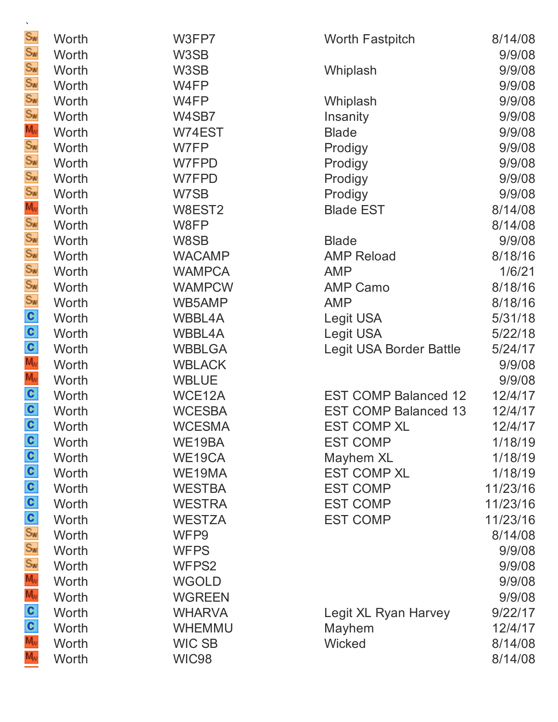| $\mathbf{v}$                     |       |               |                             |          |
|----------------------------------|-------|---------------|-----------------------------|----------|
| Sw<br>Sw                         | Worth | W3FP7         | <b>Worth Fastpitch</b>      | 8/14/08  |
|                                  | Worth | W3SB          |                             | 9/9/08   |
| Sw<br>Sw                         | Worth | W3SB          | Whiplash                    | 9/9/08   |
|                                  | Worth | W4FP          |                             | 9/9/08   |
|                                  | Worth | W4FP          | Whiplash                    | 9/9/08   |
|                                  | Worth | W4SB7         | Insanity                    | 9/9/08   |
|                                  | Worth | W74EST        | <b>Blade</b>                | 9/9/08   |
|                                  | Worth | W7FP          | Prodigy                     | 9/9/08   |
| Sw<br>Sw<br>Sw<br>Sw<br>Sw       | Worth | W7FPD         | Prodigy                     | 9/9/08   |
|                                  | Worth | W7FPD         | Prodigy                     | 9/9/08   |
| Sw<br>Sw<br>Sw<br>Sw<br>Sw       | Worth | W7SB          | Prodigy                     | 9/9/08   |
|                                  | Worth | W8EST2        | <b>Blade EST</b>            | 8/14/08  |
|                                  | Worth | W8FP          |                             | 8/14/08  |
|                                  | Worth | W8SB          | <b>Blade</b>                | 9/9/08   |
|                                  | Worth | <b>WACAMP</b> | <b>AMP Reload</b>           | 8/18/16  |
|                                  | Worth | <b>WAMPCA</b> | <b>AMP</b>                  | 1/6/21   |
|                                  | Worth | <b>WAMPCW</b> | <b>AMP Camo</b>             | 8/18/16  |
|                                  | Worth | WB5AMP        | <b>AMP</b>                  | 8/18/16  |
|                                  | Worth | <b>WBBL4A</b> | Legit USA                   | 5/31/18  |
|                                  | Worth | WBBL4A        | Legit USA                   | 5/22/18  |
| ပ္ပံ ပဲ ပုပ္ရွင္ရွိ ပ            | Worth | <b>WBBLGA</b> | Legit USA Border Battle     | 5/24/17  |
|                                  | Worth | <b>WBLACK</b> |                             | 9/9/08   |
|                                  | Worth | <b>WBLUE</b>  |                             | 9/9/08   |
|                                  | Worth | WCE12A        | <b>EST COMP Balanced 12</b> | 12/4/17  |
|                                  | Worth | <b>WCESBA</b> | <b>EST COMP Balanced 13</b> | 12/4/17  |
|                                  | Worth | <b>WCESMA</b> | <b>EST COMP XL</b>          | 12/4/17  |
| C                                | Worth | WE19BA        | <b>EST COMP</b>             | 1/18/19  |
|                                  | Worth | WE19CA        | Mayhem XL                   | 1/18/19  |
|                                  | Worth | WE19MA        | <b>EST COMP XL</b>          | 1/18/19  |
|                                  | Worth | <b>WESTBA</b> | <b>EST COMP</b>             | 11/23/16 |
|                                  | Worth | <b>WESTRA</b> | <b>EST COMP</b>             | 11/23/16 |
|                                  | Worth | <b>WESTZA</b> | <b>EST COMP</b>             | 11/23/16 |
|                                  | Worth | WFP9          |                             | 8/14/08  |
|                                  | Worth | <b>WFPS</b>   |                             | 9/9/08   |
|                                  | Worth | WFPS2         |                             | 9/9/08   |
| ၁ ပ ပ ၂ ဦ နှို နို႔ နဲ႔ နဲ႔ ပါ ၁ | Worth | <b>WGOLD</b>  |                             | 9/9/08   |
|                                  | Worth | <b>WGREEN</b> |                             | 9/9/08   |
|                                  | Worth | <b>WHARVA</b> | Legit XL Ryan Harvey        | 9/22/17  |
|                                  | Worth | <b>WHEMMU</b> | Mayhem                      | 12/4/17  |
|                                  | Worth | <b>WIC SB</b> | Wicked                      | 8/14/08  |
| $M_{\rm v}$                      | Worth | <b>WIC98</b>  |                             | 8/14/08  |
|                                  |       |               |                             |          |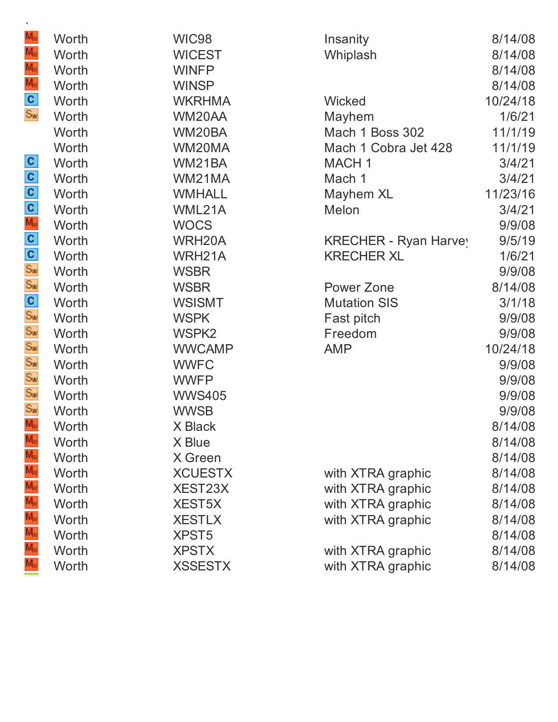| M <sub>v</sub>                     | Worth | WIC98             | Insanity              | 8/14/08  |
|------------------------------------|-------|-------------------|-----------------------|----------|
| M <sub>v</sub>                     | Worth | <b>WICEST</b>     | Whiplash              | 8/14/08  |
| M <sub>w</sub>                     | Worth | <b>WINFP</b>      |                       | 8/14/08  |
|                                    | Worth | <b>WINSP</b>      |                       | 8/14/08  |
| M <sub>v</sub><br>S <sub>w</sub>   | Worth | <b>WKRHMA</b>     | <b>Wicked</b>         | 10/24/18 |
|                                    | Worth | WM20AA            | Mayhem                | 1/6/21   |
|                                    | Worth | WM20BA            | Mach 1 Boss 302       | 11/1/19  |
|                                    | Worth | WM20MA            | Mach 1 Cobra Jet 428  | 11/1/19  |
|                                    | Worth | WM21BA            | <b>MACH1</b>          | 3/4/21   |
|                                    | Worth | WM21MA            | Mach 1                | 3/4/21   |
|                                    | Worth | <b>WMHALL</b>     | Mayhem XL             | 11/23/16 |
|                                    | Worth | WML21A            | Melon                 | 3/4/21   |
|                                    | Worth | <b>WOCS</b>       |                       | 9/9/08   |
|                                    | Worth | WRH20A            | KRECHER - Ryan Harvey | 9/5/19   |
|                                    | Worth | WRH21A            | <b>KRECHER XL</b>     | 1/6/21   |
|                                    | Worth | <b>WSBR</b>       |                       | 9/9/08   |
| ပါ ပါ ပါ ပါ တို႔ ပါ ပါ ပါ ပါ ပါ ပါ | Worth | <b>WSBR</b>       | Power Zone            | 8/14/08  |
|                                    | Worth | <b>WSISMT</b>     | <b>Mutation SIS</b>   | 3/1/18   |
|                                    | Worth | <b>WSPK</b>       | Fast pitch            | 9/9/08   |
|                                    | Worth | WSPK <sub>2</sub> | Freedom               | 9/9/08   |
|                                    | Worth | <b>WWCAMP</b>     | <b>AMP</b>            | 10/24/18 |
|                                    | Worth | <b>WWFC</b>       |                       | 9/9/08   |
|                                    | Worth | <b>WWFP</b>       |                       | 9/9/08   |
|                                    | Worth | <b>WWS405</b>     |                       | 9/9/08   |
|                                    | Worth | <b>WWSB</b>       |                       | 9/9/08   |
| $M_{\rm V}$                        | Worth | X Black           |                       | 8/14/08  |
|                                    | Worth | X Blue            |                       | 8/14/08  |
|                                    | Worth | X Green           |                       | 8/14/08  |
|                                    | Worth | <b>XCUESTX</b>    | with XTRA graphic     | 8/14/08  |
|                                    | Worth | XEST23X           | with XTRA graphic     | 8/14/08  |
|                                    | Worth | <b>XEST5X</b>     | with XTRA graphic     | 8/14/08  |
|                                    | Worth | <b>XESTLX</b>     | with XTRA graphic     | 8/14/08  |
|                                    | Worth | <b>XPST5</b>      |                       | 8/14/08  |
|                                    | Worth | <b>XPSTX</b>      | with XTRA graphic     | 8/14/08  |
|                                    | Worth | <b>XSSESTX</b>    | with XTRA graphic     | 8/14/08  |